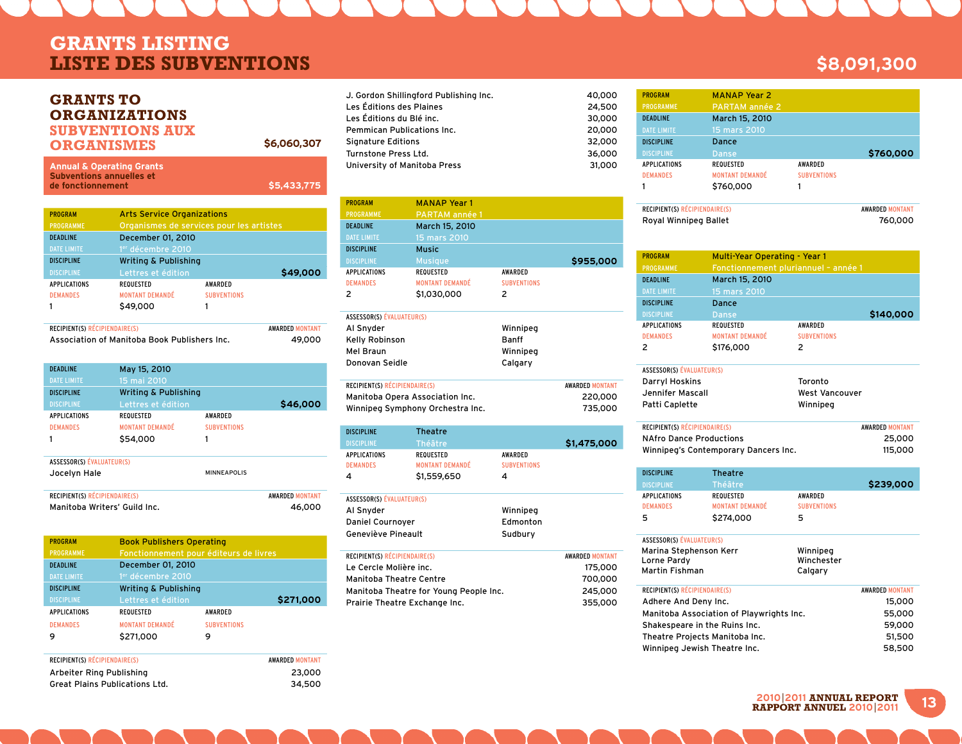## **GRANTS LISTING LISTE DES SUBVENTIONS \$8,091,300**

### **Grants to ORGANIZATIONS Subventions aux ORGANISMES**

1 \$49,000 1

| <b>Annual &amp; Operating Grants</b><br><b>Subventions annuelles et</b><br>\$5,433,775<br>de fonctionnement |                                          |                    |          |
|-------------------------------------------------------------------------------------------------------------|------------------------------------------|--------------------|----------|
|                                                                                                             |                                          |                    |          |
| <b>PROGRAM</b>                                                                                              | <b>Arts Service Organizations</b>        |                    |          |
| <b>PROGRAMME</b>                                                                                            | Organismes de services pour les artistes |                    |          |
| <b>DEADLINE</b>                                                                                             | December 01, 2010                        |                    |          |
| <b>DATE LIMITE</b>                                                                                          | 1 <sup>er</sup> décembre 2010            |                    |          |
| <b>DISCIPLINE</b>                                                                                           | <b>Writing &amp; Publishing</b>          |                    |          |
| <b>DISCIPLINE</b>                                                                                           | Lettres et édition                       |                    | \$49,000 |
| <b>APPLICATIONS</b>                                                                                         | <b>REQUESTED</b>                         | <b>AWARDED</b>     |          |
| <b>DEMANDES</b>                                                                                             | <b>MONTANT DEMANDÉ</b>                   | <b>SUBVENTIONS</b> |          |

**\$6,060,307**

| <b>RECIPIENT(S) RÉCIPIENDAIRE(S)</b>         | <b>AWARDED MONTANT</b> |
|----------------------------------------------|------------------------|
| Association of Manitoba Book Publishers Inc. | 49,000                 |

| <b>DEADLINE</b><br><b>DATE LIMITE</b> | May 15, 2010<br>15 mai 2010     |                    |                        |
|---------------------------------------|---------------------------------|--------------------|------------------------|
| <b>DISCIPLINE</b>                     | <b>Writing &amp; Publishing</b> |                    |                        |
| <b>DISCIPLINE</b>                     | Lettres et édition              |                    | \$46,000               |
| <b>APPLICATIONS</b>                   | <b>REQUESTED</b>                | <b>AWARDFD</b>     |                        |
| <b>DEMANDES</b>                       | <b>MONTANT DEMANDÉ</b>          | <b>SUBVENTIONS</b> |                        |
|                                       | \$54,000                        | 1                  |                        |
| ASSESSOR(S) ÉVALUATEUR(S)             |                                 |                    |                        |
| Jocelyn Hale                          |                                 | <b>MINNEAPOLIS</b> |                        |
| RECIPIENT(S) RÉCIPIENDAIRE(S)         |                                 |                    | <b>AWARDED MONTANT</b> |
| Manitoba Writers' Guild Inc.          |                                 |                    | 46,000                 |

| <b>PROGRAM</b>      | <b>Book Publishers Operating</b>       |                    |           |
|---------------------|----------------------------------------|--------------------|-----------|
| <b>PROGRAMME</b>    | Fonctionnement pour éditeurs de livres |                    |           |
| <b>DEADLINE</b>     | December 01, 2010                      |                    |           |
| <b>DATE LIMITE</b>  | 1 <sup>er</sup> décembre 2010          |                    |           |
| <b>DISCIPLINE</b>   | <b>Writing &amp; Publishing</b>        |                    |           |
| <b>DISCIPLINE</b>   | Lettres et édition                     |                    | \$271,000 |
| <b>APPLICATIONS</b> | <b>REQUESTED</b>                       | AWARDED            |           |
| <b>DEMANDES</b>     | <b>MONTANT DEMANDÉ</b>                 | <b>SUBVENTIONS</b> |           |
| 9                   | \$271,000                              | 9                  |           |
|                     |                                        |                    |           |

| <b>RECIPIENT(S) RÉCIPIENDAIRE(S)</b>  | <b>AWARDED MONTANT</b> |
|---------------------------------------|------------------------|
| Arbeiter Ring Publishing              | 23.000                 |
| <b>Great Plains Publications Ltd.</b> | 34.500                 |

| J. Gordon Shillingford Publishing Inc. | 40,000 |
|----------------------------------------|--------|
| Les Éditions des Plaines               | 24,500 |
| Les Éditions du Blé inc.               | 30,000 |
| Pemmican Publications Inc.             | 20,000 |
| Signature Editions                     | 32,000 |
| Turnstone Press Ltd.                   | 36,000 |
| University of Manitoba Press           | 31,000 |
|                                        |        |

| <b>PROGRAM</b>      | <b>MANAP Year 1</b>    |                    |           |
|---------------------|------------------------|--------------------|-----------|
| <b>PROGRAMME</b>    | <b>PARTAM année 1</b>  |                    |           |
| <b>DEADLINE</b>     | March 15, 2010         |                    |           |
| <b>DATE LIMITE</b>  | 15 mars 2010           |                    |           |
| <b>DISCIPLINE</b>   | <b>Music</b>           |                    |           |
| <b>DISCIPLINE</b>   | <b>Musique</b>         |                    | \$955,000 |
| <b>APPLICATIONS</b> | <b>REQUESTED</b>       | <b>AWARDED</b>     |           |
| <b>DEMANDES</b>     | <b>MONTANT DEMANDÉ</b> | <b>SUBVENTIONS</b> |           |
| 2                   | \$1,030,000            | 2                  |           |
|                     |                        |                    |           |
|                     |                        |                    |           |

| ASSESSURISI EVALUAILURISI        |              |                        |
|----------------------------------|--------------|------------------------|
| Al Snyder                        | Winnipeg     |                        |
| Kelly Robinson                   | <b>Banff</b> |                        |
| Mel Braun                        | Winnipeg     |                        |
| Donovan Seidle                   | Calgary      |                        |
|                                  |              |                        |
| RECIPIENT(S) RÉCIPIENDAIRE(S)    |              | <b>AWARDED MONTANT</b> |
| Manitoba Opera Association Inc.  |              | 220,000                |
| Winnipeg Symphony Orchestra Inc. |              | 735,000                |
|                                  |              |                        |

| <b>DISCIPLINE</b>   | <b>Theatre</b>         |                    |             |
|---------------------|------------------------|--------------------|-------------|
| <b>DISCIPLINE</b>   | <b>Théâtre</b>         |                    | \$1,475,000 |
| <b>APPLICATIONS</b> | REQUESTED              | AWARDED            |             |
| <b>DEMANDES</b>     | <b>MONTANT DEMANDÉ</b> | <b>SUBVENTIONS</b> |             |
| 4                   | \$1,559,650            | 4                  |             |
|                     |                        |                    |             |

| ASSESSOR(S) EVALUATEUR(S) |          |
|---------------------------|----------|
| Al Snyder                 | Winnipeg |
| <b>Daniel Cournover</b>   | Edmonton |
| Geneviève Pineault        | Sudbury  |

| <b>RECIPIENT(S) RÉCIPIENDAIRE(S)</b>   | <b>AWARDED MONTANT</b> |
|----------------------------------------|------------------------|
| Le Cercle Molière inc.                 | 175,000                |
| Manitoba Theatre Centre                | 700,000                |
| Manitoba Theatre for Young People Inc. | 245,000                |
| Prairie Theatre Exchange Inc.          | 355,000                |

#### PROGRAM MANAP Year 2 DEADLINE March 15, 2010 DISCIPLINE Dance Discipline Danse **Danse \$760,000** APPLICATIONS REQUESTED AWARDED DEMANDES MONTANT DEMANDÉ SUBVENTIONS 1 \$760,000 1

| <b>RECIPIENT(S) RÉCIPIENDAIRE(S)</b> | <b>AWARDED MONTANT</b> |
|--------------------------------------|------------------------|
| Royal Winnipeg Ballet                | 760.000                |

| <b>PROGRAM</b>            | Multi-Year Operating - Year 1 |                                      |           |
|---------------------------|-------------------------------|--------------------------------------|-----------|
| <b>PROGRAMME</b>          |                               | Fonctionnement pluriannuel - année 1 |           |
| <b>DEADLINE</b>           | March 15, 2010                |                                      |           |
| <b>DATE LIMITE</b>        | 15 mars 2010                  |                                      |           |
| <b>DISCIPLINE</b>         | Dance                         |                                      |           |
| <b>DISCIPLINE</b>         | Danse                         |                                      | \$140,000 |
| <b>APPLICATIONS</b>       | <b>REQUESTED</b>              | <b>AWARDED</b>                       |           |
| <b>DEMANDES</b>           | <b>MONTANT DEMANDÉ</b>        | <b>SUBVENTIONS</b>                   |           |
| 2                         | \$176,000                     | 2                                    |           |
| ASSESSOR(S) ÉVALUATEUR(S) |                               |                                      |           |
| <b>Darryl Hoskins</b>     |                               | Toronto                              |           |
| Jennifer Mascall          |                               | <b>West Vancouver</b>                |           |
| Patti Caplette            |                               | Winnipeg                             |           |

| <b>RECIPIENT(S) RÉCIPIENDAIRE(S)</b> | <b>AWARDED MONTANT</b> |
|--------------------------------------|------------------------|
| <b>NAfro Dance Productions</b>       | 25,000                 |
| Winnipeg's Contemporary Dancers Inc. | 115,000                |

| <b>DISCIPLINE</b>   | Theatre                |                    |           |
|---------------------|------------------------|--------------------|-----------|
| <b>DISCIPLINE</b>   | <b>Théâtre</b>         |                    | \$239,000 |
| <b>APPLICATIONS</b> | REQUESTED              | AWARDED            |           |
| <b>DEMANDES</b>     | <b>MONTANT DEMANDÉ</b> | <b>SUBVENTIONS</b> |           |
| 5                   | \$274,000              | 5                  |           |
|                     |                        |                    |           |

| ASSESSOR(S) ÉVALUATEUR(S)<br>Marina Stephenson Kerr<br>Lorne Pardy<br><b>Martin Fishman</b> | Winnipeg<br>Winchester<br>Calgary |                        |
|---------------------------------------------------------------------------------------------|-----------------------------------|------------------------|
| <b>RECIPIENT(S) RÉCIPIENDAIRE(S)</b>                                                        |                                   | <b>AWARDED MONTANT</b> |
| Adhere And Deny Inc.                                                                        |                                   | 15,000                 |
| Manitoba Association of Playwrights Inc.                                                    |                                   | 55,000                 |
| Shakespeare in the Ruins Inc.                                                               |                                   | 59,000                 |
| Theatre Projects Manitoba Inc.                                                              |                                   | 51,500                 |
| Winnipeg Jewish Theatre Inc.                                                                |                                   | 58,500                 |

## **13 <sup>2010</sup>**|**2011 ANNUaL REPORT RAPPORT ANNUEL 2010**|**2011**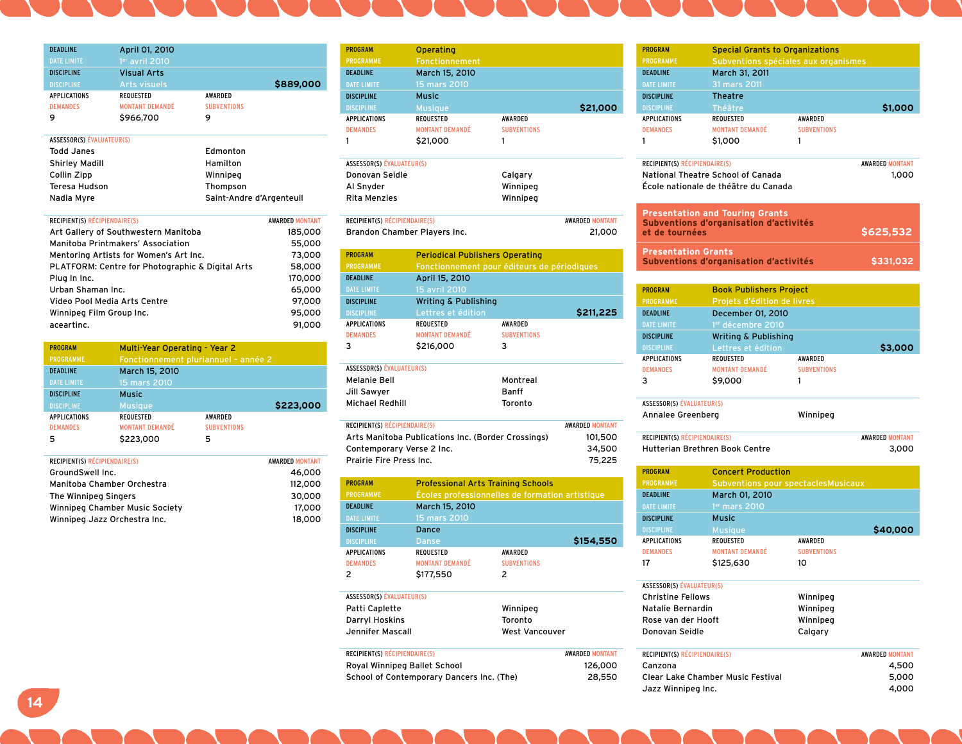| <b>DEADLINE</b>                  | April 01, 2010                                   |                          |                        |
|----------------------------------|--------------------------------------------------|--------------------------|------------------------|
| <b>DATE LIMITE</b>               | $1er$ avril 2010                                 |                          |                        |
| <b>DISCIPLINE</b>                | <b>Visual Arts</b>                               |                          |                        |
| <b>DISCIPLINE</b>                | <b>Arts visuels</b>                              |                          | \$889,000              |
| <b>APPLICATIONS</b>              | <b>REQUESTED</b>                                 | <b>AWARDED</b>           |                        |
| <b>DEMANDES</b>                  | <b>MONTANT DEMANDÉ</b>                           | <b>SUBVENTIONS</b>       |                        |
| 9                                | \$966,700                                        | 9                        |                        |
| <b>ASSESSOR(S) ÉVALUATEUR(S)</b> |                                                  |                          |                        |
| Todd, Janes                      |                                                  | Edmonton                 |                        |
| Shirley Madill                   |                                                  | Hamilton                 |                        |
| Collin Zipp                      |                                                  | Winnipeg                 |                        |
| Teresa Hudson                    |                                                  | Thompson                 |                        |
|                                  |                                                  |                          |                        |
| Nadia Myre                       |                                                  | Saint-Andre d'Argenteuil |                        |
| RECIPIENT(S) RÉCIPIENDAIRE(S)    |                                                  |                          | <b>AWARDED MONTANT</b> |
|                                  | Art Gallery of Southwestern Manitoba             |                          | 185,000                |
|                                  | Manitoba Printmakers' Association                |                          | 55,000                 |
|                                  | Mentoring Artists for Women's Art Inc.           |                          | 73,000                 |
|                                  | PLATFORM: Centre for Photographic & Digital Arts |                          | 58,000                 |
| Plua In Inc.                     |                                                  |                          | 170,000                |
| Urban Shaman Inc.                |                                                  |                          | 65,000                 |
|                                  | Video Pool Media Arts Centre                     |                          | 97,000                 |
| Winnipeg Film Group Inc.         |                                                  |                          | 95,000                 |
| aceartinc.                       |                                                  |                          | 91,000                 |

| <b>PROGRAM</b>      | Multi-Year Operating - Year 2        |                    |           |
|---------------------|--------------------------------------|--------------------|-----------|
| <b>PROGRAMME</b>    | Fonctionnement pluriannuel - année 2 |                    |           |
| <b>DEADLINE</b>     | March 15, 2010                       |                    |           |
| <b>DATE LIMITE</b>  | 15 mars 2010                         |                    |           |
| <b>DISCIPLINE</b>   | <b>Music</b>                         |                    |           |
| <b>DISCIPLINE</b>   | <b>Musique</b>                       |                    | \$223,000 |
| <b>APPLICATIONS</b> | <b>REQUESTED</b>                     | AWARDED            |           |
| <b>DEMANDES</b>     | <b>MONTANT DEMANDÉ</b>               | <b>SUBVENTIONS</b> |           |
| 5                   | \$223,000                            | 5                  |           |

| <b>RECIPIENT(S) RÉCIPIENDAIRE(S)</b> | <b>AWARDED MONTANT</b> |
|--------------------------------------|------------------------|
| GroundSwell Inc.                     | 46.000                 |
| Manitoba Chamber Orchestra           | 112,000                |
| The Winnipeg Singers                 | 30,000                 |
| Winnipeg Chamber Music Society       | 17,000                 |
| Winnipeg Jazz Orchestra Inc.         | 18,000                 |

| <b>PROGRAM</b>    | Operating              |                    |          |
|-------------------|------------------------|--------------------|----------|
| <b>PROGRAMME</b>  | Fonctionnement         |                    |          |
| <b>DEADLINE</b>   | March 15, 2010         |                    |          |
| DATE LIMITE       | 15 mars 2010           |                    |          |
| <b>DISCIPLINE</b> | <b>Music</b>           |                    |          |
| <b>DISCIPLINE</b> | <b>Musique</b>         |                    | \$21,000 |
| APPLICATIONS      | <b>REQUESTED</b>       | AWARDED            |          |
| <b>DEMANDES</b>   | <b>MONTANT DEMANDÉ</b> | <b>SUBVENTIONS</b> |          |
|                   | \$21,000               |                    |          |

| <b>ASSESSOR(S) ÉVALUATEUR(S)</b> |          |  |
|----------------------------------|----------|--|
| Donovan Seidle                   | Calgary  |  |
| Al Snyder                        | Winnipeg |  |
| Rita Menzies                     | Winnipea |  |
|                                  |          |  |

| RECIPIENT(S) RÉCIPIENDAIRE(S). | <b>AWARDED MONTANT</b> |
|--------------------------------|------------------------|
| Brandon Chamber Players Inc.   | 21.000                 |

| <b>PROGRAM</b>      | <b>Periodical Publishers Operating</b> |                                             |           |
|---------------------|----------------------------------------|---------------------------------------------|-----------|
| <b>PROGRAMME</b>    |                                        | Fonctionnement pour éditeurs de périodiques |           |
| <b>DEADLINE</b>     | April 15, 2010                         |                                             |           |
| <b>DATE LIMITE</b>  | 15 avril 2010                          |                                             |           |
| <b>DISCIPLINE</b>   | <b>Writing &amp; Publishing</b>        |                                             |           |
| <b>DISCIPLINE</b>   | Lettres et édition                     |                                             | \$211,225 |
| <b>APPLICATIONS</b> | <b>REQUESTED</b>                       | <b>AWARDED</b>                              |           |
| <b>DEMANDES</b>     | <b>MONTANT DEMANDÉ</b>                 | <b>SUBVENTIONS</b>                          |           |
| 3                   | \$216,000                              | 3                                           |           |
|                     |                                        |                                             |           |

| <b>ASSESSOR(S) ÉVALUATEUR(S)</b> |          |
|----------------------------------|----------|
| Melanie Bell                     | Montreal |
| Jill Sawyer                      | Banff    |
| Michael Redhill                  | Toronto  |

| RECIPIENT(S) RÉCIPIENDAIRE(S)                      | <b>AWARDED MONTANT</b> |
|----------------------------------------------------|------------------------|
| Arts Manitoba Publications Inc. (Border Crossings) | 101,500                |
| Contemporary Verse 2 Inc.                          | 34,500                 |
| Prairie Fire Press Inc.                            | 75.225                 |

| <b>PROGRAM</b>            | <b>Professional Arts Training Schools</b>       |                    |           |
|---------------------------|-------------------------------------------------|--------------------|-----------|
| <b>PROGRAMME</b>          | Écoles professionnelles de formation artistique |                    |           |
| <b>DEADLINE</b>           | March 15, 2010                                  |                    |           |
| <b>DATE LIMITE</b>        | 15 mars 2010                                    |                    |           |
| <b>DISCIPLINE</b>         | Dance                                           |                    |           |
| <b>DISCIPLINE</b>         | Danse                                           |                    | \$154,550 |
| <b>APPLICATIONS</b>       | <b>REQUESTED</b>                                | <b>AWARDED</b>     |           |
| <b>DEMANDES</b>           | <b>MONTANT DEMANDÉ</b>                          | <b>SUBVENTIONS</b> |           |
| 2                         | \$177,550                                       | 2                  |           |
|                           |                                                 |                    |           |
| ASSESSOR(S) ÉVALUATEUR(S) |                                                 |                    |           |

| Winnipeg              |
|-----------------------|
|                       |
| <b>West Vancouver</b> |
|                       |

| RECIPIENT(S) RÉCIPIENDAIRE(S)             | <b>AWARDED MONTANT</b> |
|-------------------------------------------|------------------------|
| Royal Winnipeg Ballet School              | 126,000                |
| School of Contemporary Dancers Inc. (The) | 28,550                 |

| <b>PROGRAM</b>                         | <b>Special Grants to Organizations</b>                                           |                    |                                 |
|----------------------------------------|----------------------------------------------------------------------------------|--------------------|---------------------------------|
| <b>PROGRAMME</b>                       | Subventions spéciales aux organismes                                             |                    |                                 |
| <b>DEADLINE</b>                        | March 31, 2011                                                                   |                    |                                 |
| <b>DATE LIMITE</b>                     | 31 mars 2011                                                                     |                    |                                 |
| <b>DISCIPLINE</b>                      | <b>Theatre</b>                                                                   |                    |                                 |
| <b>DISCIPLINE</b>                      | Théâtre                                                                          |                    | \$1,000                         |
| <b>APPLICATIONS</b><br><b>DEMANDES</b> | <b>REQUESTED</b><br><b>MONTANT DEMANDÉ</b>                                       | AWARDED            |                                 |
|                                        |                                                                                  | <b>SUBVENTIONS</b> |                                 |
| 1                                      | \$1,000                                                                          | 1                  |                                 |
| RECIPIENT(S) RÉCIPIENDAIRE(S)          | National Theatre School of Canada<br>École nationale de théâtre du Canada        |                    | <b>AWARDED MONTANT</b><br>1,000 |
| et de tournées                         | <b>Presentation and Touring Grants</b><br>Subventions d'organisation d'activités |                    | \$625,532                       |
| <b>Presentation Grants</b>             | Subventions d'organisation d'activités                                           |                    | \$331,032                       |
|                                        |                                                                                  |                    |                                 |
| <b>PROGRAM</b>                         | <b>Book Publishers Project</b>                                                   |                    |                                 |
| PROGRAMME                              | Projets d'édition de livres                                                      |                    |                                 |
| <b>DEADLINE</b>                        | December 01, 2010                                                                |                    |                                 |
| <b>DATE LIMITE</b>                     | 1er décembre 2010                                                                |                    |                                 |
| <b>DISCIPLINE</b>                      | <b>Writing &amp; Publishing</b>                                                  |                    |                                 |
| <b>DISCIPLINE</b>                      | Lettres et édition                                                               |                    | \$3,000                         |
| <b>APPLICATIONS</b>                    | <b>REQUESTED</b>                                                                 | AWARDED            |                                 |
| <b>DEMANDES</b><br>3                   | <b>MONTANT DEMANDÉ</b>                                                           | <b>SUBVENTIONS</b> |                                 |
|                                        | \$9,000                                                                          | 1                  |                                 |
| ASSESSOR(S) ÉVALUATEUR(S)              |                                                                                  |                    |                                 |
| Annalee Greenberg                      |                                                                                  | Winnipeg           |                                 |
| RECIPIENT(S) RÉCIPIENDAIRE(S)          |                                                                                  |                    | <b>AWARDED MONTANT</b>          |
|                                        | <b>Hutterian Brethren Book Centre</b>                                            |                    | 3,000                           |
| <b>PROGRAM</b>                         | <b>Concert Production</b>                                                        |                    |                                 |
| PROGRAMME                              | Subventions pour spectaclesMusicaux                                              |                    |                                 |
| <b>DEADLINE</b>                        | March 01, 2010                                                                   |                    |                                 |
| <b>DATE LIMITE</b>                     | 1 <sup>er</sup> mars 2010                                                        |                    |                                 |
| <b>DISCIPLINE</b>                      | <b>Music</b>                                                                     |                    |                                 |
| <b>DISCIPLINE</b>                      | <b>Musique</b>                                                                   |                    | \$40,000                        |
| APPLICATIONS                           | <b>REQUESTED</b>                                                                 | AWARDED            |                                 |
| <b>DEMANDES</b>                        | <b>MONTANT DEMANDÉ</b>                                                           | <b>SUBVENTIONS</b> |                                 |
| 17                                     | \$125,630                                                                        | 10                 |                                 |
| ASSESSOR(S) EVALUATEUR(S)              |                                                                                  |                    |                                 |
| <b>Christine Fellows</b>               |                                                                                  | Winnipeg           |                                 |
| Natalie Bernardin                      |                                                                                  | Winnipeg           |                                 |
| Rose van der Hooft                     |                                                                                  | Winnipeg           |                                 |
| Donovan Seidle                         |                                                                                  | Calgary            |                                 |
| <b>RECIPIENT(S) RÉCIPIENDAIRE(S)</b>   |                                                                                  |                    | <b>AWARDED MONTANT</b>          |
| Canzona                                |                                                                                  |                    | 4,500                           |
| Clear Lake Chamber Music Festival      |                                                                                  |                    | 5,000                           |
|                                        |                                                                                  |                    |                                 |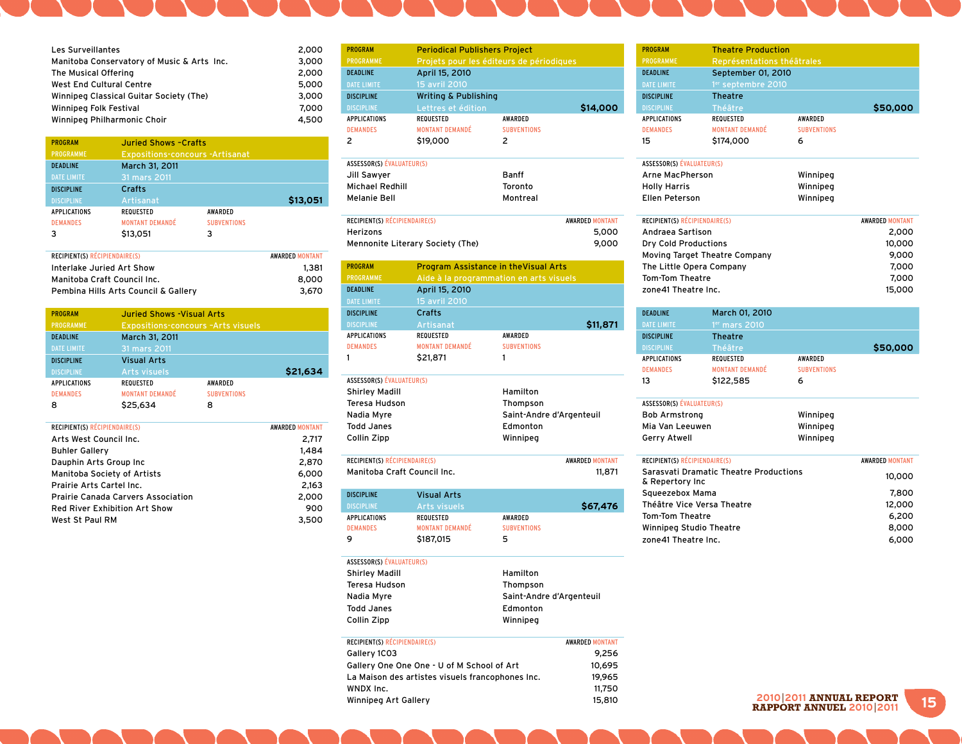| <b>Les Surveillantes</b>                   | 2,000 |
|--------------------------------------------|-------|
| Manitoba Conservatory of Music & Arts Inc. | 3,000 |
| The Musical Offering                       | 2,000 |
| West End Cultural Centre                   | 5,000 |
| Winnipeg Classical Guitar Society (The)    | 3,000 |
| Winnipeg Folk Festival                     | 7,000 |
| Winnipeg Philharmonic Choir                | 4,500 |

2,000

| <b>PROGRAM</b>      | <b>Juried Shows -Crafts</b>            |                    |          |
|---------------------|----------------------------------------|--------------------|----------|
| <b>PROGRAMME</b>    | <b>Expositions-concours -Artisanat</b> |                    |          |
| <b>DEADLINE</b>     | March 31, 2011                         |                    |          |
| <b>DATE LIMITE</b>  | 31 mars 2011                           |                    |          |
| <b>DISCIPLINE</b>   | Crafts                                 |                    |          |
| <b>DISCIPLINE</b>   | Artisanat                              |                    | \$13,051 |
| <b>APPLICATIONS</b> | <b>REQUESTED</b>                       | <b>AWARDED</b>     |          |
| <b>DEMANDES</b>     | <b>MONTANT DEMANDÉ</b>                 | <b>SUBVENTIONS</b> |          |
| 3                   | \$13,051                               | ٦                  |          |

| <b>RECIPIENT(S) RÉCIPIENDAIRE(S)</b> | <b>AWARDED MONTANT</b> |
|--------------------------------------|------------------------|
|                                      |                        |
| Interlake Juried Art Show            | 1.381                  |
| Manitoba Craft Council Inc.          | 8.000                  |
| Pembina Hills Arts Council & Gallery | 3.670                  |

| <b>PROGRAM</b>      | <b>Juried Shows - Visual Arts</b>         |                    |          |
|---------------------|-------------------------------------------|--------------------|----------|
|                     |                                           |                    |          |
| <b>PROGRAMME</b>    | <b>Expositions-concours -Arts visuels</b> |                    |          |
| <b>DEADLINE</b>     | March 31, 2011                            |                    |          |
| <b>DATE LIMITE</b>  | 31 mars 2011                              |                    |          |
| <b>DISCIPLINE</b>   | <b>Visual Arts</b>                        |                    |          |
| <b>DISCIPLINE</b>   | <b>Arts visuels</b>                       |                    | \$21,634 |
| <b>APPLICATIONS</b> | <b>REQUESTED</b>                          | <b>AWARDED</b>     |          |
| <b>DEMANDES</b>     | <b>MONTANT DEMANDÉ</b>                    | <b>SUBVENTIONS</b> |          |
| 8                   | \$25,634                                  | 8                  |          |

| RECIPIENT(S) RÉCIPIENDAIRE(S)             | <b>AWARDED MONTANT</b> |
|-------------------------------------------|------------------------|
| Arts West Council Inc.                    | 2.717                  |
| <b>Buhler Gallery</b>                     | 1.484                  |
| Dauphin Arts Group Inc                    | 2,870                  |
| Manitoba Society of Artists               | 6.000                  |
| <b>Prairie Arts Cartel Inc.</b>           | 2.163                  |
| <b>Prairie Canada Carvers Association</b> | 2.000                  |
| <b>Red River Exhibition Art Show</b>      | 900                    |
| West St Paul RM                           | 3,500                  |
|                                           |                        |

| <b>PROGRAM</b>      | <b>Periodical Publishers Project</b>     |                    |          |
|---------------------|------------------------------------------|--------------------|----------|
| <b>PROGRAMME</b>    | Projets pour les éditeurs de périodiques |                    |          |
| <b>DEADLINE</b>     | April 15, 2010                           |                    |          |
| <b>DATE LIMITE</b>  | 15 avril 2010                            |                    |          |
| <b>DISCIPLINE</b>   | <b>Writing &amp; Publishing</b>          |                    |          |
| <b>DISCIPLINE</b>   | Lettres et édition                       |                    | \$14,000 |
| <b>APPLICATIONS</b> | <b>REQUESTED</b>                         | <b>AWARDED</b>     |          |
| <b>DEMANDES</b>     | <b>MONTANT DEMANDÉ</b>                   | <b>SUBVENTIONS</b> |          |
| 2                   | \$19,000                                 | 2                  |          |

| ASSESSURIS) EVALUAIEURIS) |          |
|---------------------------|----------|
| Jill Sawyer               | Banff    |
| Michael Redhill           | Toronto  |
| <b>Melanie Bell</b>       | Montreal |

| <b>RECIPIENT(S) RÉCIPIENDAIRE(S)</b> | <b>AWARDED MONTANT</b> |
|--------------------------------------|------------------------|
| Herizons                             | 5.000                  |
| Mennonite Literary Society (The)     | 9.000                  |

| <b>PROGRAM</b>                | <b>Program Assistance in the Visual Arts</b> |                                         |
|-------------------------------|----------------------------------------------|-----------------------------------------|
| <b>PROGRAMME</b>              |                                              | Aide à la programmation en arts visuels |
| <b>DEADLINE</b>               | April 15, 2010                               |                                         |
| <b>DATE LIMITE</b>            | 15 avril 2010                                |                                         |
| <b>DISCIPLINE</b>             | Crafts                                       |                                         |
| <b>DISCIPLINE</b>             | Artisanat                                    | \$11,871                                |
| <b>APPLICATIONS</b>           | <b>REQUESTED</b>                             | <b>AWARDED</b>                          |
| <b>DEMANDES</b>               | <b>MONTANT DEMANDÉ</b>                       | <b>SUBVENTIONS</b>                      |
| 1                             | \$21,871                                     | 1                                       |
|                               |                                              |                                         |
| ASSESSOR(S) ÉVALUATEUR(S)     |                                              |                                         |
| <b>Shirley Madill</b>         |                                              | Hamilton                                |
| Teresa Hudson<br>Thompson     |                                              |                                         |
| Nadia Myre                    |                                              | Saint-Andre d'Argenteuil                |
| <b>Todd Janes</b>             | Edmonton                                     |                                         |
| Collin Zipp                   |                                              | Winnipeg                                |
|                               |                                              |                                         |
| RECIPIENT(S) RÉCIPIENDAIRE(S) |                                              | <b>AWARDED MONTANT</b>                  |
| Manitoba Craft Council Inc.   |                                              | 11,871                                  |
|                               |                                              |                                         |

| <b>DISCIPLINE</b> | <b>Visual Arts</b>     |                    |          |
|-------------------|------------------------|--------------------|----------|
| <b>DISCIPLINE</b> | Arts visuels           |                    | \$67,476 |
| APPLICATIONS      | REQUESTED              | AWARDED            |          |
| <b>DEMANDES</b>   | <b>MONTANT DEMANDÉ</b> | <b>SURVENTIONS</b> |          |
| Q                 | \$187,015              | 5                  |          |
|                   |                        |                    |          |

| ASSESSOR(S) EVALUATEUR(S) |                          |
|---------------------------|--------------------------|
| Shirley Madill            | Hamilton                 |
| <b>Teresa Hudson</b>      | Thompson                 |
| Nadia Myre                | Saint-Andre d'Argenteuil |
| <b>Todd Janes</b>         | Edmonton                 |
| Collin Zipp               | Winnipeg                 |
|                           |                          |

| RECIPIENT(S) RÉCIPIENDAIRE(S)                    | <b>AWARDED MONTANT</b> |
|--------------------------------------------------|------------------------|
| Gallery 1CO3                                     | 9.256                  |
| Gallery One One One - U of M School of Art       | 10.695                 |
| La Maison des artistes visuels francophones Inc. | 19.965                 |
| WNDX Inc.                                        | 11.750                 |
| Winnipeg Art Gallery                             | 15,810                 |

| <b>PROGRAM</b>                                                   | <b>Theatre Production</b>      |                    |                        |
|------------------------------------------------------------------|--------------------------------|--------------------|------------------------|
| <b>PROGRAMME</b>                                                 | Représentations théâtrales     |                    |                        |
| <b>DEADLINE</b>                                                  | September 01, 2010             |                    |                        |
| <b>DATE LIMITE</b>                                               | 1 <sup>er</sup> septembre 2010 |                    |                        |
| <b>DISCIPLINE</b>                                                | <b>Theatre</b>                 |                    |                        |
| <b>DISCIPLINE</b>                                                | Théâtre                        |                    | \$50,000               |
| <b>APPLICATIONS</b>                                              | <b>REQUESTED</b>               | AWARDED            |                        |
| <b>DEMANDES</b>                                                  | <b>MONTANT DEMANDÉ</b>         | <b>SUBVENTIONS</b> |                        |
| 15                                                               | \$174,000                      | 6                  |                        |
| <b>ASSESSOR(S) ÉVALUATEUR(S)</b>                                 |                                |                    |                        |
| Arne MacPherson                                                  |                                | Winnipeg           |                        |
| <b>Holly Harris</b>                                              |                                | Winnipeg           |                        |
| <b>Ellen Peterson</b>                                            |                                | Winnipeg           |                        |
| RECIPIENT(S) RÉCIPIENDAIRE(S)                                    |                                |                    | <b>AWARDED MONTANT</b> |
| Andraea Sartison                                                 |                                |                    | 2,000                  |
| <b>Drv Cold Productions</b>                                      |                                |                    | 10,000                 |
|                                                                  | Moving Target Theatre Company  |                    | 9,000                  |
| The Little Opera Company                                         |                                |                    | 7,000                  |
| <b>Tom-Tom Theatre</b>                                           |                                |                    | 7,000                  |
| zone41 Theatre Inc.                                              |                                |                    | 15,000                 |
| <b>DEADLINE</b>                                                  | March 01, 2010                 |                    |                        |
| <b>DATE LIMITE</b>                                               | 1 <sup>er</sup> mars 2010      |                    |                        |
| <b>DISCIPLINE</b>                                                | <b>Theatre</b>                 |                    |                        |
| <b>DISCIPLINE</b>                                                | Théâtre                        |                    | \$50,000               |
| <b>APPLICATIONS</b>                                              | <b>REQUESTED</b>               | AWARDED            |                        |
| <b>DEMANDES</b>                                                  | <b>MONTANT DEMANDÉ</b>         | <b>SUBVENTIONS</b> |                        |
| 13                                                               | \$122,585                      | 6                  |                        |
| ASSESSOR(S) ÉVALUATEUR(S)                                        |                                |                    |                        |
| <b>Bob Armstrong</b>                                             |                                | Winnipeg           |                        |
| Mia Van Leeuwen                                                  |                                | Winnipeg           |                        |
| Gerry Atwell                                                     |                                | Winnipeg           |                        |
| RECIPIENT(S) RÉCIPIENDAIRE(S)                                    |                                |                    | <b>AWARDED MONTANT</b> |
| <b>Sarasvati Dramatic Theatre Productions</b><br>& Repertory Inc |                                | 10,000             |                        |
| Squeezebox Mama                                                  |                                |                    | 7,800                  |
| Théâtre Vice Versa Theatre                                       |                                |                    | 12,000                 |
| <b>Tom-Tom Theatre</b>                                           |                                |                    | 6,200                  |
| Winnipeg Studio Theatre                                          |                                |                    | 8,000                  |
| zone41 Theatre Inc.                                              |                                |                    | 6,000                  |

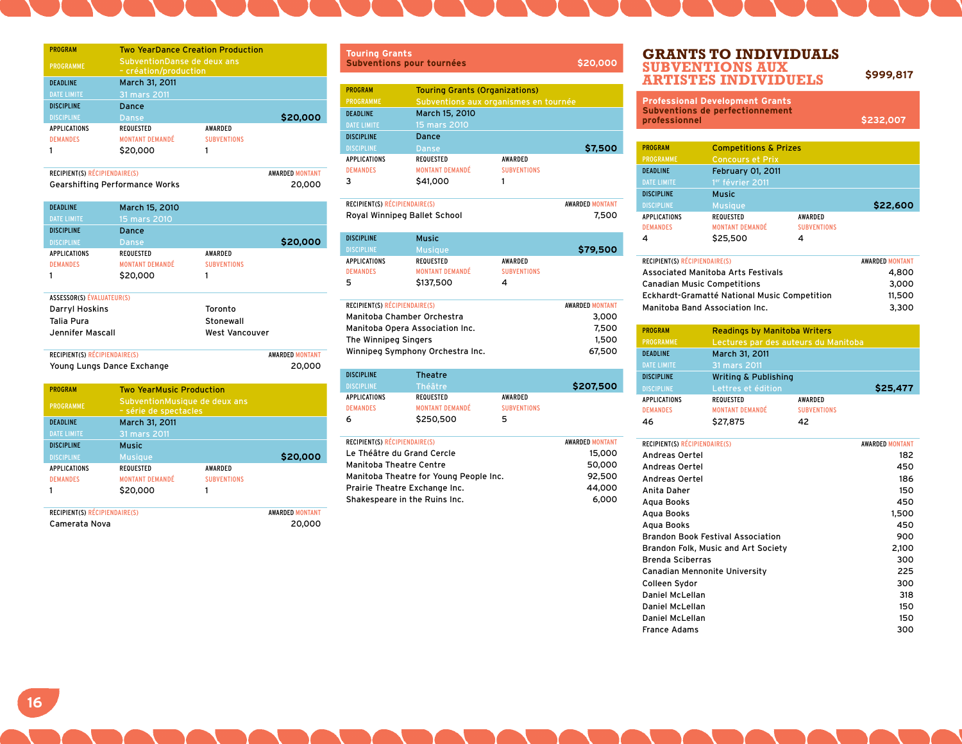| <b>PROGRAM</b>                | <b>Two YearDance Creation Production</b> |                                                             |                        |
|-------------------------------|------------------------------------------|-------------------------------------------------------------|------------------------|
| <b>PROGRAMME</b>              |                                          | <b>SubventionDanse de deux ans</b><br>- création/production |                        |
| <b>DEADLINE</b>               | March 31, 2011                           |                                                             |                        |
| <b>DATE LIMITE</b>            | 31 mars 2011                             |                                                             |                        |
| <b>DISCIPLINE</b>             | Dance                                    |                                                             |                        |
| <b>DISCIPLINE</b>             | Danse                                    |                                                             | \$20,000               |
| <b>APPLICATIONS</b>           | <b>REQUESTED</b>                         | <b>AWARDED</b>                                              |                        |
| <b>DEMANDES</b>               | <b>MONTANT DEMANDÉ</b>                   | <b>SUBVENTIONS</b>                                          |                        |
|                               | \$20,000                                 | 1                                                           |                        |
| RECIPIENT(S) RÉCIPIENDAIRE(S) |                                          |                                                             | <b>AWARDED MONTANT</b> |

Gearshifting Performance Works 20,000

| <b>DEADLINE</b>                      | March 15, 2010             |                        |
|--------------------------------------|----------------------------|------------------------|
| <b>DATE LIMITE</b>                   | 15 mars 2010               |                        |
| <b>DISCIPLINE</b>                    | Dance                      |                        |
| <b>DISCIPLINE</b>                    | Danse                      | \$20,000               |
| <b>APPLICATIONS</b>                  | <b>REQUESTED</b>           | <b>AWARDED</b>         |
| <b>DEMANDES</b>                      | <b>MONTANT DEMANDÉ</b>     | <b>SUBVENTIONS</b>     |
|                                      | \$20,000                   | 1                      |
| <b>ASSESSOR(S) ÉVALUATEUR(S)</b>     |                            |                        |
| Darryl Hoskins                       |                            | Toronto                |
| Talia Pura                           |                            | Stonewall              |
| Jennifer Mascall                     |                            | West Vancouver         |
| <b>RECIPIENT(S) RÉCIPIENDAIRE(S)</b> |                            | <b>AWARDED MONTANT</b> |
|                                      | Young Lungs Dance Exchange | 20,000                 |

| <b>PROGRAM</b>      | <b>Two YearMusic Production</b> |                                                        |          |
|---------------------|---------------------------------|--------------------------------------------------------|----------|
| <b>PROGRAMME</b>    |                                 | SubventionMusique de deux ans<br>- série de spectacles |          |
| <b>DEADLINE</b>     | March 31, 2011                  |                                                        |          |
| <b>DATE LIMITE</b>  | 31 mars 2011                    |                                                        |          |
| <b>DISCIPLINE</b>   | <b>Music</b>                    |                                                        |          |
| <b>DISCIPLINE</b>   | <b>Musique</b>                  |                                                        | \$20,000 |
| <b>APPLICATIONS</b> | <b>REQUESTED</b>                | <b>AWARDED</b>                                         |          |
| <b>DEMANDES</b>     | <b>MONTANT DEMANDÉ</b>          | <b>SUBVENTIONS</b>                                     |          |
|                     | \$20,000                        |                                                        |          |
|                     |                                 |                                                        |          |

| <b>RECIPIENT(S) RÉCIPIENDAIRE(S)</b> | <b>AWARDED MONTANT</b> |
|--------------------------------------|------------------------|
| Camerata Nova                        | 20,000                 |

| <b>Touring Grants</b><br><b>Subventions pour tournées</b>            |                                                                                                                  |                                      | \$20,000 |
|----------------------------------------------------------------------|------------------------------------------------------------------------------------------------------------------|--------------------------------------|----------|
| <b>PROGRAM</b><br>PROGRAMME<br><b>DEADLINE</b><br><b>DATE LIMITE</b> | <b>Touring Grants (Organizations)</b><br>Subventions aux organismes en tournée<br>March 15, 2010<br>15 mars 2010 |                                      |          |
| <b>DISCIPLINE</b><br><b>DISCIPLINE</b>                               | Dance<br><b>Danse</b>                                                                                            |                                      | \$7,500  |
| <b>APPLICATIONS</b><br><b>DEMANDES</b><br>3                          | <b>REQUESTED</b><br><b>MONTANT DEMANDÉ</b><br>\$41,000                                                           | <b>AWARDED</b><br><b>SUBVENTIONS</b> |          |

| <b>RECIPIENT(S) RÉCIPIENDAIRE(S)</b> | <b>AWARDED MONTANT</b> |
|--------------------------------------|------------------------|
| Royal Winnipeg Ballet School         | 7.500                  |

| <b>DISCIPLINE</b>   | <b>Music</b>           |                    |          |
|---------------------|------------------------|--------------------|----------|
| <b>DISCIPLINE</b>   | <b>Musique</b>         |                    | \$79,500 |
| <b>APPLICATIONS</b> | REQUESTED              | AWARDED            |          |
| <b>DEMANDES</b>     | <b>MONTANT DEMANDÉ</b> | <b>SUBVENTIONS</b> |          |
| 5                   | \$137,500              | 4                  |          |

| <b>RECIPIENT(S) RÉCIPIENDAIRE(S)</b> | <b>AWARDED MONTANT</b> |
|--------------------------------------|------------------------|
| Manitoba Chamber Orchestra           | 3.000                  |
| Manitoba Opera Association Inc.      | 7.500                  |
| The Winnipeg Singers                 | 1,500                  |
| Winnipeg Symphony Orchestra Inc.     | 67,500                 |

| <b>DISCIPLINE</b>   | Theatre                |                    |           |
|---------------------|------------------------|--------------------|-----------|
| <b>DISCIPLINE</b>   | Théâtre                |                    | \$207,500 |
| <b>APPLICATIONS</b> | REQUESTED              | AWARDED            |           |
| <b>DEMANDES</b>     | <b>MONTANT DEMANDÉ</b> | <b>SUBVENTIONS</b> |           |
| 6                   | \$250,500              | 5                  |           |

| RECIPIENT(S) RÉCIPIENDAIRE(S)          | <b>AWARDED MONTANT</b> |
|----------------------------------------|------------------------|
| Le Théâtre du Grand Cercle             | 15,000                 |
| <b>Manitoba Theatre Centre</b>         | 50,000                 |
| Manitoba Theatre for Young People Inc. | 92,500                 |
| Prairie Theatre Exchange Inc.          | 44.000                 |
| Shakespeare in the Ruins Inc.          | 6.000                  |
|                                        |                        |

#### **Grants to Individuals Subventions aux Artistes Individuels \$999,817**

| <b>Professional Development Grants</b><br><b>Subventions de perfectionnement</b><br>professionnel |                                  | \$232,007 |  |
|---------------------------------------------------------------------------------------------------|----------------------------------|-----------|--|
|                                                                                                   |                                  |           |  |
| <b>PROGRAM</b>                                                                                    | <b>Competitions &amp; Prizes</b> |           |  |

| PROGRAMME           | <b>Concours et Prix</b>      |                    |          |
|---------------------|------------------------------|--------------------|----------|
| <b>DEADLINE</b>     | February 01, 2011            |                    |          |
| <b>DATE LIMITE</b>  | 1 <sup>er</sup> février 2011 |                    |          |
| <b>DISCIPLINE</b>   | <b>Music</b>                 |                    |          |
| <b>DISCIPLINE</b>   | <b>Musique</b>               |                    | \$22,600 |
| <b>APPLICATIONS</b> | <b>REQUESTED</b>             | <b>AWARDED</b>     |          |
| <b>DEMANDES</b>     | <b>MONTANT DEMANDÉ</b>       | <b>SUBVENTIONS</b> |          |
| 4                   | \$25,500                     | 4                  |          |
|                     |                              |                    |          |

| RECIPIENT(S) RÉCIPIENDAIRE(S)                | <b>AWARDED MONTANT</b> |
|----------------------------------------------|------------------------|
| <b>Associated Manitoba Arts Festivals</b>    | 4.800                  |
| <b>Canadian Music Competitions</b>           | 3.000                  |
| Eckhardt-Gramatté National Music Competition | 11,500                 |
| Manitoba Band Association Inc.               | 3.300                  |

| <b>PROGRAM</b>      | <b>Readings by Manitoba Writers</b>  |                    |          |
|---------------------|--------------------------------------|--------------------|----------|
| <b>PROGRAMME</b>    | Lectures par des auteurs du Manitoba |                    |          |
| <b>DEADLINE</b>     | March 31, 2011                       |                    |          |
| <b>DATE LIMITE</b>  | 31 mars 2011                         |                    |          |
| <b>DISCIPLINE</b>   | <b>Writing &amp; Publishing</b>      |                    |          |
| <b>DISCIPLINE</b>   | Lettres et édition                   |                    | \$25,477 |
| <b>APPLICATIONS</b> | <b>REQUESTED</b>                     | <b>AWARDED</b>     |          |
| <b>DEMANDES</b>     | <b>MONTANT DEMANDÉ</b>               | <b>SUBVENTIONS</b> |          |
| 46                  | \$27,875                             | 42                 |          |

| <b>RECIPIENT(S) RÉCIPIENDAIRE(S)</b>     | <b>AWARDED MONTANT</b> |
|------------------------------------------|------------------------|
| Andreas Oertel                           | 182                    |
| Andreas Oertel                           | 450                    |
| Andreas Oertel                           | 186                    |
| Anita Daher                              | 150                    |
| Agua Books                               | 450                    |
| Agua Books                               | 1,500                  |
| Agua Books                               | 450                    |
| <b>Brandon Book Festival Association</b> | 900                    |
| Brandon Folk, Music and Art Society      | 2,100                  |
| <b>Brenda Sciberras</b>                  | 300                    |
| Canadian Mennonite University            | 225                    |
| Colleen Sydor                            | 300                    |
| Daniel McLellan                          | 318                    |
| Daniel McLellan                          | 150                    |
| Daniel McLellan                          | 150                    |
| <b>France Adams</b>                      | 300                    |
|                                          |                        |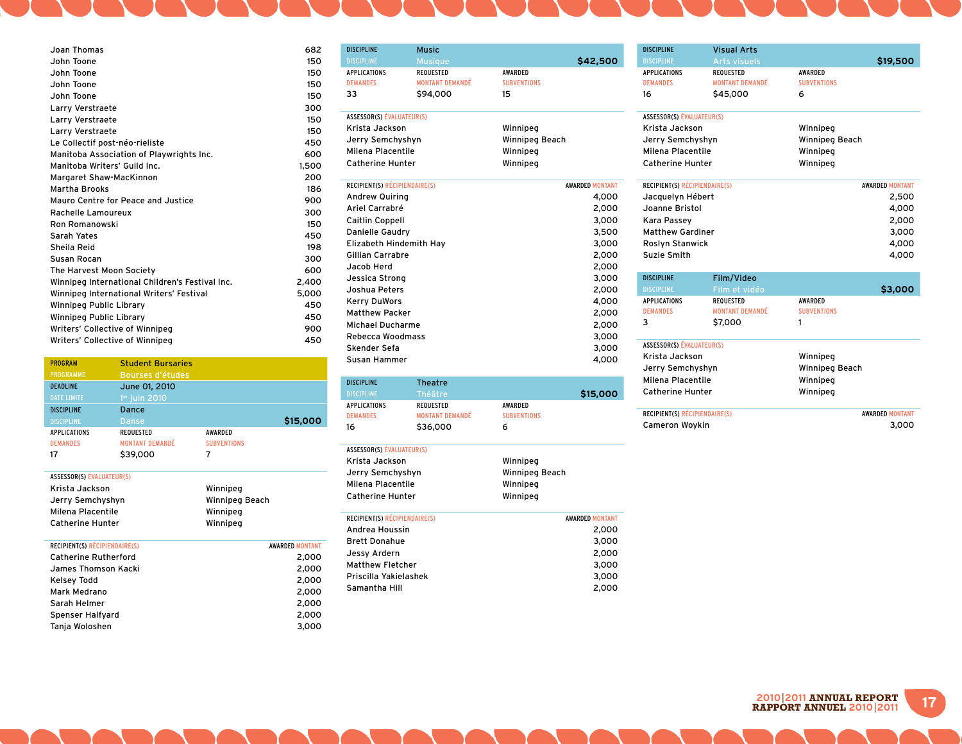| Joan Thomas                                     | 682   |
|-------------------------------------------------|-------|
| John Toone                                      | 150   |
| John Toone                                      | 150   |
| John Toone                                      | 150   |
| John Toone                                      | 150   |
| Larry Verstraete                                | 300   |
| Larry Verstraete                                | 150   |
| Larry Verstraete                                | 150   |
| Le Collectif post-néo-rieliste                  | 450   |
| Manitoba Association of Playwrights Inc.        | 600   |
| Manitoba Writers' Guild Inc.                    | 1,500 |
| Margaret Shaw-MacKinnon                         | 200   |
| <b>Martha Brooks</b>                            | 186   |
| Mauro Centre for Peace and Justice              | 900   |
| Rachelle Lamoureux                              | 300   |
| Ron Romanowski                                  | 150   |
| Sarah Yates                                     | 450   |
| Sheila Reid                                     | 198   |
| Susan Rocan                                     | 300   |
| The Harvest Moon Society                        | 600   |
| Winnipeg International Children's Festival Inc. | 2,400 |
| Winnipeg International Writers' Festival        | 5,000 |
| Winnipeg Public Library                         | 450   |
| Winnipeg Public Library                         | 450   |
| Writers' Collective of Winnipeg                 | 900   |
| Writers' Collective of Winnipea                 | 450   |

| <b>PROGRAM</b>      | <b>Student Bursaries</b> |                    |          |
|---------------------|--------------------------|--------------------|----------|
| <b>PROGRAMME</b>    | Bourses d'études         |                    |          |
| <b>DEADLINE</b>     | June 01, 2010            |                    |          |
| <b>DATE LIMITE</b>  | $1er$ juin 2010          |                    |          |
| <b>DISCIPLINE</b>   | Dance                    |                    |          |
| <b>DISCIPLINE</b>   | Danse                    |                    | \$15,000 |
| <b>APPLICATIONS</b> | <b>REQUESTED</b>         | <b>AWARDED</b>     |          |
| <b>DEMANDES</b>     | <b>MONTANT DEMANDÉ</b>   | <b>SUBVENTIONS</b> |          |
| 17                  | \$39,000                 | 7                  |          |
|                     |                          |                    |          |

| ASSESSOR(S) EVALUATEUR(S)            |                        |
|--------------------------------------|------------------------|
| Krista Jackson                       | Winnipeg               |
| Jerry Semchyshyn                     | Winnipeg Beach         |
| Milena Placentile                    | Winnipeg               |
| <b>Catherine Hunter</b>              | Winnipeg               |
|                                      |                        |
| <b>RECIPIENT(S) RÉCIPIENDAIRE(S)</b> | <b>AWARDED MONTANT</b> |
| <b>Catherine Rutherford</b>          | 2.000                  |
| James Thomson Kacki.                 | 2.000                  |
| Kelsey Todd                          | 2,000                  |
| Mark Medrano                         | 2.000                  |
| Sarah Helmer                         | 2,000                  |
| Spenser Halfyard                     | 2,000                  |
| Tanja Woloshen                       | 3,000                  |
|                                      |                        |

| <b>DISCIPLINE</b>                | <b>Music</b>           |                    |                        |
|----------------------------------|------------------------|--------------------|------------------------|
| <b>DISCIPLINE</b>                | <b>Musique</b>         |                    | \$42,500               |
| APPLICATIONS                     | <b>REQUESTED</b>       | <b>AWARDED</b>     |                        |
| <b>DEMANDES</b>                  | <b>MONTANT DEMANDÉ</b> | <b>SUBVENTIONS</b> |                        |
| 33                               | \$94,000               | 15                 |                        |
| <b>ASSESSOR(S) ÉVALUATEUR(S)</b> |                        |                    |                        |
| Krista Jackson                   |                        | Winnipeg           |                        |
| Jerry Semchyshyn                 |                        | Winnipeg Beach     |                        |
| Milena Placentile                |                        | Winnipeg           |                        |
| <b>Catherine Hunter</b>          |                        | Winnipeg           |                        |
| RECIPIENT(S) RÉCIPIENDAIRE(S)    |                        |                    | <b>AWARDED MONTANT</b> |
| <b>Andrew Quiring</b>            |                        |                    | 4,000                  |
| Ariel Carrabré                   |                        |                    | 2,000                  |
| <b>Caitlin Coppell</b>           |                        |                    | 3,000                  |
| Danielle Gaudry                  |                        |                    | 3,500                  |
| Elizabeth Hindemith Hay          |                        |                    | 3,000                  |
| <b>Gillian Carrabre</b>          |                        |                    | 2,000                  |
| Jacob Herd                       |                        |                    | 2,000                  |
| Jessica Strong                   |                        |                    | 3,000                  |
| Joshua Peters                    |                        |                    | 2,000                  |
| <b>Kerry DuWors</b>              |                        |                    | 4,000                  |
| <b>Matthew Packer</b>            |                        |                    | 2,000                  |
| <b>Michael Ducharme</b>          |                        |                    | 2,000                  |
| Rebecca Woodmass                 |                        |                    | 3,000                  |
| Skender Sefa                     |                        |                    | 3,000                  |
| Susan Hammer                     |                        |                    | 4,000                  |
| <b>DISCIPLINE</b>                | <b>Theatre</b>         |                    |                        |
| <b>DISCIPLINE</b>                | Théâtre                |                    | \$15,000               |
| <b>APPLICATIONS</b>              | <b>REQUESTED</b>       | <b>AWARDED</b>     |                        |
| <b>DEMANDES</b>                  | <b>MONTANT DEMANDÉ</b> | <b>SUBVENTIONS</b> |                        |
| 16                               | \$36,000               | 6                  |                        |

| ASSESSOR(S) ÉVALUATEUR(S)     |                        |  |
|-------------------------------|------------------------|--|
| Krista Jackson                | Winnipeg               |  |
| Jerry Semchyshyn              | Winnipeg Beach         |  |
| Milena Placentile             | Winnipeg               |  |
| Catherine Hunter              | Winnipeg               |  |
| RECIPIENT(S) RÉCIPIENDAIRE(S) | <b>AWARDED MONTANT</b> |  |
| Andrea Houssin                | 2,000                  |  |
| <b>Brett Donahue</b>          | 3,000                  |  |
| Jessy Ardern                  | 2,000                  |  |
| Matthew Fletcher              | 3,000                  |  |
| Priscilla Yakielashek         |                        |  |
| Samantha Hill                 | 2,000                  |  |
|                               |                        |  |
|                               |                        |  |

| <b>DISCIPLINE</b>                                 | <b>Visual Arts</b>     |                            |       |
|---------------------------------------------------|------------------------|----------------------------|-------|
| <b>DISCIPLINE</b>                                 | <b>Arts visuels</b>    | \$19,500                   |       |
| <b>APPLICATIONS</b>                               | <b>REQUESTED</b>       | AWARDED                    |       |
| <b>DEMANDES</b>                                   | <b>MONTANT DEMANDÉ</b> | <b>SUBVENTIONS</b>         |       |
| 16                                                | \$45,000               | 6                          |       |
| <b>ASSESSOR(S) ÉVALUATEUR(S)</b>                  |                        |                            |       |
| Krista Jackson                                    |                        | Winnipeg                   |       |
| Jerry Semchyshyn                                  |                        | Winnipeg Beach<br>Winnipeg |       |
| Milena Placentile                                 |                        |                            |       |
| <b>Catherine Hunter</b>                           |                        | Winnipeg                   |       |
| RECIPIENT(S) RÉCIPIENDAIRE(S)                     |                        | <b>AWARDED MONTANT</b>     |       |
| Jacquelyn Hébert                                  |                        |                            | 2,500 |
| Joanne Bristol                                    |                        |                            | 4,000 |
| Kara Passev                                       |                        |                            | 2,000 |
| <b>Matthew Gardiner</b><br><b>Roslyn Stanwick</b> |                        |                            | 3,000 |
|                                                   |                        |                            | 4,000 |
| Suzie Smith                                       |                        |                            | 4,000 |
| <b>DISCIPLINE</b>                                 | Film/Video             |                            |       |
| <b>DISCIPLINE</b>                                 | Film et vidéo          | \$3,000                    |       |
| <b>APPLICATIONS</b>                               | REQUESTED              | AWARDED                    |       |
| <b>DEMANDES</b>                                   | <b>MONTANT DEMANDÉ</b> | <b>SUBVENTIONS</b>         |       |
| 3                                                 | \$7,000                | 1                          |       |
| <b>ASSESSOR(S) ÉVALUATEUR(S)</b>                  |                        |                            |       |
| Krista Jackson                                    |                        | Winnipeg                   |       |
| Jerry Semchyshyn                                  |                        | Winnipeg Beach             |       |
| Milena Placentile                                 |                        | Winnipeg                   |       |
| <b>Catherine Hunter</b>                           |                        | Winnipeg                   |       |
| RECIPIENT(S) RÉCIPIENDAIRE(S)                     |                        | <b>AWARDED MONTANT</b>     |       |
| Cameron Woykin                                    |                        |                            | 3.000 |

**17 <sup>2010</sup>**|**2011 ANNUaL REPORT RAPPORT ANNUEL 2010**|**2011**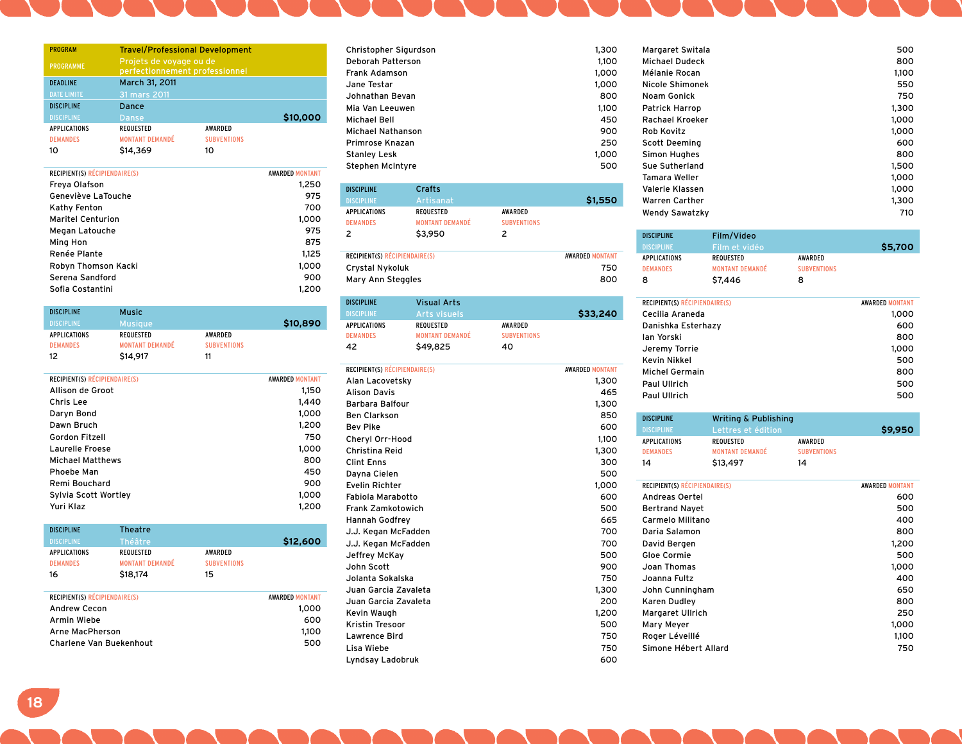| <b>PROGRAM</b>      | <b>Travel/Professional Development</b>                    |                    |          |
|---------------------|-----------------------------------------------------------|--------------------|----------|
| <b>PROGRAMME</b>    | Projets de voyage ou de<br>perfectionnement professionnel |                    |          |
| <b>DEADLINE</b>     | March 31, 2011                                            |                    |          |
| <b>DATE LIMITE</b>  | 31 mars 2011                                              |                    |          |
| <b>DISCIPLINE</b>   | Dance                                                     |                    |          |
| <b>DISCIPLINE</b>   | <b>Danse</b>                                              |                    | \$10,000 |
| <b>APPLICATIONS</b> | <b>REQUESTED</b>                                          | AWARDED            |          |
| <b>DEMANDES</b>     | <b>MONTANT DEMANDÉ</b>                                    | <b>SUBVENTIONS</b> |          |
| 10                  | \$14,369                                                  | 10                 |          |

| RECIPIENT(S) RÉCIPIENDAIRE(S) | <b>AWARDED MONTANT</b> |
|-------------------------------|------------------------|
| Freya Olafson                 | 1,250                  |
| Geneviève LaTouche            | 975                    |
| Kathy Fenton                  | 700                    |
| <b>Maritel Centurion</b>      | 1,000                  |
| Megan Latouche                | 975                    |
| Ming Hon                      | 875                    |
| Renée Plante                  | 1.125                  |
| Robyn Thomson Kacki           | 1,000                  |
| Serena Sandford               | 900                    |
| Sofia Costantini              | 1,200                  |
|                               |                        |

| <b>DISCIPLINE</b>   | <b>Music</b>           |                    |          |
|---------------------|------------------------|--------------------|----------|
| <b>DISCIPLINE</b>   | <b>Musique</b>         |                    | \$10,890 |
| <b>APPLICATIONS</b> | REQUESTED              | AWARDED            |          |
| <b>DEMANDES</b>     | <b>MONTANT DEMANDÉ</b> | <b>SUBVENTIONS</b> |          |
| 12                  | \$14,917               | 11                 |          |

| RECIPIENT(S) RÉCIPIENDAIRE(S) | <b>AWARDED MONTANT</b> |
|-------------------------------|------------------------|
| Allison de Groot              | 1.150                  |
| Chris Lee                     | 1.440                  |
| Daryn Bond                    | 1.000                  |
| Dawn Bruch                    | 1,200                  |
| Gordon Fitzell                | 750                    |
| Laurelle Froese               | 1.000                  |
| <b>Michael Matthews</b>       | 800                    |
| Phoebe Man                    | 450                    |
| Remi Bouchard                 | 900                    |
| Sylvia Scott Wortley          | 1.000                  |
| Yuri Klaz                     | 1.200                  |
|                               |                        |

| <b>DISCIPLINE</b>             | <b>Theatre</b>         |                    |                        |
|-------------------------------|------------------------|--------------------|------------------------|
| <b>DISCIPLINE</b>             | Théâtre                |                    | \$12,600               |
| <b>APPLICATIONS</b>           | <b>REQUESTED</b>       | <b>AWARDED</b>     |                        |
| <b>DEMANDES</b>               | <b>MONTANT DEMANDÉ</b> | <b>SUBVENTIONS</b> |                        |
| 16                            | \$18,174               | 15                 |                        |
|                               |                        |                    |                        |
| RECIPIENT(S) RÉCIPIENDAIRE(S) |                        |                    | <b>AWARDED MONTANT</b> |
| <b>Andrew Cecon</b>           |                        |                    | 1,000                  |
| Armin Wiebe                   |                        |                    | 600                    |
| Arne MacPherson               |                        |                    | 1,100                  |
| Charlene Van Buekenhout       |                        |                    | 500                    |

| Christopher Sigurdson | 1.300 |
|-----------------------|-------|
| Deborah Patterson     | 1.100 |
| Frank Adamson         | 1,000 |
| Jane Testar           | 1.000 |
| Johnathan Bevan       | 800   |
| Mia Van Leeuwen       | 1.100 |
| Michael Bell          | 450   |
| Michael Nathanson     | 900   |
| Primrose Knazan       | 250   |
| Stanley Lesk          | 1.000 |
| Stephen McIntyre      | 500   |
|                       |       |

| <b>DISCIPLINE</b><br><b>DISCIPLINE</b><br><b>APPLICATIONS</b><br><b>DEMANDES</b><br>2 | Crafts<br>Artisanat<br><b>REQUESTED</b><br><b>MONTANT DEMANDÉ</b><br>\$3,950 | <b>AWARDED</b><br><b>SUBVENTIONS</b><br>2 | \$1,550                              |
|---------------------------------------------------------------------------------------|------------------------------------------------------------------------------|-------------------------------------------|--------------------------------------|
| <b>RECIPIENT(S) RÉCIPIENDAIRE(S)</b><br>Crystal Nykoluk<br>Mary Ann Steggles          |                                                                              |                                           | <b>AWARDED MONTANT</b><br>750<br>800 |

| <b>DISCIPLINE</b> | <b>Visual Arts</b>     |                    |          |
|-------------------|------------------------|--------------------|----------|
| <b>DISCIPLINE</b> | Arts visuels           |                    | \$33,240 |
| APPLICATIONS      | REQUESTED              | AWARDED            |          |
| <b>DEMANDES</b>   | <b>MONTANT DEMANDÉ</b> | <b>SUBVENTIONS</b> |          |
| 42                | \$49,825               | 40                 |          |

| RECIPIENT(S) RÉCIPIENDAIRE(S) | <b>AWARDED MONTANT</b> |
|-------------------------------|------------------------|
| Alan Lacovetsky               | 1,300                  |
| <b>Alison Davis</b>           | 465                    |
| Barbara Balfour               | 1,300                  |
| <b>Ben Clarkson</b>           | 850                    |
| <b>Bev Pike</b>               | 600                    |
| Cheryl Orr-Hood               | 1,100                  |
| Christina Reid                | 1,300                  |
| <b>Clint Enns</b>             | 300                    |
| Dayna Cielen                  | 500                    |
| <b>Evelin Richter</b>         | 1,000                  |
| Fabiola Marabotto             | 600                    |
| <b>Frank Zamkotowich</b>      | 500                    |
| <b>Hannah Godfrey</b>         | 665                    |
| J.J. Kegan McFadden           | 700                    |
| J.J. Kegan McFadden           | 700                    |
| Jeffrey McKay                 | 500                    |
| John Scott                    | 900                    |
| Jolanta Sokalska              | 750                    |
| Juan Garcia Zavaleta          | 1,300                  |
| Juan Garcia Zavaleta          | 200                    |
| Kevin Waugh                   | 1,200                  |
| Kristin Tresoor               | 500                    |
| Lawrence Bird                 | 750                    |
| Lisa Wiebe                    | 750                    |
| Lyndsay Ladobruk              | 600                    |

| Margaret Switala       | 500   |
|------------------------|-------|
| Michael Dudeck         | 800   |
| Mélanie Rocan          | 1,100 |
| Nicole Shimonek        | 550   |
| Noam Gonick            | 750   |
| <b>Patrick Harrop</b>  | 1,300 |
| <b>Rachael Kroeker</b> | 1,000 |
| Rob Kovitz             | 1,000 |
| Scott Deeming          | 600   |
| Simon Hughes           | 800   |
| Sue Sutherland         | 1,500 |
| Tamara Weller          | 1.000 |
| Valerie Klassen        | 1,000 |
| Warren Carther         | 1,300 |
| <b>Wendy Sawatzky</b>  | 710   |

| <b>DISCIPLINE</b>   | Film/Video             |                    |         |
|---------------------|------------------------|--------------------|---------|
| <b>DISCIPLINE</b>   | Film et vidéo          |                    | \$5,700 |
| <b>APPLICATIONS</b> | REQUESTED              | AWARDED            |         |
| <b>DEMANDES</b>     | <b>MONTANT DEMANDÉ</b> | <b>SUBVENTIONS</b> |         |
| 8                   | \$7,446                | 8                  |         |

| <b>RECIPIENT(S) RÉCIPIENDAIRE(S)</b> | <b>AWARDED MONTANT</b> |
|--------------------------------------|------------------------|
| Cecilia Araneda                      | 1,000                  |
| Danishka Esterhazy                   | 600                    |
| lan Yorski                           | 800                    |
| Jeremy Torrie                        | 1,000                  |
| <b>Kevin Nikkel</b>                  | 500                    |
| <b>Michel Germain</b>                | 800                    |
| Paul Ullrich                         | 500                    |
| Paul Ullrich                         | 500                    |
|                                      |                        |

| <b>DISCIPLINE</b>   | Writing & Publishing   |                    |         |
|---------------------|------------------------|--------------------|---------|
| <b>DISCIPLINE</b>   | Lettres et édition     |                    | \$9,950 |
| <b>APPLICATIONS</b> | REQUESTED              | AWARDED            |         |
| <b>DEMANDES</b>     | <b>MONTANT DEMANDÉ</b> | <b>SUBVENTIONS</b> |         |
| 14                  | \$13,497               | 14                 |         |

| D | RECIPIENT(S) RÉCIPIENDAIRE(S) | <b>AWARDED MONTANT</b> |
|---|-------------------------------|------------------------|
| D | Andreas Oertel                | 600                    |
| D | <b>Bertrand Nayet</b>         | 500                    |
| 5 | Carmelo Militano              | 400                    |
| D | Daria Salamon                 | 800                    |
| D | David Bergen                  | 1,200                  |
| D | Gloe Cormie                   | 500                    |
| D | Joan Thomas                   | 1.000                  |
| D | Joanna Fultz                  | 400                    |
| D | John Cunningham               | 650                    |
| D | Karen Dudley                  | 800                    |
| D | <b>Margaret Ullrich</b>       | 250                    |
| D | Mary Meyer                    | 1,000                  |
| D | Roger Léveillé                | 1,100                  |
| D | Simone Hébert Allard          | 750                    |
| ٥ |                               |                        |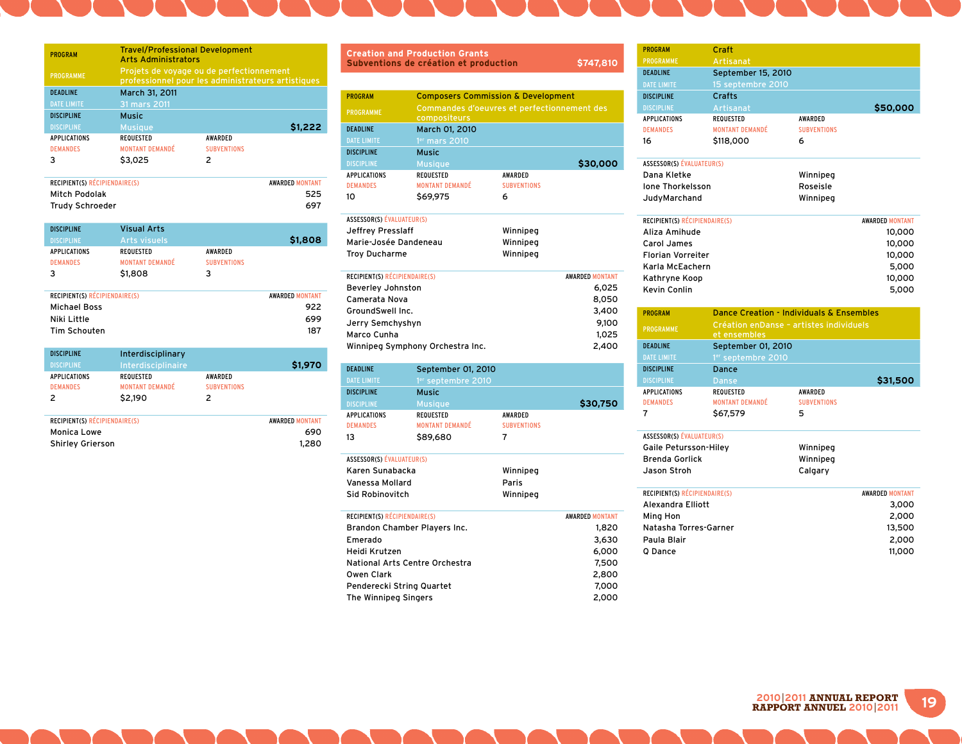| <b>PROGRAM</b>      | <b>Travel/Professional Development</b><br><b>Arts Administrators</b> |                                                                                                |         |  |
|---------------------|----------------------------------------------------------------------|------------------------------------------------------------------------------------------------|---------|--|
| <b>PROGRAMME</b>    |                                                                      | Projets de voyage ou de perfectionnement<br>professionnel pour les administrateurs artistiques |         |  |
| <b>DEADLINE</b>     | March 31, 2011                                                       |                                                                                                |         |  |
| <b>DATE LIMITE</b>  | 31 mars 2011                                                         |                                                                                                |         |  |
| <b>DISCIPLINE</b>   | <b>Music</b>                                                         |                                                                                                |         |  |
| <b>DISCIPLINE</b>   | <b>Musique</b>                                                       |                                                                                                | \$1,222 |  |
| <b>APPLICATIONS</b> | <b>REQUESTED</b>                                                     | <b>AWARDED</b>                                                                                 |         |  |
| <b>DEMANDES</b>     | <b>MONTANT DEMANDÉ</b>                                               | <b>SUBVENTIONS</b>                                                                             |         |  |
| ٦                   | \$3,025                                                              | 2                                                                                              |         |  |
|                     |                                                                      |                                                                                                |         |  |

| <b>RECIPIENT(S) RÉCIPIENDAIRE(S)</b> | <b>AWARDED MONTANT</b> |
|--------------------------------------|------------------------|
| Mitch Podolak                        | 525                    |
| Trudy Schroeder                      | 697                    |

| <b>DISCIPLINE</b>                    | <b>Visual Arts</b>     |                    |                        |
|--------------------------------------|------------------------|--------------------|------------------------|
| <b>DISCIPLINE</b>                    | <b>Arts visuels</b>    |                    | \$1,808                |
| <b>APPLICATIONS</b>                  | <b>REQUESTED</b>       | <b>AWARDED</b>     |                        |
| <b>DEMANDES</b>                      | <b>MONTANT DEMANDÉ</b> | <b>SUBVENTIONS</b> |                        |
| 3                                    | \$1,808                | 3                  |                        |
|                                      |                        |                    |                        |
| <b>RECIPIENT(S) RÉCIPIENDAIRE(S)</b> |                        |                    | <b>AWARDED MONTANT</b> |
| <b>Michael Boss</b>                  |                        |                    | 922                    |
| Niki Little                          |                        |                    | 699                    |
| Tim Schouten                         |                        |                    | 187                    |

| <b>DISCIPLINE</b><br><b>DISCIPLINE</b><br><b>APPLICATIONS</b><br><b>DEMANDES</b><br>2 | Interdisciplinary<br>Interdisciplinaire<br><b>REQUESTED</b><br><b>MONTANT DEMANDÉ</b><br>\$2,190 | <b>AWARDED</b><br><b>SUBVENTIONS</b><br>2 | \$1,970                                |
|---------------------------------------------------------------------------------------|--------------------------------------------------------------------------------------------------|-------------------------------------------|----------------------------------------|
| RECIPIENT(S) RÉCIPIENDAIRE(S)<br>Monica Lowe<br><b>Shirley Grierson</b>               |                                                                                                  |                                           | <b>AWARDED MONTANT</b><br>690<br>1,280 |

| <b>Creation and Production Grants</b><br>\$747,810<br>Subventions de création et production |                                                             |                    |          |  |
|---------------------------------------------------------------------------------------------|-------------------------------------------------------------|--------------------|----------|--|
|                                                                                             |                                                             |                    |          |  |
| <b>PROGRAM</b>                                                                              | <b>Composers Commission &amp; Development</b>               |                    |          |  |
| <b>PROGRAMME</b>                                                                            | Commandes d'oeuvres et perfectionnement des<br>compositeurs |                    |          |  |
| <b>DEADLINE</b>                                                                             | March 01, 2010                                              |                    |          |  |
| <b>DATE LIMITE</b>                                                                          | 1 <sup>er</sup> mars 2010                                   |                    |          |  |
| <b>DISCIPLINE</b>                                                                           | <b>Music</b>                                                |                    |          |  |
| <b>DISCIPLINE</b>                                                                           | <b>Musique</b>                                              |                    | \$30,000 |  |
| <b>APPLICATIONS</b>                                                                         | <b>REQUESTED</b>                                            | <b>AWARDED</b>     |          |  |
| <b>DEMANDES</b>                                                                             | <b>MONTANT DEMANDÉ</b>                                      | <b>SUBVENTIONS</b> |          |  |
| 10                                                                                          | \$69,975                                                    | 6                  |          |  |

| ASSESSOR(S) ÉVALUATEUR(S)     |          |                        |
|-------------------------------|----------|------------------------|
| Jeffrey Presslaff             | Winnipeg |                        |
| Marie-Josée Dandeneau         | Winnipeg |                        |
| <b>Troy Ducharme</b>          | Winnipeg |                        |
|                               |          |                        |
| RECIPIENT(S) RÉCIPIENDAIRE(S) |          | <b>AWARDED MONTANT</b> |

| 6.025 |
|-------|
| 8.050 |
| 3,400 |
| 9,100 |
| 1.025 |
| 2,400 |
|       |

| <b>DEADLINE</b>     | September 01, 2010             |                    |          |
|---------------------|--------------------------------|--------------------|----------|
| <b>DATE LIMITE</b>  | 1 <sup>er</sup> septembre 2010 |                    |          |
| <b>DISCIPLINE</b>   | <b>Music</b>                   |                    |          |
| <b>DISCIPLINE</b>   | <b>Musique</b>                 |                    | \$30,750 |
| <b>APPLICATIONS</b> | <b>REQUESTED</b>               | <b>AWARDED</b>     |          |
| <b>DEMANDES</b>     | <b>MONTANT DEMANDÉ</b>         | <b>SUBVENTIONS</b> |          |
| 13                  | \$89,680                       |                    |          |

| <b>ASSESSOR(S) ÉVALUATEUR(S)</b>     |          |                        |
|--------------------------------------|----------|------------------------|
| Karen Sunabacka                      | Winnipeg |                        |
| Vanessa Mollard                      | Paris    |                        |
| Sid Robinovitch                      | Winnipeg |                        |
| <b>RECIPIENT(S) RÉCIPIENDAIRE(S)</b> |          | <b>AWARDED MONTANT</b> |
|                                      |          |                        |
| Brandon Chamber Players Inc.         |          | 1,820                  |
| _ _                                  |          | - ---                  |

| <b>Pranaon Chamber Flavers me.</b> |       |
|------------------------------------|-------|
| Emerado                            | 3,630 |
| Heidi Krutzen                      | 6,000 |
| National Arts Centre Orchestra     | 7.500 |
| Owen Clark                         | 2,800 |
| Penderecki String Quartet          | 7.000 |
| The Winnipeg Singers               | 2,000 |

| <b>PROGRAM</b>                   | Craft                                                    |                                                     |
|----------------------------------|----------------------------------------------------------|-----------------------------------------------------|
| <b>PROGRAMME</b>                 | Artisanat                                                |                                                     |
| <b>DEADLINE</b>                  | September 15, 2010                                       |                                                     |
| <b>DATE LIMITE</b>               | 15 septembre 2010                                        |                                                     |
| <b>DISCIPLINE</b>                | Crafts                                                   |                                                     |
| <b>DISCIPLINE</b>                | Artisanat                                                | \$50,000                                            |
| <b>APPLICATIONS</b>              | <b>REQUESTED</b>                                         | AWARDED                                             |
| <b>DEMANDES</b>                  | <b>MONTANT DEMANDÉ</b>                                   | <b>SUBVENTIONS</b>                                  |
| 16                               | \$118,000                                                | 6                                                   |
| <b>ASSESSOR(S) ÉVALUATEUR(S)</b> |                                                          |                                                     |
| Dana Kletke                      |                                                          | Winnipeg                                            |
| <b>Ione Thorkelsson</b>          |                                                          | Roseisle                                            |
| JudyMarchand                     |                                                          | Winnipeg                                            |
| RECIPIENT(S) RÉCIPIENDAIRE(S)    |                                                          | <b>AWARDED MONTANT</b>                              |
| Aliza Amihude                    |                                                          | 10,000                                              |
| Carol James                      |                                                          | 10,000                                              |
| <b>Florian Vorreiter</b>         |                                                          | 10,000                                              |
| Karla McEachern                  |                                                          | 5,000                                               |
| Kathryne Koop                    |                                                          | 10,000                                              |
| Kevin Conlin                     |                                                          | 5,000                                               |
| <b>PROGRAM</b>                   |                                                          | <b>Dance Creation - Individuals &amp; Ensembles</b> |
| <b>PROGRAMME</b>                 | Création en Danse - artistes individuels<br>et ensembles |                                                     |
| <b>DEADLINE</b>                  | September 01, 2010                                       |                                                     |
| <b>DATE LIMITE</b>               | 1er septembre 2010                                       |                                                     |
| <b>DISCIPLINE</b>                | Dance                                                    |                                                     |
| <b>DISCIPLINE</b>                | Danse                                                    | \$31,500                                            |
| <b>APPLICATIONS</b>              | <b>REQUESTED</b>                                         | AWARDED                                             |
| <b>DEMANDES</b>                  | <b>MONTANT DEMANDÉ</b>                                   | <b>SUBVENTIONS</b>                                  |
| 7                                | \$67,579                                                 | 5                                                   |
| <b>ASSESSOR(S) ÉVALUATEUR(S)</b> |                                                          |                                                     |
| Gaile Petursson-Hiley            |                                                          | Winnipeg                                            |
| <b>Brenda Gorlick</b>            |                                                          | Winnipeg                                            |
| Jason Stroh                      |                                                          | Calgary                                             |

| RECIPIENT(S) RÉCIPIENDAIRE(S) | <b>AWARDED MONTANT</b> |
|-------------------------------|------------------------|
| Alexandra Elliott             | 3,000                  |
| Ming Hon                      | 2.000                  |
| Natasha Torres-Garner         | 13,500                 |
| Paula Blair                   | 2.000                  |
| O Dance                       | 11.000                 |

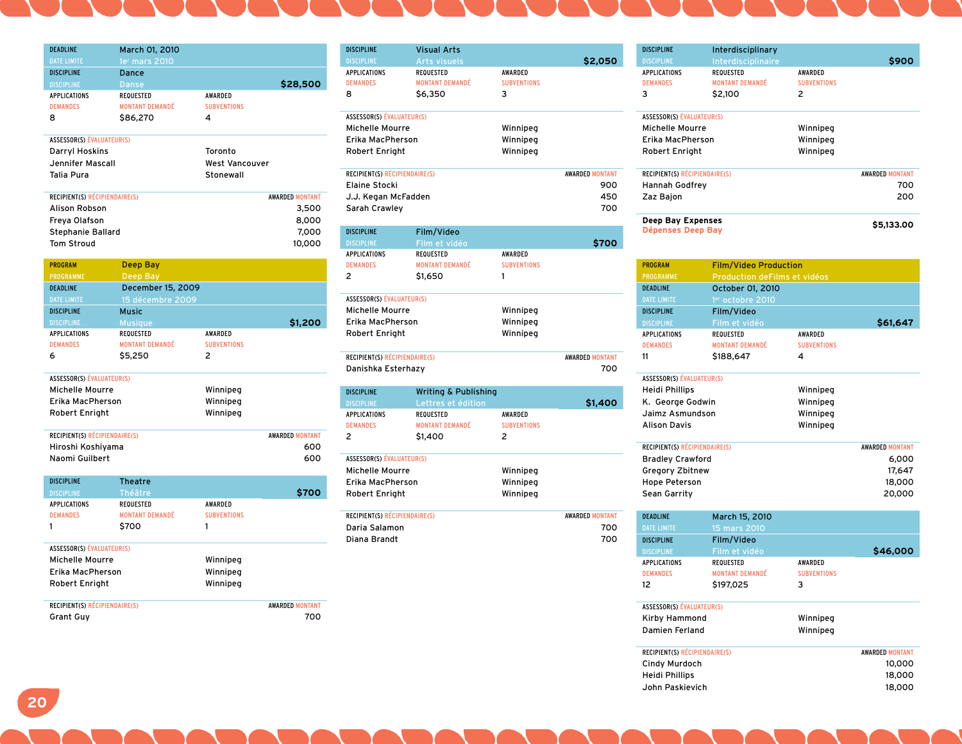| <b>DEADLINE</b>                  | March 01, 2010         |                       |                        |
|----------------------------------|------------------------|-----------------------|------------------------|
| <b>DATE LIMITE</b>               | 1er mars 2010          |                       |                        |
| <b>DISCIPLINE</b>                | Dance                  |                       |                        |
| <b>DISCIPLINE</b>                | <b>Danse</b>           |                       | \$28,500               |
| <b>APPLICATIONS</b>              | <b>REQUESTED</b>       | AWARDED               |                        |
| <b>DEMANDES</b>                  | <b>MONTANT DEMANDÉ</b> | <b>SUBVENTIONS</b>    |                        |
| 8                                | \$86,270               | 4                     |                        |
| <b>ASSESSOR(S) ÉVALUATEUR(S)</b> |                        |                       |                        |
| <b>Darryl Hoskins</b>            |                        | Toronto               |                        |
| Jennifer Mascall                 |                        | <b>West Vancouver</b> |                        |
| Talia Pura                       |                        | Stonewall             |                        |
| RECIPIENT(S) RÉCIPIENDAIRE(S)    |                        |                       | <b>AWARDED MONTANT</b> |
| Alison Robson                    |                        |                       | 3,500                  |
| Freya Olafson                    |                        |                       | 8,000                  |
| Stephanie Ballard                |                        |                       | 7,000                  |
| <b>Tom Stroud</b>                |                        |                       | 10,000                 |
| <b>PROGRAM</b>                   | Deep Bay               |                       |                        |
| <b>PROGRAMME</b>                 | Deep Bay               |                       |                        |
| <b>DEADLINE</b>                  | December 15, 2009      |                       |                        |
| <b>DATE LIMITE</b>               | 15 décembre 2009       |                       |                        |
| <b>DISCIPLINE</b>                | <b>Music</b>           |                       |                        |
| <b>DISCIPLINE</b>                | <b>Musique</b>         |                       | \$1,200                |
| <b>APPLICATIONS</b>              | <b>REQUESTED</b>       | AWARDED               |                        |
| <b>DEMANDES</b>                  | <b>MONTANT DEMANDÉ</b> | <b>SUBVENTIONS</b>    |                        |
| 6                                | \$5,250                | 2                     |                        |
| <b>ASSESSOR(S) ÉVALUATEUR(S)</b> |                        |                       |                        |
| Michelle Mourre                  |                        | Winnipeg              |                        |
| Erika MacPherson                 |                        | Winnipeg              |                        |
| Robert Enright                   |                        | Winnipeg              |                        |
| RECIPIENT(S) RÉCIPIENDAIRE(S)    |                        |                       | <b>AWARDED MONTANT</b> |
| Hiroshi Koshiyama                |                        |                       | 600                    |
| Naomi Guilbert                   |                        |                       | 600                    |
| <b>DISCIPLINE</b>                | <b>Theatre</b>         |                       |                        |
| <b>DISCIPLINE</b>                | Théâtre                |                       | \$700                  |
| <b>APPLICATIONS</b>              | <b>REQUESTED</b>       | AWARDED               |                        |
| <b>DEMANDEC</b>                  | MONTANT DEMANDÉ        | <b>CHRVENTIONS</b>    |                        |

|                                  |                    | <b>S700</b>            |
|----------------------------------|--------------------|------------------------|
| <b>REQUESTED</b>                 | <b>AWARDED</b>     |                        |
| <b>MONTANT DEMANDÉ</b>           | <b>SUBVENTIONS</b> |                        |
| \$700                            | 1                  |                        |
| <b>ASSESSOR(S) ÉVALUATEUR(S)</b> |                    |                        |
|                                  | Winnipeg           |                        |
| Erika MacPherson                 | Winnipeg           |                        |
|                                  | Winnipeg           |                        |
| RECIPIENT(S) RÉCIPIENDAIRE(S)    |                    | <b>AWARDED MONTANT</b> |
|                                  |                    | 700                    |
|                                  |                    | Théâtre                |

| <b>DISCIPLINE</b>                    | <b>Visual Arts</b>              |                    |                        |
|--------------------------------------|---------------------------------|--------------------|------------------------|
| <b>DISCIPLINE</b>                    | <b>Arts visuels</b>             |                    | \$2,050                |
| <b>APPLICATIONS</b>                  | <b>REQUESTED</b>                | AWARDED            |                        |
| <b>DEMANDES</b>                      | <b>MONTANT DEMANDÉ</b>          | <b>SUBVENTIONS</b> |                        |
| 8                                    | \$6,350                         | 3                  |                        |
| ASSESSOR(S) ÉVALUATEUR(S)            |                                 |                    |                        |
| <b>Michelle Mourre</b>               |                                 | Winnipeg           |                        |
| Erika MacPherson                     |                                 | Winnipeg           |                        |
| Robert Enright                       |                                 | Winnipeg           |                        |
| RECIPIENT(S) RÉCIPIENDAIRE(S)        |                                 |                    | <b>AWARDED MONTANT</b> |
| <b>Elaine Stocki</b>                 |                                 |                    | 900                    |
| J.J. Kegan McFadden                  |                                 |                    | 450                    |
| Sarah Crawley                        |                                 |                    | 700                    |
| <b>DISCIPLINE</b>                    | Film/Video                      |                    |                        |
| <b>DISCIPLINE</b>                    | Film et vidéo                   |                    | \$700                  |
| <b>APPLICATIONS</b>                  | <b>REQUESTED</b>                | AWARDED            |                        |
| <b>DEMANDES</b>                      | <b>MONTANT DEMANDÉ</b>          | <b>SUBVENTIONS</b> |                        |
| 2                                    | \$1,650                         | 1                  |                        |
|                                      |                                 |                    |                        |
| <b>ASSESSOR(S) ÉVALUATEUR(S)</b>     |                                 |                    |                        |
| Michelle Mourre                      |                                 | Winnipeg           |                        |
| Erika MacPherson                     |                                 | Winnipeg           |                        |
| Robert Enright                       |                                 | Winnipeg           |                        |
| RECIPIENT(S) RÉCIPIENDAIRE(S)        |                                 |                    | <b>AWARDED MONTANT</b> |
| Danishka Esterhazy                   |                                 |                    | 700                    |
| <b>DISCIPLINE</b>                    | <b>Writing &amp; Publishing</b> |                    |                        |
| <b>DISCIPLINE</b>                    | Lettres et édition              |                    | \$1,400                |
| <b>APPLICATIONS</b>                  | <b>REQUESTED</b>                | AWARDED            |                        |
| <b>DEMANDES</b>                      | <b>MONTANT DEMANDÉ</b>          | <b>SUBVENTIONS</b> |                        |
| $\overline{\phantom{a}}$             | \$1,400                         | 2                  |                        |
| <b>ASSESSOR(S) ÉVALUATEUR(S)</b>     |                                 |                    |                        |
| Michelle Mourre                      |                                 | Winnipeg           |                        |
| Erika MacPherson                     |                                 | Winnipeg           |                        |
| Robert Enright                       |                                 | Winnipeg           |                        |
| <b>RECIPIENT(S) RÉCIPIENDAIRE(S)</b> |                                 |                    | <b>AWARDED MONTANT</b> |
| Daria Salamon                        |                                 |                    | 700                    |
| Diana Brandt                         |                                 |                    | 700                    |

| <b>DISCIPLINE</b>                                        | Interdisciplinary            |                          |                                 |
|----------------------------------------------------------|------------------------------|--------------------------|---------------------------------|
| <b>DISCIPLINE</b>                                        | Interdisciplinaire           |                          | \$900                           |
| APPLICATIONS                                             | <b>REQUESTED</b>             | <b>AWARDED</b>           |                                 |
| <b>DEMANDES</b>                                          | <b>MONTANT DEMANDÉ</b>       | <b>SUBVENTIONS</b>       |                                 |
| 3                                                        | \$2,100                      | $\overline{\phantom{a}}$ |                                 |
| <b>ASSESSOR(S) ÉVALUATEUR(S)</b>                         |                              |                          |                                 |
| Michelle Mourre                                          |                              | Winnipeg                 |                                 |
| Erika MacPherson                                         |                              | Winnipeg                 |                                 |
| Robert Enright                                           |                              | Winnipeg                 |                                 |
| RECIPIENT(S) RÉCIPIENDAIRE(S)                            |                              |                          | <b>AWARDED MONTANT</b>          |
| Hannah Godfrey                                           |                              |                          | 700                             |
| Zaz Bajon                                                |                              |                          | 200                             |
| <b>Deep Bay Expenses</b>                                 |                              |                          |                                 |
| Dépenses Deep Bay                                        |                              |                          |                                 |
| <b>PROGRAM</b>                                           | <b>Film/Video Production</b> |                          |                                 |
| <b>PROGRAMME</b>                                         | Production deFilms et vidéos |                          | \$5,133.00                      |
| <b>DEADLINE</b>                                          | October 01, 2010             |                          |                                 |
| <b>DATE LIMITE</b>                                       | 1er octobre 2010             |                          |                                 |
| <b>DISCIPLINE</b>                                        | Film/Video                   |                          |                                 |
| <b>DISCIPLINE</b>                                        | Film et vidéo                |                          | \$61,647                        |
| <b>APPLICATIONS</b>                                      | <b>REQUESTED</b>             | <b>AWARDED</b>           |                                 |
| <b>DEMANDES</b>                                          | <b>MONTANT DEMANDÉ</b>       | <b>SUBVENTIONS</b>       |                                 |
| 11                                                       | \$188.647                    | 4                        |                                 |
| <b>ASSESSOR(S) ÉVALUATEUR(S)</b>                         |                              |                          |                                 |
| Heidi Phillips                                           |                              | Winnipeg                 |                                 |
| K. George Godwin                                         |                              | Winnipeg                 |                                 |
| Jaimz Asmundson                                          |                              | Winnipeg                 |                                 |
| <b>Alison Davis</b>                                      |                              | Winnipeg                 |                                 |
| RECIPIENT(S) RÉCIPIENDAIRE(S)<br><b>Bradley Crawford</b> |                              |                          | <b>AWARDED MONTANT</b><br>6.000 |

| <b>Hope Peterson</b><br>Sean Garrity |                        |                    | 18,000<br>20,000       |
|--------------------------------------|------------------------|--------------------|------------------------|
| <b>DEADLINE</b>                      | March 15, 2010         |                    |                        |
| <b>DATE LIMITE</b>                   | 15 mars 2010           |                    |                        |
| <b>DISCIPLINE</b>                    | Film/Video             |                    |                        |
| <b>DISCIPLINE</b>                    | Film et vidéo          |                    | \$46,000               |
| <b>APPLICATIONS</b>                  | <b>REQUESTED</b>       | <b>AWARDED</b>     |                        |
| <b>DEMANDES</b>                      | <b>MONTANT DEMANDÉ</b> | <b>SUBVENTIONS</b> |                        |
| 12                                   | \$197,025              | 3                  |                        |
| ASSESSOR(S) ÉVALUATEUR(S)            |                        |                    |                        |
| Kirby Hammond                        |                        | Winnipeg           |                        |
| Damien Ferland                       |                        | Winnipeg           |                        |
| RECIPIENT(S) RÉCIPIENDAIRE(S)        |                        |                    | <b>AWARDED MONTANT</b> |
| Cindy Murdoch                        |                        |                    | 10,000                 |
| <b>Heidi Phillips</b>                |                        |                    | 18,000                 |
| John Paskievich                      |                        |                    | 18,000                 |

Gregory Zbitnew 17,647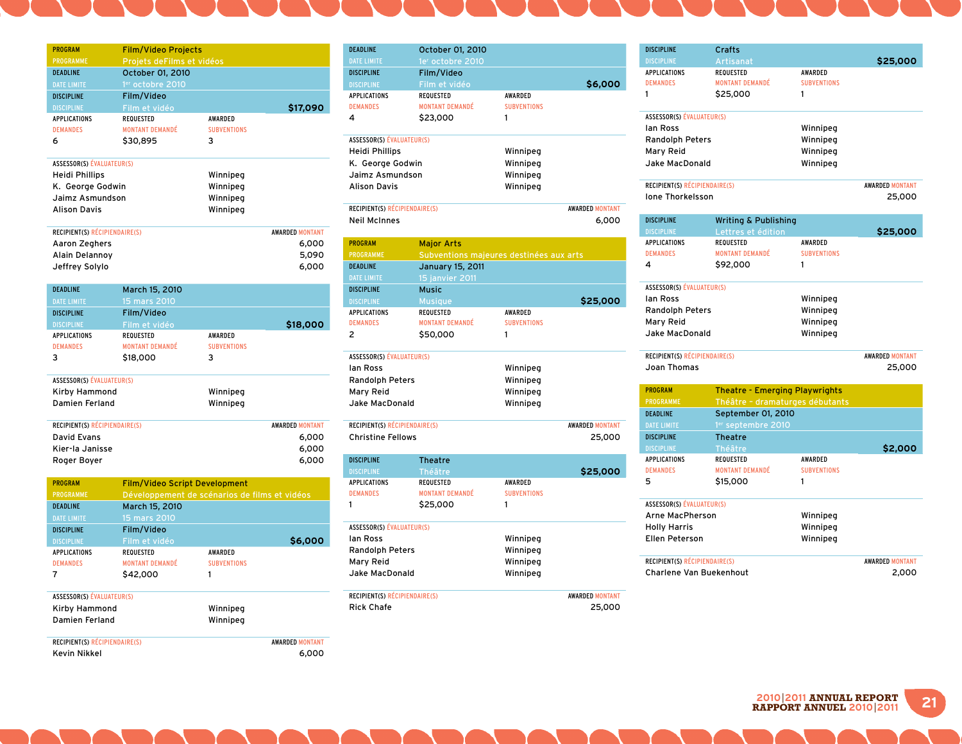| <b>PROGRAM</b>                       | <b>Film/Video Projects</b>                    |                    |                        |
|--------------------------------------|-----------------------------------------------|--------------------|------------------------|
| <b>PROGRAMME</b>                     | Projets deFilms et vidéos                     |                    |                        |
| <b>DEADLINE</b>                      | October 01, 2010                              |                    |                        |
| <b>DATE LIMITE</b>                   | 1er octobre 2010                              |                    |                        |
| <b>DISCIPLINE</b>                    | Film/Video                                    |                    |                        |
| <b>DISCIPLINE</b>                    | Film et vidéo                                 |                    | \$17,090               |
| APPLICATIONS                         | REQUESTED                                     | AWARDED            |                        |
| <b>DEMANDES</b>                      | <b>MONTANT DEMANDÉ</b>                        | <b>SUBVENTIONS</b> |                        |
| 6                                    | \$30,895                                      | з                  |                        |
| <b>ASSESSOR(S) ÉVALUATEUR(S)</b>     |                                               |                    |                        |
| Heidi Phillips                       |                                               | Winnipeg           |                        |
| K. George Godwin                     |                                               | Winnipeg           |                        |
| Jaimz Asmundson                      |                                               | Winnipeg           |                        |
| <b>Alison Davis</b>                  |                                               | Winnipeg           |                        |
| <b>RECIPIENT(S) RÉCIPIENDAIRE(S)</b> |                                               |                    | <b>AWARDED MONTANT</b> |
| Aaron Zeghers                        |                                               |                    | 6,000                  |
| Alain Delannoy                       |                                               |                    | 5,090                  |
| Jeffrey Solylo                       |                                               |                    | 6,000                  |
| <b>DEADLINE</b>                      | March 15, 2010                                |                    |                        |
| <b>DATE LIMITE</b>                   | 15 mars 2010                                  |                    |                        |
| <b>DISCIPLINE</b>                    | Film/Video                                    |                    |                        |
| <b>DISCIPLINE</b>                    | Film et vidéo                                 |                    | \$18,000               |
| <b>APPLICATIONS</b>                  | <b>REQUESTED</b>                              | AWARDED            |                        |
| <b>DEMANDES</b>                      | <b>MONTANT DEMANDÉ</b>                        | <b>SUBVENTIONS</b> |                        |
| 3                                    | \$18,000                                      | 3                  |                        |
| <b>ASSESSOR(S) ÉVALUATEUR(S)</b>     |                                               |                    |                        |
| Kirby Hammond                        |                                               | Winnipeg           |                        |
| Damien Ferland                       |                                               | Winnipeg           |                        |
| <b>RECIPIENT(S) RÉCIPIENDAIRE(S)</b> |                                               |                    | <b>AWARDED MONTANT</b> |
| <b>David Evans</b>                   |                                               |                    | 6,000                  |
| Kier-la Janisse                      |                                               |                    | 6,000                  |
| Roger Boyer                          |                                               |                    | 6,000                  |
| <b>PROGRAM</b>                       | <b>Film/Video Script Development</b>          |                    |                        |
| <b>PROGRAMME</b>                     | Développement de scénarios de films et vidéos |                    |                        |
| DEADLINE                             | March 15, 2010                                |                    |                        |
| DATE LIMITE                          | 15 mars 2010                                  |                    |                        |
| <b>DISCIPLINE</b>                    | Film/Video                                    |                    |                        |
| <b>DISCIPLINE</b>                    | Film et vidéo                                 |                    | \$6,000                |
| APPLICATIONS                         | REQUESTED                                     | AWARDED            |                        |
| <b>DEMANDES</b>                      | <b>MONTANT DEMANDÉ</b>                        | <b>SUBVENTIONS</b> |                        |
| 7                                    | \$42,000                                      | 1                  |                        |
| <b>ASSESSOR(S) ÉVALUATEUR(S)</b>     |                                               |                    |                        |
| Kirby Hammond                        |                                               | Winnipeg           |                        |
| Damien Ferland                       |                                               | Winnipeg           |                        |
| <b>RECIPIENT(S) RÉCIPIENDAIRE(S)</b> |                                               |                    | <b>AWARDED MONTANT</b> |
| Kevin Nikkel                         |                                               |                    | 6.000                  |

| <b>DEADLINE</b>                  | October 01, 2010                        |                    |                        |
|----------------------------------|-----------------------------------------|--------------------|------------------------|
| <b>DATE LIMITE</b>               | 1e <sup>r</sup> octobre 2010            |                    |                        |
| <b>DISCIPLINE</b>                | Film/Video                              |                    |                        |
| <b>DISCIPLINE</b>                | Film et vidéo                           |                    | \$6,000                |
| <b>APPLICATIONS</b>              | <b>REQUESTED</b>                        | <b>AWARDED</b>     |                        |
| <b>DEMANDES</b>                  | <b>MONTANT DEMANDÉ</b>                  | <b>SUBVENTIONS</b> |                        |
| 4                                | \$23,000                                | 1                  |                        |
| <b>ASSESSOR(S) ÉVALUATEUR(S)</b> |                                         |                    |                        |
| <b>Heidi Phillips</b>            |                                         | Winnipeg           |                        |
| K. George Godwin                 |                                         | Winnipeg           |                        |
| Jaimz Asmundson                  |                                         | Winnipeg           |                        |
| <b>Alison Davis</b>              |                                         | Winnipeg           |                        |
| RECIPIENT(S) RÉCIPIENDAIRE(S)    |                                         |                    | <b>AWARDED MONTANT</b> |
| <b>Neil McInnes</b>              |                                         |                    | 6,000                  |
| <b>PROGRAM</b>                   | <b>Major Arts</b>                       |                    |                        |
| <b>PROGRAMME</b>                 | Subventions majeures destinées aux arts |                    |                        |
| <b>DEADLINE</b>                  | <b>January 15, 2011</b>                 |                    |                        |
| <b>DATE LIMITE</b>               | 15 janvier 2011                         |                    |                        |
| <b>DISCIPLINE</b>                | <b>Music</b>                            |                    |                        |
| <b>DISCIPLINE</b>                | <b>Musique</b>                          |                    | \$25,000               |
| <b>APPLICATIONS</b>              | <b>REQUESTED</b>                        | <b>AWARDED</b>     |                        |
| <b>DEMANDES</b>                  | <b>MONTANT DEMANDÉ</b>                  | <b>SUBVENTIONS</b> |                        |
| 2                                | \$50,000                                | 1                  |                        |

| <b>ASSESSOR(S) ÉVALUATEUR(S)</b> |          |                        |
|----------------------------------|----------|------------------------|
| lan Ross                         | Winnipeg |                        |
| <b>Randolph Peters</b>           | Winnipeg |                        |
| Mary Reid                        | Winnipeg |                        |
| Jake MacDonald                   | Winnipeg |                        |
|                                  |          |                        |
| RECIPIENT(S) RÉCIPIENDAIRE(S)    |          | <b>AWARDED MONTANT</b> |
| Christing Follows                |          | <b>DE OOO</b>          |

| <b>Christine Fellows</b>             |                        |                    | 25,000                 |
|--------------------------------------|------------------------|--------------------|------------------------|
| <b>DISCIPLINE</b>                    | <b>Theatre</b>         |                    |                        |
| <b>DISCIPLINE</b>                    | Théâtre                |                    | \$25,000               |
| <b>APPLICATIONS</b>                  | <b>REQUESTED</b>       | <b>AWARDED</b>     |                        |
| <b>DEMANDES</b>                      | <b>MONTANT DEMANDÉ</b> | <b>SUBVENTIONS</b> |                        |
|                                      | \$25,000               | 1                  |                        |
| <b>ASSESSOR(S) ÉVALUATEUR(S)</b>     |                        |                    |                        |
| lan Ross                             |                        | Winnipeg           |                        |
| <b>Randolph Peters</b>               |                        | Winnipeg           |                        |
| Mary Reid                            |                        | Winnipeg           |                        |
| Jake MacDonald                       |                        | Winnipeg           |                        |
| <b>RECIPIENT(S) RÉCIPIENDAIRE(S)</b> |                        |                    | <b>AWARDED MONTANT</b> |

Rick Chafe 25,000

| <b>DISCIPLINE</b>                    | Crafts                                |                    |                        |
|--------------------------------------|---------------------------------------|--------------------|------------------------|
| <b>DISCIPLINE</b>                    | Artisanat                             |                    | \$25,000               |
| <b>APPLICATIONS</b>                  | <b>REQUESTED</b>                      | AWARDED            |                        |
| <b>DEMANDES</b>                      | <b>MONTANT DEMANDÉ</b>                | <b>SUBVENTIONS</b> |                        |
| 1                                    | \$25,000                              | 1                  |                        |
|                                      |                                       |                    |                        |
| <b>ASSESSOR(S) ÉVALUATEUR(S)</b>     |                                       |                    |                        |
| lan Ross                             |                                       | Winnipeg           |                        |
| <b>Randolph Peters</b>               |                                       | Winnipeg           |                        |
| Mary Reid                            |                                       | Winnipeg           |                        |
| Jake MacDonald                       |                                       | Winnipeg           |                        |
| <b>RECIPIENT(S) RÉCIPIENDAIRE(S)</b> |                                       |                    | <b>AWARDED MONTANT</b> |
| <b>Ione Thorkelsson</b>              |                                       |                    | 25,000                 |
|                                      |                                       |                    |                        |
| <b>DISCIPLINE</b>                    | <b>Writing &amp; Publishing</b>       |                    |                        |
| <b>DISCIPLINE</b>                    | Lettres et édition                    |                    | \$25,000               |
| APPLICATIONS                         | REQUESTED                             | AWARDED            |                        |
| <b>DEMANDES</b>                      | <b>MONTANT DEMANDÉ</b>                | <b>SUBVENTIONS</b> |                        |
| 4                                    | \$92,000                              | 1                  |                        |
|                                      |                                       |                    |                        |
| <b>ASSESSOR(S) ÉVALUATEUR(S)</b>     |                                       |                    |                        |
| lan Ross                             |                                       | Winnipeg           |                        |
| <b>Randolph Peters</b>               |                                       | Winnipeg           |                        |
| Mary Reid                            |                                       | Winnipeg           |                        |
| Jake MacDonald                       |                                       | Winnipeg           |                        |
|                                      |                                       |                    |                        |
| <b>RECIPIENT(S) RÉCIPIENDAIRE(S)</b> |                                       |                    | <b>AWARDED MONTANT</b> |
|                                      |                                       |                    |                        |
| Joan Thomas                          |                                       |                    | 25,000                 |
| <b>PROGRAM</b>                       | <b>Theatre - Emerging Playwrights</b> |                    |                        |
| <b>PROGRAMME</b>                     | Théâtre - dramaturges débutants       |                    |                        |
| <b>DEADLINE</b>                      | September 01, 2010                    |                    |                        |
| <b>DATE LIMITE</b>                   | 1 <sup>er</sup> septembre 2010        |                    |                        |
| <b>DISCIPLINE</b>                    | <b>Theatre</b>                        |                    |                        |
| <b>DISCIPLINE</b>                    | Théâtre                               |                    | \$2,000                |
| <b>APPLICATIONS</b>                  | <b>REQUESTED</b>                      | AWARDED            |                        |
| <b>DEMANDES</b>                      | <b>MONTANT DEMANDÉ</b>                | <b>SUBVENTIONS</b> |                        |
| 5                                    | \$15,000                              | 1                  |                        |
|                                      |                                       |                    |                        |
| <b>ASSESSOR(S) ÉVALUATEUR(S)</b>     |                                       |                    |                        |
| <b>Arne MacPherson</b>               |                                       | Winnipeg           |                        |
| <b>Holly Harris</b>                  |                                       | Winnipeg           |                        |
| Ellen Peterson                       |                                       | Winnipeg           |                        |
| <b>RECIPIENT(S) RÉCIPIENDAIRE(S)</b> |                                       |                    | <b>AWARDED MONTANT</b> |
| Charlene Van Buekenhout              |                                       |                    | 2,000                  |

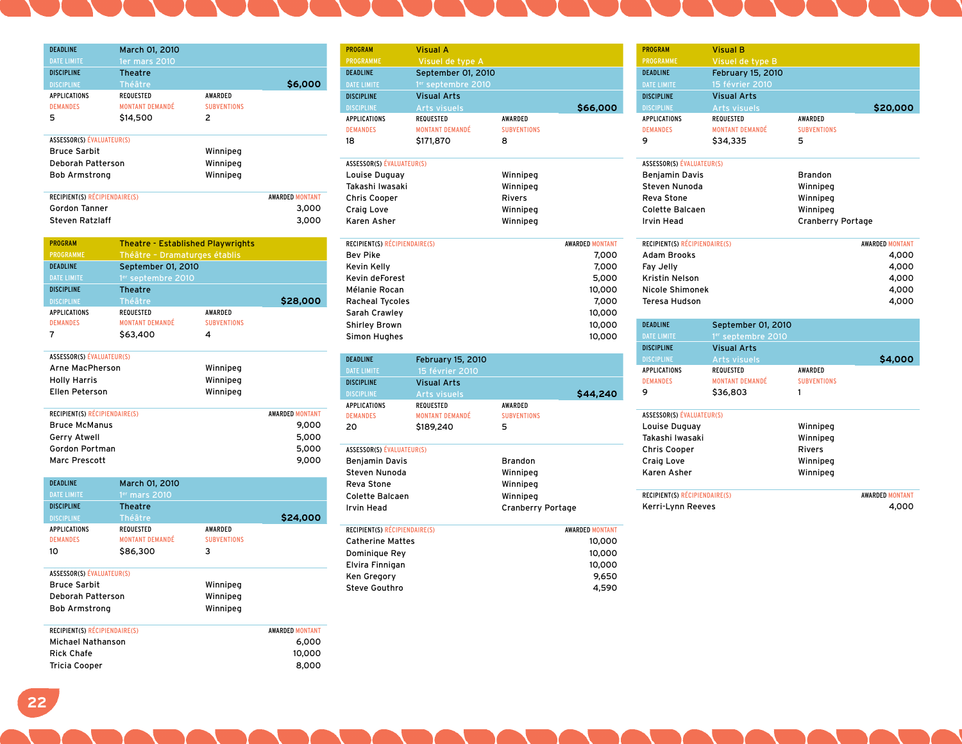| <b>DEADLINE</b>                        | March 01, 2010                             |                                      |                        |
|----------------------------------------|--------------------------------------------|--------------------------------------|------------------------|
| <b>DATE LIMITE</b>                     | <b>1er mars 2010</b>                       |                                      |                        |
| <b>DISCIPLINE</b>                      | <b>Theatre</b>                             |                                      |                        |
| <b>DISCIPLINE</b>                      | <b>Théâtre</b>                             |                                      | \$6,000                |
| <b>APPLICATIONS</b><br><b>DEMANDES</b> | <b>REQUESTED</b><br><b>MONTANT DEMANDÉ</b> | <b>AWARDED</b><br><b>SUBVENTIONS</b> |                        |
| 5                                      | \$14,500                                   | 2                                    |                        |
| <b>ASSESSOR(S) ÉVALUATEUR(S)</b>       |                                            |                                      |                        |
| <b>Bruce Sarbit</b>                    |                                            | Winnipeg                             |                        |
| Deborah Patterson                      |                                            | Winnipeg                             |                        |
| <b>Bob Armstrong</b>                   |                                            | Winnipeg                             |                        |
|                                        |                                            |                                      |                        |
| RECIPIENT(S) RÉCIPIENDAIRE(S)          |                                            |                                      | <b>AWARDED MONTANT</b> |
| Gordon Tanner                          |                                            |                                      | 3,000                  |
| Steven Ratzlaff                        |                                            |                                      | 3,000                  |

| <b>PROGRAM</b>                | <b>Theatre - Established Playwrights</b> |                    |                        |
|-------------------------------|------------------------------------------|--------------------|------------------------|
| <b>PROGRAMME</b>              | Théâtre - Dramaturges établis            |                    |                        |
| <b>DEADLINE</b>               | September 01, 2010                       |                    |                        |
| <b>DATE LIMITE</b>            | 1 <sup>er</sup> septembre 2010           |                    |                        |
| <b>DISCIPLINE</b>             | <b>Theatre</b>                           |                    |                        |
| <b>DISCIPLINE</b>             | Théâtre                                  |                    | \$28,000               |
| <b>APPLICATIONS</b>           | <b>REQUESTED</b>                         | <b>AWARDED</b>     |                        |
| <b>DEMANDES</b>               | <b>MONTANT DEMANDÉ</b>                   | <b>SUBVENTIONS</b> |                        |
| 7                             | \$63,400                                 | 4                  |                        |
|                               |                                          |                    |                        |
| ASSESSOR(S) ÉVALUATEUR(S)     |                                          |                    |                        |
| Arne MacPherson               |                                          | Winnipeg           |                        |
| <b>Holly Harris</b>           |                                          | Winnipeg           |                        |
| Ellen Peterson                |                                          | Winnipeg           |                        |
|                               |                                          |                    |                        |
| RECIPIENT(S) RÉCIPIENDAIRE(S) |                                          |                    | <b>AWARDED MONTANT</b> |
| <b>Bruce McManus</b>          |                                          |                    | 9,000                  |
| <b>Gerry Atwell</b>           |                                          |                    | 5,000                  |
| Gordon Portman                |                                          |                    | 5,000                  |
| <b>Marc Prescott</b>          |                                          |                    | 9,000                  |

| <b>DEADLINE</b><br><b>DATE LIMITE</b>                             | March 01, 2010<br>$1er$ mars 2010                                 |                                           |                        |
|-------------------------------------------------------------------|-------------------------------------------------------------------|-------------------------------------------|------------------------|
| <b>DISCIPLINE</b>                                                 | <b>Theatre</b>                                                    |                                           |                        |
| <b>DISCIPLINE</b><br><b>APPLICATIONS</b><br><b>DEMANDES</b><br>10 | Théâtre<br><b>REQUESTED</b><br><b>MONTANT DEMANDÉ</b><br>\$86,300 | <b>AWARDED</b><br><b>SUBVENTIONS</b><br>3 | \$24,000               |
| ASSESSOR(S) ÉVALUATEUR(S)                                         |                                                                   |                                           |                        |
| <b>Bruce Sarbit</b>                                               |                                                                   | Winnipeg                                  |                        |
| Deborah Patterson                                                 |                                                                   | Winnipeg                                  |                        |
| <b>Bob Armstrong</b>                                              |                                                                   | Winnipeg                                  |                        |
| <b>RECIPIENT(S) RÉCIPIENDAIRE(S)</b>                              |                                                                   |                                           | <b>AWARDED MONTANT</b> |

| <b>AWARDED MONTANT</b> |
|------------------------|
| 6.000                  |
| 10,000                 |
| 8,000                  |
|                        |

| <b>PROGRAM</b>    | <b>Visual A</b>                |                    |          |
|-------------------|--------------------------------|--------------------|----------|
| <b>PROGRAMME</b>  | Visuel de type A               |                    |          |
| <b>DEADLINE</b>   | September 01, 2010             |                    |          |
| DATE LIMITE       | 1 <sup>er</sup> septembre 2010 |                    |          |
| <b>DISCIPLINE</b> | <b>Visual Arts</b>             |                    |          |
| <b>DISCIPLINE</b> | <b>Arts visuels</b>            |                    | \$66,000 |
| APPLICATIONS      | <b>REQUESTED</b>               | <b>AWARDED</b>     |          |
| <b>DEMANDES</b>   | <b>MONTANT DEMANDÉ</b>         | <b>SUBVENTIONS</b> |          |
| 18                | \$171,870                      | 8                  |          |
|                   |                                |                    |          |

| ASSESSOR(S) ÉVALUATEUR(S) |               |
|---------------------------|---------------|
| Louise Duguay             | Winnipeg      |
| Takashi Iwasaki           | Winnipeg      |
| <b>Chris Cooper</b>       | <b>Rivers</b> |
| Craig Love                | Winnipeg      |
| Karen Asher               | Winnipeg      |

| RECIPIENT(S) RÉCIPIENDAIRE(S) | <b>AWARDED MONTANT</b> |
|-------------------------------|------------------------|
| Bev Pike                      | 7,000                  |
| Kevin Kelly                   | 7,000                  |
| Kevin deForest                | 5,000                  |
| Mélanie Rocan                 | 10,000                 |
| <b>Racheal Tycoles</b>        | 7.000                  |
| Sarah Crawley                 | 10,000                 |
| <b>Shirley Brown</b>          | 10,000                 |
| Simon Hughes                  | 10,000                 |
|                               |                        |

| <b>DEADLINE</b>                        | <b>February 15, 2010</b>                   |                               |                        |
|----------------------------------------|--------------------------------------------|-------------------------------|------------------------|
| <b>DATE LIMITE</b>                     | 15 février 2010                            |                               |                        |
| <b>DISCIPLINE</b>                      | <b>Visual Arts</b>                         |                               |                        |
| <b>DISCIPLINE</b>                      | <b>Arts visuels</b>                        |                               | \$44,240               |
| <b>APPLICATIONS</b><br><b>DEMANDES</b> | <b>REQUESTED</b><br><b>MONTANT DEMANDÉ</b> | AWARDED<br><b>SUBVENTIONS</b> |                        |
| 20                                     | \$189,240                                  | 5                             |                        |
| <b>ASSESSOR(S) ÉVALUATEUR(S)</b>       |                                            |                               |                        |
| <b>Benjamin Davis</b>                  |                                            | <b>Brandon</b>                |                        |
| Steven Nunoda                          |                                            | Winnipeg                      |                        |
| Reva Stone                             |                                            | Winnipeg                      |                        |
| Colette Balcaen                        |                                            | Winnipeg                      |                        |
| <b>Irvin Head</b>                      |                                            | <b>Cranberry Portage</b>      |                        |
| RECIPIENT(S) RÉCIPIENDAIRE(S)          |                                            |                               | <b>AWARDED MONTANT</b> |
| <b>Catherine Mattes</b>                |                                            |                               | 10.000                 |

| Catherine Mattes | טטע,טו |
|------------------|--------|
| Dominique Rey    | 10,000 |
| Elvira Finnigan  | 10,000 |
| Ken Greaorv      | 9.650  |
| Steve Gouthro    | 4.590  |
|                  |        |

| <b>PROGRAM</b>                   | <b>Visual B</b>          |                          |                        |
|----------------------------------|--------------------------|--------------------------|------------------------|
| <b>PROGRAMME</b>                 | Visuel de type B         |                          |                        |
| <b>DEADLINE</b>                  | <b>February 15, 2010</b> |                          |                        |
| <b>DATE LIMITE</b>               | 15 février 2010          |                          |                        |
| <b>DISCIPLINE</b>                | <b>Visual Arts</b>       |                          |                        |
| <b>DISCIPLINE</b>                | <b>Arts visuels</b>      |                          | \$20,000               |
| <b>APPLICATIONS</b>              | REQUESTED                | <b>AWARDED</b>           |                        |
| <b>DEMANDES</b>                  | <b>MONTANT DEMANDÉ</b>   | <b>SUBVENTIONS</b>       |                        |
| 9                                | \$34,335                 | 5                        |                        |
| <b>ASSESSOR(S) ÉVALUATEUR(S)</b> |                          |                          |                        |
| <b>Benjamin Davis</b>            |                          | <b>Brandon</b>           |                        |
| Steven Nunoda                    |                          | Winnipeg                 |                        |
| Reva Stone                       |                          | Winnipeg                 |                        |
| Colette Balcaen                  |                          | Winnipeg                 |                        |
| <b>Irvin Head</b>                |                          | <b>Cranberry Portage</b> |                        |
|                                  |                          |                          |                        |
| RECIPIENT(S) RÉCIPIENDAIRE(S)    |                          |                          | <b>AWARDED MONTANT</b> |
| <b>Adam Brooks</b>               |                          |                          | 4,000                  |
| Fay Jelly                        |                          |                          | 4,000                  |
| <b>Kristin Nelson</b>            |                          |                          | 4,000                  |
| Nicole Shimonek                  |                          |                          | 4,000                  |
| Teresa Hudson                    |                          |                          | 4,000                  |
|                                  |                          |                          |                        |
| <b>DEADLINE</b>                  | September 01, 2010       |                          |                        |
| <b>DATE LIMITE</b>               | 1er septembre 2010       |                          |                        |
| <b>DISCIPLINE</b>                | <b>Visual Arts</b>       |                          |                        |
| <b>DISCIPLINE</b>                | <b>Arts visuels</b>      |                          | \$4,000                |
| <b>APPLICATIONS</b>              | <b>REQUESTED</b>         | <b>AWARDED</b>           |                        |
| <b>DEMANDES</b>                  | <b>MONTANT DEMANDÉ</b>   | <b>SUBVENTIONS</b>       |                        |
| 9                                | \$36,803                 | 1                        |                        |
| <b>ASSESSOR(S) ÉVALUATEUR(S)</b> |                          |                          |                        |
| Louise Duguay                    |                          | Winnipeg                 |                        |
| Takashi Iwasaki                  |                          | Winnipeg                 |                        |
| Chris Cooper                     |                          | <b>Rivers</b>            |                        |
| Craig Love                       |                          | Winnipeg                 |                        |

RECIPIENT(S) RÉCIPIENDAIRE(S) AWARDED MONTANT Kerri-Lynn Reeves 4,000

Karen Asher Winnipeg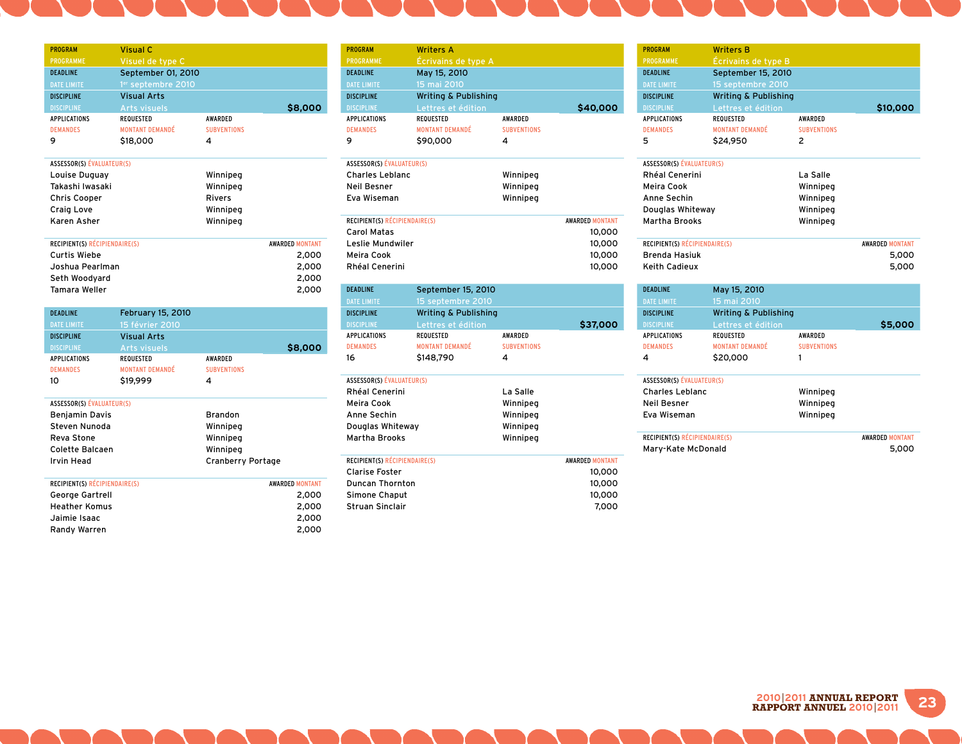| Visuel de type C<br>PROGRAMME<br><b>DEADLINE</b><br>September 01, 2010<br><b>DATE LIMITE</b><br>1 <sup>er</sup> septembre 2010<br><b>Visual Arts</b><br><b>DISCIPLINE</b><br><b>Arts visuels</b><br>\$8,000<br><b>DISCIPLINE</b><br>APPLICATIONS<br><b>REQUESTED</b><br>AWARDED<br><b>MONTANT DEMANDÉ</b><br><b>DEMANDES</b><br><b>SUBVENTIONS</b><br>9<br>\$18,000<br>4<br><b>ASSESSOR(S) ÉVALUATEUR(S)</b><br>Winnipeg<br>Louise Duguay<br>Takashi Iwasaki<br>Winnipeg<br><b>Chris Cooper</b><br><b>Rivers</b><br>Winnipeg<br>Craig Love<br>Karen Asher<br>Winnipeg<br>RECIPIENT(S) RÉCIPIENDAIRE(S)<br><b>AWARDED MONTANT</b><br><b>Curtis Wiebe</b><br>2,000<br>Joshua Pearlman<br>2,000<br>Seth Woodyard<br>2,000<br>Tamara Weller<br>2,000<br><b>DEADLINE</b><br><b>February 15, 2010</b><br><b>DATE LIMITE</b><br>15 février 2010<br><b>Visual Arts</b><br><b>DISCIPLINE</b><br><b>DISCIPLINE</b><br><b>Arts visuels</b><br>\$8,000<br><b>APPLICATIONS</b><br><b>REQUESTED</b><br>AWARDED<br><b>MONTANT DEMANDÉ</b><br><b>DEMANDES</b><br><b>SUBVENTIONS</b><br>10<br>4<br>\$19,999<br>ASSESSOR(S) ÉVALUATEUR(S)<br><b>Benjamin Davis</b><br><b>Brandon</b><br>Steven Nunoda<br>Winnipeg<br>Reva Stone<br>Winnipeg<br><b>Colette Balcaen</b><br>Winnipeg<br><b>Irvin Head</b><br><b>Cranberry Portage</b><br>RECIPIENT(S) RÉCIPIENDAIRE(S)<br><b>AWARDED MONTANT</b><br>George Gartrell<br>2,000<br><b>Heather Komus</b><br>2,000<br>Jaimie Isaac<br>2,000 |                |                 |       |
|-------------------------------------------------------------------------------------------------------------------------------------------------------------------------------------------------------------------------------------------------------------------------------------------------------------------------------------------------------------------------------------------------------------------------------------------------------------------------------------------------------------------------------------------------------------------------------------------------------------------------------------------------------------------------------------------------------------------------------------------------------------------------------------------------------------------------------------------------------------------------------------------------------------------------------------------------------------------------------------------------------------------------------------------------------------------------------------------------------------------------------------------------------------------------------------------------------------------------------------------------------------------------------------------------------------------------------------------------------------------------------------------------------------------------------------------------------------------|----------------|-----------------|-------|
|                                                                                                                                                                                                                                                                                                                                                                                                                                                                                                                                                                                                                                                                                                                                                                                                                                                                                                                                                                                                                                                                                                                                                                                                                                                                                                                                                                                                                                                                   | <b>PROGRAM</b> | <b>Visual C</b> |       |
|                                                                                                                                                                                                                                                                                                                                                                                                                                                                                                                                                                                                                                                                                                                                                                                                                                                                                                                                                                                                                                                                                                                                                                                                                                                                                                                                                                                                                                                                   |                |                 |       |
|                                                                                                                                                                                                                                                                                                                                                                                                                                                                                                                                                                                                                                                                                                                                                                                                                                                                                                                                                                                                                                                                                                                                                                                                                                                                                                                                                                                                                                                                   |                |                 |       |
|                                                                                                                                                                                                                                                                                                                                                                                                                                                                                                                                                                                                                                                                                                                                                                                                                                                                                                                                                                                                                                                                                                                                                                                                                                                                                                                                                                                                                                                                   |                |                 |       |
|                                                                                                                                                                                                                                                                                                                                                                                                                                                                                                                                                                                                                                                                                                                                                                                                                                                                                                                                                                                                                                                                                                                                                                                                                                                                                                                                                                                                                                                                   |                |                 |       |
|                                                                                                                                                                                                                                                                                                                                                                                                                                                                                                                                                                                                                                                                                                                                                                                                                                                                                                                                                                                                                                                                                                                                                                                                                                                                                                                                                                                                                                                                   |                |                 |       |
|                                                                                                                                                                                                                                                                                                                                                                                                                                                                                                                                                                                                                                                                                                                                                                                                                                                                                                                                                                                                                                                                                                                                                                                                                                                                                                                                                                                                                                                                   |                |                 |       |
|                                                                                                                                                                                                                                                                                                                                                                                                                                                                                                                                                                                                                                                                                                                                                                                                                                                                                                                                                                                                                                                                                                                                                                                                                                                                                                                                                                                                                                                                   |                |                 |       |
|                                                                                                                                                                                                                                                                                                                                                                                                                                                                                                                                                                                                                                                                                                                                                                                                                                                                                                                                                                                                                                                                                                                                                                                                                                                                                                                                                                                                                                                                   |                |                 |       |
|                                                                                                                                                                                                                                                                                                                                                                                                                                                                                                                                                                                                                                                                                                                                                                                                                                                                                                                                                                                                                                                                                                                                                                                                                                                                                                                                                                                                                                                                   |                |                 |       |
|                                                                                                                                                                                                                                                                                                                                                                                                                                                                                                                                                                                                                                                                                                                                                                                                                                                                                                                                                                                                                                                                                                                                                                                                                                                                                                                                                                                                                                                                   |                |                 |       |
|                                                                                                                                                                                                                                                                                                                                                                                                                                                                                                                                                                                                                                                                                                                                                                                                                                                                                                                                                                                                                                                                                                                                                                                                                                                                                                                                                                                                                                                                   |                |                 |       |
|                                                                                                                                                                                                                                                                                                                                                                                                                                                                                                                                                                                                                                                                                                                                                                                                                                                                                                                                                                                                                                                                                                                                                                                                                                                                                                                                                                                                                                                                   |                |                 |       |
|                                                                                                                                                                                                                                                                                                                                                                                                                                                                                                                                                                                                                                                                                                                                                                                                                                                                                                                                                                                                                                                                                                                                                                                                                                                                                                                                                                                                                                                                   |                |                 |       |
|                                                                                                                                                                                                                                                                                                                                                                                                                                                                                                                                                                                                                                                                                                                                                                                                                                                                                                                                                                                                                                                                                                                                                                                                                                                                                                                                                                                                                                                                   |                |                 |       |
|                                                                                                                                                                                                                                                                                                                                                                                                                                                                                                                                                                                                                                                                                                                                                                                                                                                                                                                                                                                                                                                                                                                                                                                                                                                                                                                                                                                                                                                                   |                |                 |       |
|                                                                                                                                                                                                                                                                                                                                                                                                                                                                                                                                                                                                                                                                                                                                                                                                                                                                                                                                                                                                                                                                                                                                                                                                                                                                                                                                                                                                                                                                   |                |                 |       |
|                                                                                                                                                                                                                                                                                                                                                                                                                                                                                                                                                                                                                                                                                                                                                                                                                                                                                                                                                                                                                                                                                                                                                                                                                                                                                                                                                                                                                                                                   |                |                 |       |
|                                                                                                                                                                                                                                                                                                                                                                                                                                                                                                                                                                                                                                                                                                                                                                                                                                                                                                                                                                                                                                                                                                                                                                                                                                                                                                                                                                                                                                                                   |                |                 |       |
|                                                                                                                                                                                                                                                                                                                                                                                                                                                                                                                                                                                                                                                                                                                                                                                                                                                                                                                                                                                                                                                                                                                                                                                                                                                                                                                                                                                                                                                                   |                |                 |       |
|                                                                                                                                                                                                                                                                                                                                                                                                                                                                                                                                                                                                                                                                                                                                                                                                                                                                                                                                                                                                                                                                                                                                                                                                                                                                                                                                                                                                                                                                   |                |                 |       |
|                                                                                                                                                                                                                                                                                                                                                                                                                                                                                                                                                                                                                                                                                                                                                                                                                                                                                                                                                                                                                                                                                                                                                                                                                                                                                                                                                                                                                                                                   |                |                 |       |
|                                                                                                                                                                                                                                                                                                                                                                                                                                                                                                                                                                                                                                                                                                                                                                                                                                                                                                                                                                                                                                                                                                                                                                                                                                                                                                                                                                                                                                                                   |                |                 |       |
|                                                                                                                                                                                                                                                                                                                                                                                                                                                                                                                                                                                                                                                                                                                                                                                                                                                                                                                                                                                                                                                                                                                                                                                                                                                                                                                                                                                                                                                                   |                |                 |       |
|                                                                                                                                                                                                                                                                                                                                                                                                                                                                                                                                                                                                                                                                                                                                                                                                                                                                                                                                                                                                                                                                                                                                                                                                                                                                                                                                                                                                                                                                   |                |                 |       |
|                                                                                                                                                                                                                                                                                                                                                                                                                                                                                                                                                                                                                                                                                                                                                                                                                                                                                                                                                                                                                                                                                                                                                                                                                                                                                                                                                                                                                                                                   |                |                 |       |
|                                                                                                                                                                                                                                                                                                                                                                                                                                                                                                                                                                                                                                                                                                                                                                                                                                                                                                                                                                                                                                                                                                                                                                                                                                                                                                                                                                                                                                                                   |                |                 |       |
|                                                                                                                                                                                                                                                                                                                                                                                                                                                                                                                                                                                                                                                                                                                                                                                                                                                                                                                                                                                                                                                                                                                                                                                                                                                                                                                                                                                                                                                                   |                |                 |       |
|                                                                                                                                                                                                                                                                                                                                                                                                                                                                                                                                                                                                                                                                                                                                                                                                                                                                                                                                                                                                                                                                                                                                                                                                                                                                                                                                                                                                                                                                   |                |                 |       |
|                                                                                                                                                                                                                                                                                                                                                                                                                                                                                                                                                                                                                                                                                                                                                                                                                                                                                                                                                                                                                                                                                                                                                                                                                                                                                                                                                                                                                                                                   |                |                 |       |
|                                                                                                                                                                                                                                                                                                                                                                                                                                                                                                                                                                                                                                                                                                                                                                                                                                                                                                                                                                                                                                                                                                                                                                                                                                                                                                                                                                                                                                                                   |                |                 |       |
|                                                                                                                                                                                                                                                                                                                                                                                                                                                                                                                                                                                                                                                                                                                                                                                                                                                                                                                                                                                                                                                                                                                                                                                                                                                                                                                                                                                                                                                                   |                |                 |       |
|                                                                                                                                                                                                                                                                                                                                                                                                                                                                                                                                                                                                                                                                                                                                                                                                                                                                                                                                                                                                                                                                                                                                                                                                                                                                                                                                                                                                                                                                   |                |                 |       |
|                                                                                                                                                                                                                                                                                                                                                                                                                                                                                                                                                                                                                                                                                                                                                                                                                                                                                                                                                                                                                                                                                                                                                                                                                                                                                                                                                                                                                                                                   |                |                 |       |
|                                                                                                                                                                                                                                                                                                                                                                                                                                                                                                                                                                                                                                                                                                                                                                                                                                                                                                                                                                                                                                                                                                                                                                                                                                                                                                                                                                                                                                                                   |                |                 |       |
|                                                                                                                                                                                                                                                                                                                                                                                                                                                                                                                                                                                                                                                                                                                                                                                                                                                                                                                                                                                                                                                                                                                                                                                                                                                                                                                                                                                                                                                                   |                |                 |       |
|                                                                                                                                                                                                                                                                                                                                                                                                                                                                                                                                                                                                                                                                                                                                                                                                                                                                                                                                                                                                                                                                                                                                                                                                                                                                                                                                                                                                                                                                   |                |                 |       |
|                                                                                                                                                                                                                                                                                                                                                                                                                                                                                                                                                                                                                                                                                                                                                                                                                                                                                                                                                                                                                                                                                                                                                                                                                                                                                                                                                                                                                                                                   |                |                 |       |
|                                                                                                                                                                                                                                                                                                                                                                                                                                                                                                                                                                                                                                                                                                                                                                                                                                                                                                                                                                                                                                                                                                                                                                                                                                                                                                                                                                                                                                                                   |                |                 |       |
|                                                                                                                                                                                                                                                                                                                                                                                                                                                                                                                                                                                                                                                                                                                                                                                                                                                                                                                                                                                                                                                                                                                                                                                                                                                                                                                                                                                                                                                                   |                |                 |       |
|                                                                                                                                                                                                                                                                                                                                                                                                                                                                                                                                                                                                                                                                                                                                                                                                                                                                                                                                                                                                                                                                                                                                                                                                                                                                                                                                                                                                                                                                   | Randy Warren   |                 | 2.000 |

| <b>PROGRAM</b>      | <b>Writers A</b>                |                |          |
|---------------------|---------------------------------|----------------|----------|
| <b>PROGRAMME</b>    | Écrivains de type A             |                |          |
| <b>DEADLINE</b>     | May 15, 2010                    |                |          |
| DATE LIMITE         | 15 mai 2010                     |                |          |
| <b>DISCIPLINE</b>   | <b>Writing &amp; Publishing</b> |                |          |
| <b>DISCIPLINE</b>   | Lettres et édition              |                | \$40,000 |
| <b>APPLICATIONS</b> | <b>REQUESTED</b>                | <b>AWARDED</b> |          |

| <b>ASSESSOR(S) ÉVALUATEUR(S)</b> |          |                        |
|----------------------------------|----------|------------------------|
| <b>Charles Leblanc</b>           | Winnipeg |                        |
| Neil Besner                      | Winnipeg |                        |
| Eva Wiseman                      | Winnipeg |                        |
|                                  |          |                        |
| RECIPIENT(S) RÉCIPIENDAIRE(S)    |          | <b>AWARDED MONTANT</b> |
| Carol Matas                      |          | 10,000                 |
| Leslie Mundwiler                 |          | 10,000                 |
| Meira Cook                       |          | 10,000                 |
| Rhéal Cenerini                   |          | 10,000                 |
|                                  |          |                        |

| <b>DEADLINE</b>     | September 15, 2010              |                    |          |
|---------------------|---------------------------------|--------------------|----------|
| <b>DATE LIMITE</b>  | 15 septembre 2010,              |                    |          |
| <b>DISCIPLINE</b>   | <b>Writing &amp; Publishing</b> |                    |          |
| <b>DISCIPLINE</b>   | Lettres et édition              |                    | \$37,000 |
| <b>APPLICATIONS</b> | <b>REQUESTED</b>                | AWARDED            |          |
| <b>DEMANDES</b>     | <b>MONTANT DEMANDÉ</b>          | <b>SUBVENTIONS</b> |          |
| 16                  | \$148,790                       | 4                  |          |

| ASSESSOR(S) ÉVALUATEUR(S) |          |  |
|---------------------------|----------|--|
| Rhéal Cenerini            | La Salle |  |
| Meira Cook                | Winnipeg |  |
| Anne Sechin               | Winnipeg |  |
| Douglas Whiteway          | Winnipeg |  |
| <b>Martha Brooks</b>      | Winnipeg |  |
|                           |          |  |

| <b>RECIPIENT(S) RECIPIENDAIRE(S)</b> | <b>AWARDED MONTANT</b> |
|--------------------------------------|------------------------|
| <b>Clarise Foster</b>                | 10,000                 |
| Duncan Thornton                      | 10,000                 |
| Simone Chaput                        | 10,000                 |
| Struan Sinclair                      | 7.000                  |
|                                      |                        |

| <b>PROGRAM</b>                   | <b>Writers B</b>                |                    |                        |
|----------------------------------|---------------------------------|--------------------|------------------------|
| <b>PROGRAMME</b>                 | Écrivains de type B             |                    |                        |
| <b>DEADLINE</b>                  | September 15, 2010              |                    |                        |
| <b>DATE LIMITE</b>               | 15 septembre 2010               |                    |                        |
| <b>DISCIPLINE</b>                | <b>Writing &amp; Publishing</b> |                    |                        |
| <b>DISCIPLINE</b>                | Lettres et édition              |                    | \$10,000               |
| <b>APPLICATIONS</b>              | <b>REQUESTED</b>                | <b>AWARDED</b>     |                        |
| <b>DEMANDES</b>                  | <b>MONTANT DEMANDÉ</b>          | <b>SUBVENTIONS</b> |                        |
| 5                                | \$24,950                        | 2                  |                        |
| <b>ASSESSOR(S) ÉVALUATEUR(S)</b> |                                 |                    |                        |
| Rhéal Cenerini                   |                                 | La Salle           |                        |
| Meira Cook                       |                                 | Winnipeg           |                        |
| Anne Sechin                      |                                 | Winnipeg           |                        |
| Douglas Whiteway                 |                                 | Winnipeg           |                        |
| Martha Brooks                    |                                 | Winnipeg           |                        |
|                                  |                                 |                    |                        |
| RECIPIENT(S) RÉCIPIENDAIRE(S)    |                                 |                    | <b>AWARDED MONTANT</b> |
| <b>Brenda Hasiuk</b>             |                                 |                    | 5,000                  |
| <b>Keith Cadieux</b>             |                                 |                    | 5.000                  |
| <b>DEADLINE</b>                  | May 15, 2010                    |                    |                        |
| <b>DATE LIMITE</b>               | 15 mai 2010                     |                    |                        |
| <b>DISCIPLINE</b>                | <b>Writing &amp; Publishing</b> |                    |                        |
| <b>DISCIPLINE</b>                | Lettres et édition              |                    | \$5,000                |
| <b>APPLICATIONS</b>              | <b>REQUESTED</b>                | AWARDED            |                        |
|                                  |                                 |                    |                        |

|                                                                                   | \$20,000 |                                  |                                 |
|-----------------------------------------------------------------------------------|----------|----------------------------------|---------------------------------|
| ASSESSOR(S) ÉVALUATEUR(S)<br><b>Charles Leblanc</b><br>Neil Besner<br>Eva Wiseman |          | Winnipeg<br>Winnipeg<br>Winnipeg |                                 |
| <b>RECIPIENT(S) RÉCIPIENDAIRE(S)</b><br>Mary-Kate McDonald                        |          |                                  | <b>AWARDED MONTANT</b><br>5,000 |

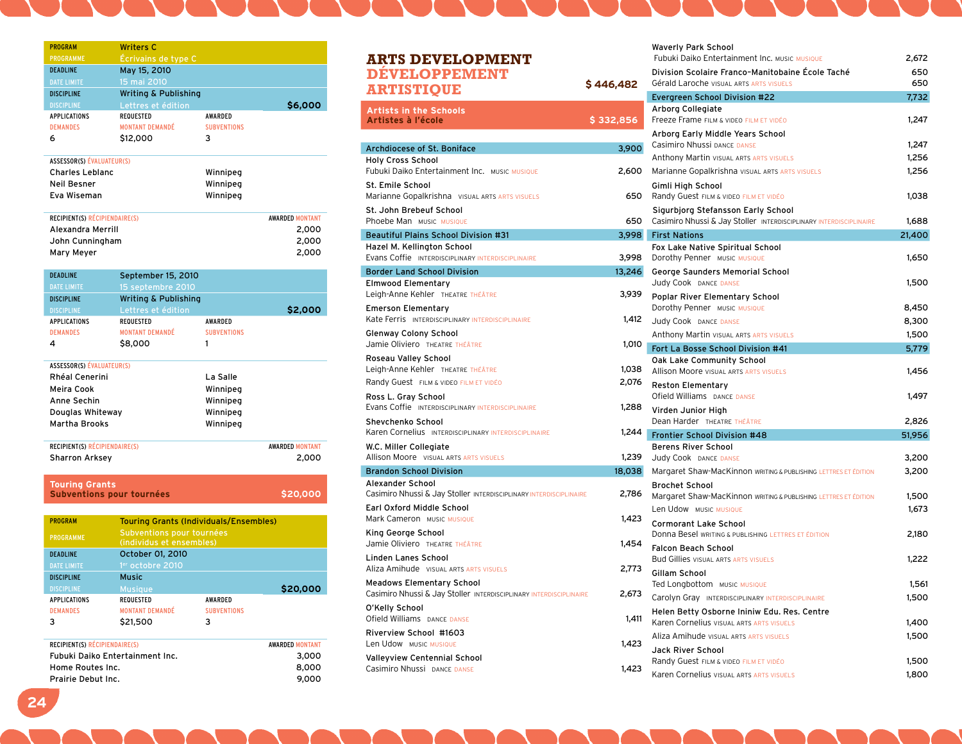| <b>PROGRAM</b>                   | <b>Writers C</b>                                      |                    |                        |
|----------------------------------|-------------------------------------------------------|--------------------|------------------------|
| PROGRAMME                        | Écrivains de type C                                   |                    |                        |
| <b>DEADLINE</b>                  | May 15, 2010                                          |                    |                        |
| <b>DATE LIMITE</b>               | 15 mai 2010                                           |                    |                        |
| <b>DISCIPLINE</b>                | <b>Writing &amp; Publishing</b>                       |                    |                        |
| <b>DISCIPLINE</b>                | Lettres et édition                                    |                    | \$6,000                |
| APPLICATIONS                     | <b>REQUESTED</b>                                      | AWARDED            |                        |
| <b>DEMANDES</b>                  | <b>MONTANT DEMANDÉ</b>                                | <b>SUBVENTIONS</b> |                        |
| 6                                | \$12,000                                              | 3                  |                        |
| <b>ASSESSOR(S) ÉVALUATEUR(S)</b> |                                                       |                    |                        |
| <b>Charles Leblanc</b>           |                                                       | Winnipeg           |                        |
| Neil Besner                      |                                                       | Winnipeg           |                        |
| Eva Wiseman                      |                                                       | Winnipeg           |                        |
| RECIPIENT(S) RÉCIPIENDAIRE(S)    |                                                       |                    | <b>AWARDED MONTANT</b> |
| Alexandra Merrill                |                                                       |                    | 2,000                  |
| John Cunningham                  |                                                       |                    | 2,000                  |
| Mary Meyer                       |                                                       |                    | 2,000                  |
| <b>DEADLINE</b>                  | September 15, 2010                                    |                    |                        |
| <b>DATE LIMITE</b>               | 15 septembre 2010                                     |                    |                        |
| <b>DISCIPLINE</b>                | <b>Writing &amp; Publishing</b>                       |                    |                        |
| <b>DISCIPLINE</b>                | Lettres et édition                                    |                    | \$2,000                |
| APPLICATIONS                     | REQUESTED                                             | AWARDED            |                        |
| <b>DEMANDES</b>                  | <b>MONTANT DEMANDÉ</b>                                | <b>SUBVENTIONS</b> |                        |
| 4                                | \$8,000                                               | 1                  |                        |
|                                  |                                                       |                    |                        |
| <b>ASSESSOR(S) ÉVALUATEUR(S)</b> |                                                       |                    |                        |
| Rhéal Cenerini                   |                                                       | La Salle           |                        |
| Meira Cook                       |                                                       | Winnipeg           |                        |
| Anne Sechin                      |                                                       | Winnipeg           |                        |
| Douglas Whiteway                 |                                                       | Winnipeg           |                        |
| <b>Martha Brooks</b>             |                                                       | Winnipeg           |                        |
| RECIPIENT(S) RÉCIPIENDAIRE(S)    |                                                       |                    | <b>AWARDED MONTANT</b> |
| Sharron Arksey                   |                                                       |                    | 2,000                  |
|                                  |                                                       |                    |                        |
| <b>Touring Grants</b>            | <b>Subventions pour tournées</b>                      |                    | \$20,000               |
| <b>PROGRAM</b>                   |                                                       |                    |                        |
|                                  | <b>Touring Grants (Individuals/Ensembles)</b>         |                    |                        |
| PROGRAMME                        | Subventions pour tournées<br>(individus et ensembles) |                    |                        |
| <b>DEADLINE</b>                  | October 01, 2010                                      |                    |                        |
| <b>DATE LIMITE</b>               | 1 <sup>er</sup> octobre 2010                          |                    |                        |
| <b>DISCIPLINE</b>                | <b>Music</b>                                          |                    |                        |
| <b>DISCIPLINE</b>                |                                                       |                    | \$20,000               |
| <b>APPLICATIONS</b>              | <b>Musique</b><br><b>REQUESTED</b>                    | AWARDED            |                        |
| <b>DEMANDES</b>                  | <b>MONTANT DEMANDÉ</b>                                | <b>SUBVENTIONS</b> |                        |
| з                                | \$21,500                                              | з                  |                        |
|                                  |                                                       |                    |                        |
| RECIPIENT(S) RÉCIPIENDAIRE(S)    |                                                       |                    | <b>AWARDED MONTANT</b> |
|                                  | Fubuki Daiko Entertainment Inc.                       |                    | 3,000                  |
| Home Routes Inc.                 |                                                       |                    | 8,000                  |

Home Routes Inc. 6,000<br>Prairie Debut Inc. 6,000<br>9,000

| <b>ARTS DEVELOPMENT</b><br><b>DÉVELOPPEMENT</b>                                                        |            |
|--------------------------------------------------------------------------------------------------------|------------|
| <b>ARTISTIQUE</b>                                                                                      | \$ 446.482 |
| <b>Artists in the Schools</b><br>Artistes à l'école                                                    | \$332,856  |
| Archdiocese of St. Boniface                                                                            |            |
| <b>Holy Cross School</b>                                                                               | 3,900      |
| Fubuki Daiko Entertainment Inc. MUSIC MUSIQUE                                                          | 2,600      |
| St. Emile School<br>Marianne Gopalkrishna VISUAL ARTS ARTS VISUELS                                     | 650        |
| St. John Brebeuf School<br>Phoebe Man Music Musique                                                    | 650        |
| <b>Beautiful Plains School Division #31</b>                                                            | 3,998      |
| Hazel M. Kellington School                                                                             |            |
| Evans Coffie INTERDISCIPLINARY INTERDISCIPLINAIRE                                                      | 3,998      |
| <b>Border Land School Division</b>                                                                     | 13,246     |
| <b>Elmwood Elementary</b><br>Leigh-Anne Kehler THEATRE THÉÂTRE                                         | 3,939      |
| <b>Emerson Elementary</b><br>Kate Ferris INTERDISCIPLINARY INTERDISCIPLINAIRE                          | 1,412      |
| Glenway Colony School<br>Jamie Oliviero THEATRE THÉÂTRE                                                | 1,010      |
| Roseau Valley School                                                                                   |            |
| Leigh-Anne Kehler THEATRE THÉÂTRE                                                                      | 1,038      |
| Randy Guest FILM & VIDEO FILM ET VIDÉO                                                                 | 2,076      |
| Ross L. Gray School<br>Evans Coffie INTERDISCIPLINARY INTERDISCIPLINAIRE                               | 1,288      |
| Shevchenko School<br>Karen Cornelius INTERDISCIPLINARY INTERDISCIPLINAIRE                              | 1.244      |
| W.C. Miller Collegiate<br>Allison Moore VISUAL ARTS ARTS VISUELS                                       | 1.239      |
| <b>Brandon School Division</b>                                                                         | 18,038     |
| Alexander School<br>Casimiro Nhussi & Jay Stoller INTERDISCIPLINARY INTERDISCIPLINAIRE                 | 2,786      |
| Earl Oxford Middle School<br>Mark Cameron MUSIC MUSIQUE                                                | 1,423      |
| King George School<br>Jamie Oliviero THEATRE THÉÂTRE                                                   | 1,454      |
| Linden Lanes School<br>Aliza Amihude VISUAL ARTS ARTS VISUELS                                          | 2,773      |
| <b>Meadows Elementary School</b><br>Casimiro Nhussi & Jay Stoller INTERDISCIPLINARY INTERDISCIPLINAIRE | 2,673      |
| O'Kelly School<br>Ofield Williams DANCE DANSE                                                          | 1,411      |
| Riverview School #1603<br>Len Udow MUSIC MUSIQUE                                                       | 1,423      |
| <b>Valleyview Centennial School</b><br>Casimiro Nhussi DANCE DANSE                                     | 1.423      |

|     | <b>Waverly Park School</b><br><b>Fubuki Daiko Entertainment Inc. MUSIC MUSIQUE</b>                       | 2,672  |
|-----|----------------------------------------------------------------------------------------------------------|--------|
|     | Division Scolaire Franco-Manitobaine École Taché                                                         | 650    |
| 2   | <b>Gérald Laroche VISUAL ARTS ARTS VISUELS</b>                                                           | 650    |
|     | Evergreen School Division #22                                                                            | 7,732  |
|     | Arborg Collegiate                                                                                        |        |
| 6   | Freeze Frame FILM & VIDEO FILM ET VIDÉO                                                                  | 1,247  |
|     | Arborg Early Middle Years School                                                                         |        |
| οσ  | Casimiro Nhussi DANCE DANSE                                                                              | 1,247  |
|     | <b>Anthony Martin VISUAL ARTS ARTS VISUELS</b>                                                           | 1,256  |
| oo  | Marianne Gopalkrishna VISUAL ARTS ARTS VISUELS                                                           | 1,256  |
| 50  | Gimli High School<br>Randy Guest FILM & VIDEO FILM ET VIDÉO                                              | 1,038  |
| 50  | Sigurbjorg Stefansson Early School<br>Casimiro Nhussi & Jay Stoller INTERDISCIPLINARY INTERDISCIPLINAIRE | 1,688  |
| 98  | <b>First Nations</b>                                                                                     | 21,400 |
|     | Fox Lake Native Spiritual School                                                                         |        |
| 98  | Dorothy Penner MUSIC MUSIQUE                                                                             | 1,650  |
| 46  | George Saunders Memorial School                                                                          |        |
|     | Judy Cook DANCE DANSE                                                                                    | 1,500  |
| 39  | Poplar River Elementary School                                                                           |        |
|     | Dorothy Penner MUSIC MUSIQUE                                                                             | 8,450  |
| 112 | Judy Cook DANCE DANSE                                                                                    | 8,300  |
|     | <b>Anthony Martin VISUAL ARTS ARTS VISUELS</b>                                                           | 1,500  |
| 10  | Fort La Bosse School Division #41                                                                        | 5,779  |
| 38  | Oak Lake Community School<br><b>Allison Moore VISUAL ARTS ARTS VISUELS</b>                               | 1,456  |
| 76  |                                                                                                          |        |
|     | <b>Reston Elementary</b><br>Ofield Williams DANCE DANSE                                                  | 1,497  |
| 88  | Virden Junior High                                                                                       |        |
|     | Dean Harder THEATRE THÉÂTRE                                                                              | 2,826  |
| 44  | Frontier School Division #48                                                                             | 51,956 |
| 39  | <b>Berens River School</b><br>Judy Cook DANCE DANSE                                                      | 3,200  |
|     | Margaret Shaw-MacKinnon WRITING & PUBLISHING LETTRES ET ÉDITION                                          | 3,200  |
| 38  | <b>Brochet School</b>                                                                                    |        |
| 86  | Margaret Shaw-MacKinnon WRITING & PUBLISHING LETTRES ET ÉDITION                                          | 1,500  |
|     | Len Udow MUSIC MUSIQUE                                                                                   | 1,673  |
| 23  | <b>Cormorant Lake School</b>                                                                             |        |
|     | Donna Besel WRITING & PUBLISHING LETTRES ET ÉDITION                                                      | 2,180  |
| 54  | <b>Falcon Beach School</b>                                                                               |        |
|     | <b>Bud Gillies VISUAL ARTS ARTS VISUELS</b>                                                              | 1,222  |
| 73  | Gillam School                                                                                            |        |
|     | Ted Longbottom MUSIC MUSIQUE                                                                             | 1,561  |
| 73  | Carolyn Gray INTERDISCIPLINARY INTERDISCIPLINAIRE                                                        | 1,500  |
|     | Helen Betty Osborne Ininiw Edu. Res. Centre                                                              |        |
| 411 | Karen Cornelius VISUAL ARTS ARTS VISUELS                                                                 | 1,400  |
|     | Aliza Amihude VISUAL ARTS ARTS VISUELS                                                                   | 1,500  |
| 23  | Jack River School                                                                                        |        |
|     | Randy Guest FILM & VIDEO FILM ET VIDÉO                                                                   | 1,500  |
| 23  | Karen Cornelius visual ARTS ARTS VISUELS                                                                 | 1,800  |

Prairie Debut Inc.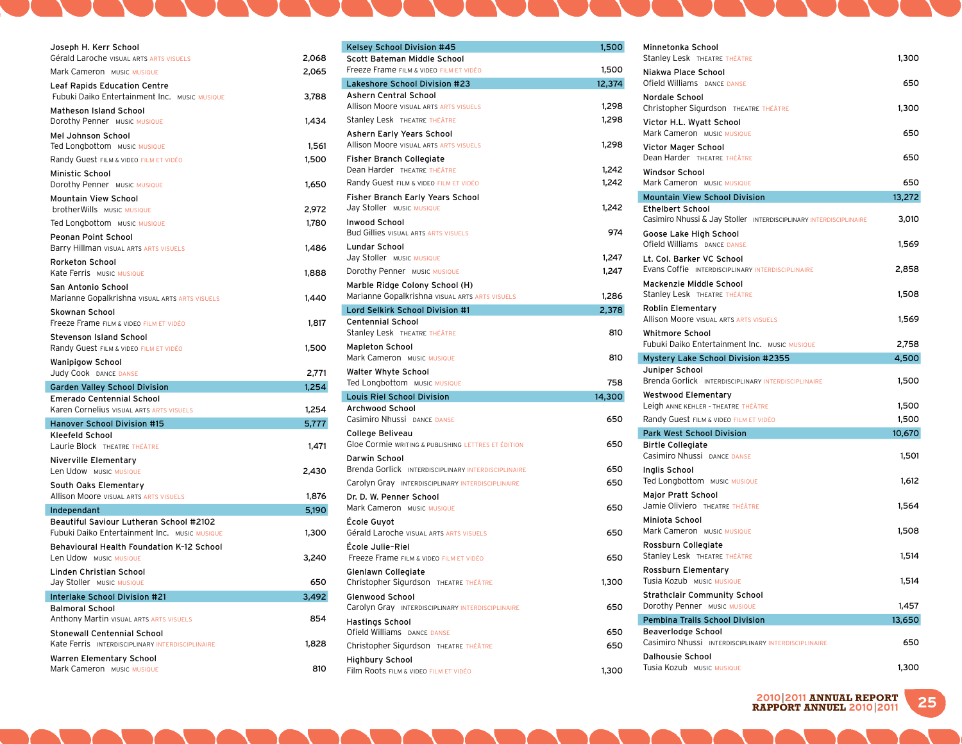| Joseph H. Kerr School                                                                           |                |
|-------------------------------------------------------------------------------------------------|----------------|
| Gérald Laroche VISUAL ARTS ARTS VISUELS<br>Mark Cameron MUSIC MUSIQUE                           | 2,068<br>2,065 |
| <b>Leaf Rapids Education Centre</b>                                                             |                |
| Fubuki Daiko Entertainment Inc. MUSIC MUSIQUE                                                   | 3,788          |
| <b>Matheson Island School</b>                                                                   |                |
| Dorothy Penner MUSIC MUSIQUE                                                                    | 1,434          |
| Mel Johnson School<br>Ted Longbottom MUSIC MUSIQUE                                              | 1,561          |
| Randy Guest FILM & VIDEO FILM ET VIDÉO                                                          | 1,500          |
| <b>Ministic School</b><br>Dorothy Penner MUSIC MUSIQUE                                          | 1,650          |
| Mountain View School                                                                            |                |
| <b>brotherWills</b> MUSIC MUSIQUE                                                               | 2,972          |
| Ted Longbottom MUSIC MUSIQUE                                                                    | 1,780          |
| Peonan Point School                                                                             |                |
| Barry Hillman VISUAL ARTS ARTS VISUELS<br>Rorketon School                                       | 1,486          |
| Kate Ferris MUSIC MUSIQUE                                                                       | 1,888          |
| San Antonio School                                                                              |                |
| Marianne Gopalkrishna VISUAL ARTS ARTS VISUELS                                                  | 1,440          |
| Skownan School                                                                                  |                |
| Freeze Frame FILM & VIDEO FILM ET VIDÉO                                                         | 1,817          |
| <b>Stevenson Island School</b><br>Randy Guest FILM & VIDEO FILM ET VIDÉO                        | 1,500          |
| <b>Wanipigow School</b>                                                                         |                |
|                                                                                                 |                |
| Judy Cook DANCE DANSE                                                                           | 2,771          |
| <b>Garden Valley School Division</b><br><b>Emerado Centennial School</b>                        | 1,254          |
| Karen Cornelius VISUAL ARTS ARTS VISUELS                                                        | 1,254          |
| <b>Hanover School Division #15</b>                                                              | 5,777          |
| Kleefeld School                                                                                 |                |
| Laurie Block THEATRE THÉÂTRE                                                                    | 1,471          |
| <b>Niverville Elementary</b><br>Len Udow MUSIC MUSIQUE                                          | 2,430          |
| South Oaks Elementary                                                                           |                |
| <b>Allison Moore VISUAL ARTS ARTS VISUELS</b>                                                   | 1,876          |
| Independant                                                                                     | 5,190          |
| Beautiful Saviour Lutheran School #2102<br><b>Fubuki Daiko Entertainment Inc. MUSIC MUSIQUE</b> | 1,300          |
| Behavioural Health Foundation K-12 School<br>Len Udow MUSIC MUSIQUE                             | 3,240          |
| Linden Christian School<br>Jay Stoller MUSIC MUSIQUE                                            | 650            |
| Interlake School Division #21                                                                   | 3,492          |
| <b>Balmoral School</b>                                                                          |                |
| <b>Anthony Martin VISUAL ARTS ARTS VISUELS</b>                                                  | 854            |
| <b>Stonewall Centennial School</b>                                                              |                |
| Kate Ferris INTERDISCIPLINARY INTERDISCIPLINAIRE<br>Warren Elementary School                    | 1,828          |

**Contract Contract Street** 

and the South

 $\mathbf{I}$  and  $\mathbf{I}$ 

| Kelsey School Division #45                                              | 1,500  |
|-------------------------------------------------------------------------|--------|
| Scott Bateman Middle School<br>Freeze Frame FILM & VIDEO FILM ET VIDÉO  | 1,500  |
| Lakeshore School Division #23                                           | 12,374 |
| Ashern Central School                                                   |        |
| <b>Allison Moore VISUAL ARTS ARTS VISUELS</b>                           | 1,298  |
| Stanley Lesk THEATRE THÉÂTRE                                            | 1,298  |
| Ashern Early Years School                                               |        |
| Allison Moore VISUAL ARTS ARTS VISUELS                                  | 1,298  |
| Fisher Branch Collegiate                                                |        |
| Dean Harder THEATRE THÉÂTRE                                             | 1,242  |
| Randy Guest FILM & VIDEO FILM ET VIDÉO                                  | 1,242  |
| Fisher Branch Early Years School                                        | 1,242  |
| Jay Stoller MUSIC MUSIQUE                                               |        |
| <b>Inwood School</b><br><b>Bud Gillies VISUAL ARTS ARTS VISUELS</b>     | 974    |
| <b>Lundar School</b>                                                    |        |
| Jay Stoller MUSIC MUSIQUE                                               | 1,247  |
| Dorothy Penner MUSIC MUSIQUE                                            | 1,247  |
| Marble Ridge Colony School (H)                                          |        |
| Marianne Gopalkrishna VISUAL ARTS ARTS VISUELS                          | 1,286  |
| Lord Selkirk School Division #1                                         | 2,378  |
| <b>Centennial School</b><br>Stanley Lesk THEATRE THÉÂTRE                | 810    |
| <b>Mapleton School</b>                                                  |        |
| Mark Cameron MUSIC MUSIQUE                                              | 810    |
| Walter Whyte School                                                     |        |
| Ted Longbottom MUSIC MUSIQUE                                            | 758    |
| <b>Louis Riel School Division</b>                                       | 14,300 |
| Archwood School<br>Casimiro Nhussi DANCE DANSE                          | 650    |
|                                                                         |        |
| College Beliveau<br>Gloe Cormie WRITING & PUBLISHING LETTRES ET ÉDITION | 650    |
| Darwin School                                                           |        |
| Brenda Gorlick INTERDISCIPLINARY INTERDISCIPLINAIRE                     | 650    |
| Carolyn Gray INTERDISCIPLINARY INTERDISCIPLINAIRE                       | 650    |
| Dr. D. W. Penner School                                                 |        |
| Mark Cameron MUSIC MUSIQUE                                              | 650    |
| École Guyot                                                             |        |
| Gérald Laroche VISUAL ARTS ARTS VISUELS                                 | 650    |
| École Julie-Riel                                                        |        |
| Freeze Frame FILM & VIDEO FILM ET VIDÉO                                 | 650    |
| Glenlawn Collegiate                                                     |        |
| Christopher Sigurdson THEATRE THÉÂTRE                                   | 1,300  |
| <b>Glenwood School</b>                                                  |        |
| Carolyn Gray INTERDISCIPLINARY INTERDISCIPLINAIRE                       | 650    |
| <b>Hastings School</b>                                                  |        |
| Ofield Williams DANCE DANSE                                             | 650    |
| Christopher Sigurdson THEATRE THÉÂTRE                                   | 650    |
| <b>Highbury School</b>                                                  |        |
| Film Roots FILM & VIDEO FILM ET VIDÉO                                   | 1,300  |

**Contract Contract Service** 

 $\mathbf{I}$  and  $\mathbf{I}$ 

| J                   | Minnetonka School<br>Stanley Lesk THEATRE THÉÂTRE                                             | 1,300  |
|---------------------|-----------------------------------------------------------------------------------------------|--------|
| J                   | Niakwa Place School<br>Ofield Williams DANCE DANSE                                            | 650    |
| Į.                  | Nordale School                                                                                |        |
| 3<br>3              | Christopher Sigurdson THEATRE THÉÂTRE                                                         | 1,300  |
|                     | Victor H.L. Wyatt School<br>Mark Cameron MUSIC MUSIQUE                                        | 650    |
| 3                   | Victor Mager School<br>Dean Harder THEATRE THÉÂTRE                                            | 650    |
| 2<br>$\overline{ }$ | <b>Windsor School</b><br>Mark Cameron MUSIC MUSIQUE                                           | 650    |
|                     | <b>Mountain View School Division</b>                                                          | 13,272 |
| $\overline{ }$      | <b>Ethelbert School</b><br>Casimiro Nhussi & Jay Stoller INTERDISCIPLINARY INTERDISCIPLINAIRE | 3,010  |
| į                   | Goose Lake High School<br>Ofield Williams DANCE DANSE                                         | 1,569  |
|                     | Lt. Col. Barker VC School<br>Evans Coffie INTERDISCIPLINARY INTERDISCIPLINAIRE                |        |
|                     | Mackenzie Middle School                                                                       | 2,858  |
| 5                   | Stanley Lesk THEATRE THÉÂTRE                                                                  | 1,508  |
| 3                   | Roblin Elementary<br><b>Allison Moore VISUAL ARTS ARTS VISUELS</b>                            | 1,569  |
| J                   | <b>Whitmore School</b><br>Fubuki Daiko Entertainment Inc. MUSIC MUSIQUE                       | 2,758  |
| J                   | Mystery Lake School Division #2355                                                            | 4,500  |
|                     | Juniper School                                                                                |        |
| 3                   | <b>Brenda Gorlick INTERDISCIPLINARY INTERDISCIPLINAIRE</b>                                    | 1,500  |
| )                   | <b>Westwood Elementary</b>                                                                    | 1,500  |
| J                   | Leigh ANNE KEHLER - THEATRE THÉÂTRE<br>Randy Guest FILM & VIDEO FILM ET VIDÉO                 | 1,500  |
|                     | <b>Park West School Division</b>                                                              | 10,670 |
| J                   | <b>Birtle Collegiate</b>                                                                      |        |
|                     | Casimiro Nhussi DANCE DANSE                                                                   | 1,501  |
| Ć                   | Inglis School<br>Ted Longbottom MUSIC MUSIQUE                                                 | 1,612  |
| J                   | <b>Major Pratt School</b><br>Jamie Oliviero THEATRE THÉÂTRE                                   | 1,564  |
| J                   | Miniota School<br>Mark Cameron MUSIC MUSIQUE                                                  | 1,508  |
| J                   | Rossburn Collegiate<br>Stanley Lesk THEATRE THÉÂTRE                                           | 1,514  |
|                     | Rossburn Elementary                                                                           |        |
| J                   | Tusia Kozub MUSIC MUSIQUE                                                                     | 1,514  |
| J                   | <b>Strathclair Community School</b><br>Dorothy Penner MUSIC MUSIQUE                           | 1,457  |
|                     | <b>Pembina Trails School Division</b>                                                         | 13,650 |
| J<br>j              | Beaverlodge School<br>Casimiro Nhussi INTERDISCIPLINARY INTERDISCIPLINAIRE                    | 650    |
|                     | <b>Dalhousie School</b><br>Tusia Kozub Music Musique                                          | 1,300  |
|                     |                                                                                               |        |

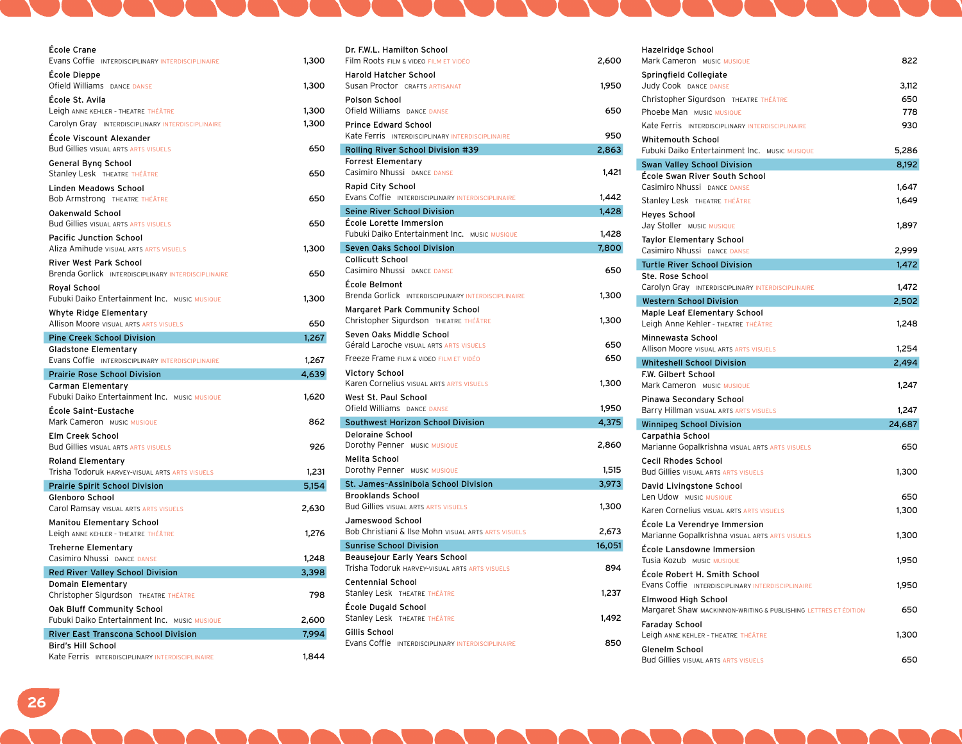| École Crane                                                              |       |
|--------------------------------------------------------------------------|-------|
| Evans Coffie INTERDISCIPLINARY INTERDISCIPLINAIRE                        | 1,300 |
| École Dieppe                                                             |       |
| Ofield Williams DANCE DANSE                                              | 1,300 |
| École St. Avila<br>Leigh ANNE KEHLER - THEATRE THÉÂTRE                   | 1,300 |
| Carolyn Gray INTERDISCIPLINARY INTERDISCIPLINAIRE                        | 1,300 |
| École Viscount Alexander                                                 |       |
| <b>Bud Gillies VISUAL ARTS ARTS VISUELS</b>                              | 650   |
| General Byng School                                                      |       |
| Stanley Lesk THEATRE THÉÂTRE                                             | 650   |
| Linden Meadows School                                                    |       |
| <b>Bob Armstrong THEATRE THÉÂTRE</b>                                     | 650   |
| <b>Oakenwald School</b><br><b>Bud Gillies VISUAL ARTS ARTS VISUELS</b>   | 650   |
|                                                                          |       |
| <b>Pacific Junction School</b><br>Aliza Amihude VISUAL ARTS ARTS VISUELS | 1,300 |
| <b>River West Park School</b>                                            |       |
| Brenda Gorlick INTERDISCIPLINARY INTERDISCIPLINAIRE                      | 650   |
| Royal School                                                             |       |
| Fubuki Daiko Entertainment Inc. MUSIC MUSIQUE                            | 1,300 |
| <b>Whyte Ridge Elementary</b>                                            |       |
| Allison Moore VISUAL ARTS ARTS VISUELS                                   | 650   |
| <b>Pine Creek School Division</b>                                        | 1,267 |
| <b>Gladstone Elementary</b>                                              |       |
|                                                                          |       |
| Evans Coffie INTERDISCIPLINARY INTERDISCIPLINAIRE                        | 1,267 |
| <b>Prairie Rose School Division</b>                                      | 4,639 |
| Carman Elementary<br>Fubuki Daiko Entertainment Inc. MUSIC MUSIQUE       | 1,620 |
| École Saint-Eustache                                                     |       |
| Mark Cameron MUSIC MUSIQUE                                               | 862   |
| <b>Elm Creek School</b>                                                  |       |
| <b>Bud Gillies VISUAL ARTS ARTS VISUELS</b>                              | 926   |
| <b>Roland Elementary</b>                                                 |       |
| Trisha Todoruk HARVEY-VISUAL ARTS ARTS VISUELS                           | 1,231 |
| <b>Prairie Spirit School Division</b>                                    | 5,154 |
| <b>Glenboro School</b>                                                   |       |
| Carol Ramsay VISUAL ARTS ARTS VISUELS                                    | 2,630 |
| <b>Manitou Elementary School</b><br>Leigh ANNE KEHLER - THEATRE THÉÂTRE  | 1,276 |
| <b>Treherne Elementary</b>                                               |       |
| Casimiro Nhussi DANCE DANSE                                              | 1,248 |
| <b>Red River Valley School Division</b>                                  | 3,398 |
| Domain Elementary                                                        |       |
| Christopher Sigurdson THEATRE THÉÂTRE                                    | 798   |
| Oak Bluff Community School                                               |       |
| Fubuki Daiko Entertainment Inc. MUSIC MUSIQUE                            | 2,600 |
| <b>River East Transcona School Division</b><br><b>Bird's Hill School</b> | 7,994 |

| Dr. F.W.L. Hamilton School<br>Film Roots FILM & VIDEO FILM ET VIDÉO                | 2,600  |
|------------------------------------------------------------------------------------|--------|
| Harold Hatcher School                                                              |        |
| Susan Proctor CRAFTS ARTISANAT<br>Polson School                                    | 1,950  |
| Ofield Williams DANCE DANSE                                                        | 650    |
| <b>Prince Edward School</b><br>Kate Ferris INTERDISCIPLINARY INTERDISCIPLINAIRE    | 950    |
| Rolling River School Division #39                                                  | 2,863  |
| <b>Forrest Elementary</b><br>Casimiro Nhussi DANCE DANSE                           | 1,421  |
| Rapid City School<br>Evans Coffie INTERDISCIPLINARY INTERDISCIPLINAIRE             | 1,442  |
| <b>Seine River School Division</b>                                                 | 1,428  |
| École Lorette Immersion<br>Fubuki Daiko Entertainment Inc. MUSIC MUSIQUE           | 1,428  |
| Seven Oaks School Division                                                         | 7,800  |
| <b>Collicutt School</b><br>Casimiro Nhussi DANCE DANSE                             | 650    |
| École Belmont<br>Brenda Gorlick INTERDISCIPLINARY INTERDISCIPLINAIRE               | 1,300  |
| Margaret Park Community School<br>Christopher Sigurdson THEATRE THÉÂTRE            | 1,300  |
| Seven Oaks Middle School<br><b>Gérald Laroche VISUAL ARTS ARTS VISUELS</b>         | 650    |
| Freeze Frame FILM & VIDEO FILM ET VIDÉO                                            | 650    |
| Victory School<br>Karen Cornelius VISUAL ARTS ARTS VISUELS                         | 1,300  |
| West St. Paul School<br>Ofield Williams DANCE DANSE                                | 1,950  |
| Southwest Horizon School Division                                                  | 4,375  |
| <b>Deloraine School</b><br>Dorothy Penner MUSIC MUSIQUE                            | 2,860  |
| Melita School<br>Dorothy Penner MUSIC MUSIQUE                                      | 1,515  |
| St. James-Assiniboia School Division                                               | 3,973  |
| <b>Brooklands School</b><br><b>Bud Gillies VISUAL ARTS ARTS VISUELS</b>            | 1,300  |
| Jameswood School<br><b>Bob Christiani &amp; Ilse Mohn VISUAL ARTS ARTS VISUELS</b> | 2.673  |
| <b>Sunrise School Division</b>                                                     | 16,051 |
| Beausejour Early Years School<br>Trisha Todoruk HARVEY-VISUAL ARTS ARTS VISUELS    | 894    |
| <b>Centennial School</b><br>Stanley Lesk THEATRE THÉÂTRE                           | 1,237  |
| École Dugald School<br>Stanley Lesk THEATRE THÉÂTRE                                | 1,492  |
| Gillis School<br>Evans Coffie INTERDISCIPLINARY INTERDISCIPLINAIRE                 | 850    |
|                                                                                    |        |

| Hazelridge School<br>Mark Cameron MUSIC MUSIQUE                           | 822    |
|---------------------------------------------------------------------------|--------|
| Springfield Collegiate                                                    |        |
| Judy Cook DANCE DANSE                                                     | 3,112  |
| Christopher Sigurdson THEATRE THÉÂTRE                                     | 650    |
| Phoebe Man MUSIC MUSIQUE                                                  | 778    |
| Kate Ferris INTERDISCIPLINARY INTERDISCIPLINAIRE                          | 930    |
| <b>Whitemouth School</b>                                                  |        |
| Fubuki Daiko Entertainment Inc. MUSIC MUSIQUE                             | 5,286  |
| <b>Swan Valley School Division</b>                                        | 8,192  |
| École Swan River South School                                             |        |
| Casimiro Nhussi DANCE DANSE                                               | 1,647  |
| Stanley Lesk THEATRE THÉÂTRE                                              | 1,649  |
| <b>Heyes School</b>                                                       |        |
| Jay Stoller MUSIC MUSIQUE                                                 | 1,897  |
| <b>Taylor Elementary School</b>                                           |        |
| Casimiro Nhussi DANCE DANSE                                               | 2,999  |
| <b>Turtle River School Division</b>                                       | 1,472  |
| Ste. Rose School<br>Carolyn Gray INTERDISCIPLINARY INTERDISCIPLINAIRE     | 1,472  |
|                                                                           |        |
| <b>Western School Division</b><br>Maple Leaf Elementary School            | 2,502  |
| Leigh Anne Kehler - THEATRE THÉÂTRE                                       | 1,248  |
| Minnewasta School                                                         |        |
| Allison Moore visual ARTS ARTS VISUELS                                    | 1,254  |
| <b>Whiteshell School Division</b>                                         | 2,494  |
| F.W. Gilbert School                                                       |        |
| Mark Cameron MUSIC MUSIQUE                                                | 1,247  |
| Pinawa Secondary School                                                   |        |
| Barry Hillman VISUAL ARTS ARTS VISUELS                                    | 1,247  |
| <b>Winnipeg School Division</b>                                           | 24,687 |
| Carpathia School                                                          |        |
| Marianne Gopalkrishna VISUAL ARTS ARTS VISUELS                            | 650    |
| <b>Cecil Rhodes School</b><br><b>Bud Gillies VISUAL ARTS ARTS VISUELS</b> | 1,300  |
|                                                                           |        |
| David Livingstone School<br>Len Udow MUSIC MUSIQUE                        | 650    |
| Karen Cornelius VISUAL ARTS ARTS VISUELS                                  | 1,300  |
| École La Verendrye Immersion                                              |        |
| Marianne Gopalkrishna VISUAL ARTS ARTS VISUELS                            | 1,300  |
| École Lansdowne Immersion                                                 |        |
| Tusia Kozub Music Musique                                                 | 1,950  |
| École Robert H. Smith School                                              |        |
| Evans Coffie INTERDISCIPLINARY INTERDISCIPLINAIRE                         | 1,950  |
| Elmwood High School                                                       |        |
| Margaret Shaw MACKINNON-WRITING & PUBLISHING LETTRES ET ÉDITION           | 650    |
| <b>Faraday School</b>                                                     |        |
| Leigh ANNE KEHLER - THEATRE THÉÂTRE                                       | 1,300  |
| Glenelm School                                                            |        |
| <b>Bud Gillies VISUAL ARTS ARTS VISUELS</b>                               | 650    |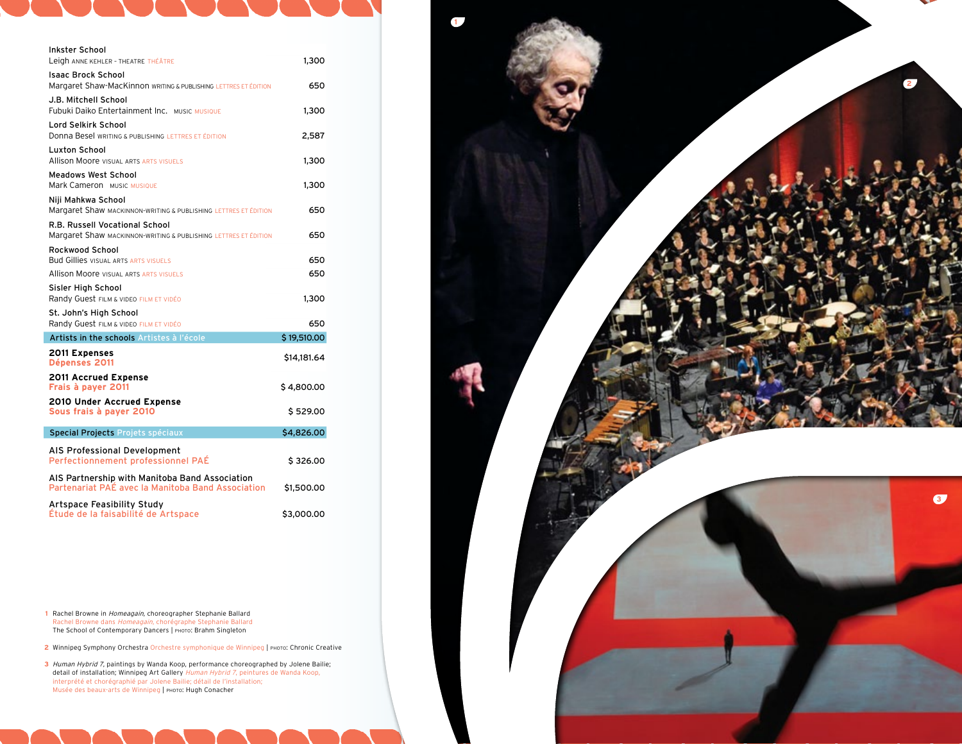| Inkster School<br>Leigh ANNE KEHLER - THEATRE THÉÂTRE                                               | 1,300       |
|-----------------------------------------------------------------------------------------------------|-------------|
| <b>Isaac Brock School</b>                                                                           |             |
| Margaret Shaw-MacKinnon WRITING & PUBLISHING LETTRES ET ÉDITION                                     | 650         |
| J.B. Mitchell School<br><b>Fubuki Daiko Entertainment Inc. MUSIC MUSIQUE</b>                        | 1,300       |
| Lord Selkirk School<br>Donna Besel WRITING & PUBLISHING LETTRES ET ÉDITION                          | 2,587       |
| Luxton School<br><b>Allison Moore VISUAL ARTS ARTS VISUELS</b>                                      | 1,300       |
| <b>Meadows West School</b><br>Mark Cameron MUSIC MUSIQUE                                            | 1,300       |
| Niji Mahkwa School<br>Margaret Shaw MACKINNON-WRITING & PUBLISHING LETTRES ET ÉDITION               | 650         |
| R.B. Russell Vocational School                                                                      |             |
| Margaret Shaw MACKINNON-WRITING & PUBLISHING LETTRES ET ÉDITION                                     | 650         |
| Rockwood School<br><b>Bud Gillies VISUAL ARTS ARTS VISUELS</b>                                      | 650         |
| <b>Allison Moore visual arts ARTS VISUELS</b>                                                       | 650         |
| Sisler High School<br>Randy Guest FILM & VIDEO FILM ET VIDÉO                                        | 1,300       |
| St. John's High School<br>Randy Guest FILM & VIDEO FILM ET VIDÉO                                    | 650         |
| Artists in the schools Artistes à l'école                                                           | \$19,510.00 |
| <b>2011 Expenses</b><br>Dépenses 2011                                                               | \$14,181.64 |
| 2011 Accrued Expense<br>Frais à payer 2011                                                          | \$4,800.00  |
| 2010 Under Accrued Expense<br>Sous frais à payer 2010                                               | \$529.00    |
| Special Projects Projets spéciaux                                                                   | \$4,826.00  |
| AIS Professional Development<br>Perfectionnement professionnel PAÉ                                  | \$326.00    |
| AIS Partnership with Manitoba Band Association<br>Partenariat PAÉ avec la Manitoba Band Association | \$1,500.00  |
| <b>Artspace Feasibility Study</b><br>Étude de la faisabilité de Artspace                            | \$3,000.00  |

**1** Rachel Browne in Homeagain, choreographer Stephanie Ballard Rachel Browne dans Homeagain, chorégraphe Stephanie Ballard The School of Contemporary Dancers | photo : Brahm Singleton

2 Winnipeg Symphony Orchestra Orchestre symphonique de Winnipeg | PHOTO: Chronic Creative

**3** Human Hybrid 7, paintings by Wanda Koop, performance choreographed by Jolene Bailie; detail of installation; Winnipeg Art Gallery Human Hybrid 7, peintures de Wanda Koop, interprété et chorégraphié par Jolene Bailie; détail de l'installation; Musée des beaux-arts de Winnipeg | photo : Hugh Conacher

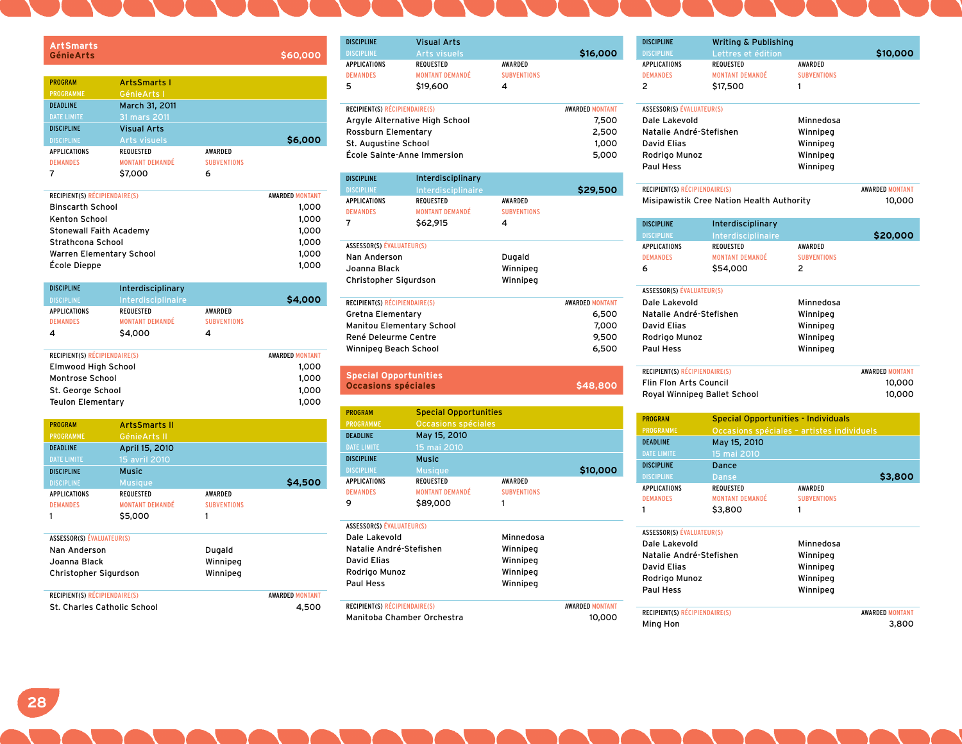| <b>ArtSmarts</b><br><b>Génie Arts</b> |                        |                    | \$60,000 |
|---------------------------------------|------------------------|--------------------|----------|
| <b>PROGRAM</b>                        | <b>ArtsSmarts I</b>    |                    |          |
| <b>PROGRAMME</b>                      | Génie Arts I           |                    |          |
| <b>DEADLINE</b>                       | March 31, 2011         |                    |          |
| <b>DATE LIMITE</b>                    | 31 mars 2011           |                    |          |
| <b>DISCIPLINE</b>                     | <b>Visual Arts</b>     |                    |          |
| <b>DISCIPLINE</b>                     | Arts visuels           |                    | \$6,000  |
| <b>APPLICATIONS</b>                   | <b>REQUESTED</b>       | <b>AWARDED</b>     |          |
| <b>DEMANDES</b>                       | <b>MONTANT DEMANDÉ</b> | <b>SUBVENTIONS</b> |          |
| 7                                     | \$7,000                | 6                  |          |

| <b>RECIPIENT(S) RÉCIPIENDAIRE(S)</b> | <b>AWARDED MONTANT</b> |
|--------------------------------------|------------------------|
| <b>Binscarth School</b>              | 1.000                  |
| Kenton School                        | 1,000                  |
| Stonewall Faith Academy              | 1,000                  |
| Strathcona School                    | 1.000                  |
| Warren Elementary School             | 1.000                  |
| École Dieppe                         | 1.000                  |
|                                      |                        |

| \$4,000                          |
|----------------------------------|
| <b>AWARDED</b>                   |
| <b>SUBVENTIONS</b>               |
|                                  |
| <b>AWARDED MONTANT</b>           |
|                                  |
| 1,000<br>$\cdot$ $\cdot$ $\cdot$ |
|                                  |

| Montrose School          |                      | 1.000 |
|--------------------------|----------------------|-------|
| St. George School        |                      | 1.000 |
| <b>Teulon Elementary</b> |                      | 1.000 |
|                          |                      |       |
| <b>PROGRAM</b>           | <b>ArtsSmarts II</b> |       |

| <b>PROGRAMME</b>                 | Génie Arts II          |                    |                        |
|----------------------------------|------------------------|--------------------|------------------------|
| <b>DEADLINE</b>                  | April 15, 2010         |                    |                        |
| <b>DATE LIMITE</b>               | 15 avril 2010          |                    |                        |
| <b>DISCIPLINE</b>                | <b>Music</b>           |                    |                        |
| <b>DISCIPLINE</b>                | <b>Musique</b>         |                    | \$4,500                |
| <b>APPLICATIONS</b>              | <b>REQUESTED</b>       | <b>AWARDED</b>     |                        |
| <b>DEMANDES</b>                  | <b>MONTANT DEMANDÉ</b> | <b>SUBVENTIONS</b> |                        |
|                                  | \$5,000                | 1                  |                        |
|                                  |                        |                    |                        |
| <b>ASSESSOR(S) ÉVALUATEUR(S)</b> |                        |                    |                        |
| Nan Anderson                     |                        | Dugald             |                        |
| Joanna Black                     |                        | Winnipeg           |                        |
| Christopher Sigurdson            |                        | Winnipeg           |                        |
|                                  |                        |                    |                        |
| RECIPIENT(S) RÉCIPIENDAIRE(S)    |                        |                    | <b>AWARDED MONTANT</b> |

St. Charles Catholic School 4,500

| <b>DISCIPLINE</b>                    | <b>Visual Arts</b>     |                    |                        |
|--------------------------------------|------------------------|--------------------|------------------------|
| <b>DISCIPLINE</b>                    | <b>Arts visuels</b>    |                    | \$16,000               |
| <b>APPLICATIONS</b>                  | REQUESTED              | <b>AWARDED</b>     |                        |
| <b>DEMANDES</b>                      | <b>MONTANT DEMANDÉ</b> | <b>SUBVENTIONS</b> |                        |
| 5                                    | \$19,600               | 4                  |                        |
|                                      |                        |                    |                        |
| <b>RECIPIENT(S) RÉCIPIENDAIRE(S)</b> |                        |                    | <b>AWARDED MONTANT</b> |
| Argyle Alternative High School       |                        |                    | 7,500                  |
| Rossburn Elementary                  |                        |                    | 2,500                  |
| St. Augustine School                 |                        |                    | 1.000                  |
| École Sainte-Anne Immersion          |                        |                    | 5,000                  |

| <b>DISCIPLINE</b>                | Interdisciplinary      |                    |                        |
|----------------------------------|------------------------|--------------------|------------------------|
| <b>DISCIPLINE</b>                | Interdisciplinaire     |                    | \$29,500               |
| <b>APPLICATIONS</b>              | REQUESTED              | <b>AWARDED</b>     |                        |
| <b>DEMANDES</b>                  | <b>MONTANT DEMANDÉ</b> | <b>SUBVENTIONS</b> |                        |
| 7                                | \$62,915               | 4                  |                        |
|                                  |                        |                    |                        |
| <b>ASSESSOR(S) ÉVALUATEUR(S)</b> |                        |                    |                        |
| Nan Anderson                     |                        | Dugald             |                        |
| Joanna Black                     |                        | Winnipeg           |                        |
| Christopher Sigurdson            |                        | Winnipeg           |                        |
|                                  |                        |                    |                        |
| RECIPIENT(S) RÉCIPIENDAIRE(S)    |                        |                    | <b>AWARDED MONTANT</b> |
| Gretna Elementary                |                        |                    | 6,500                  |
| <b>Manitou Elementary School</b> |                        |                    | 7.000                  |

| René Deleurme Centre<br>Winnipeg Beach School              |                              |                    | 9,500<br>6,500         |
|------------------------------------------------------------|------------------------------|--------------------|------------------------|
| <b>Special Opportunities</b><br><b>Occasions spéciales</b> |                              | \$48,800           |                        |
| <b>PROGRAM</b>                                             | <b>Special Opportunities</b> |                    |                        |
| <b>PROGRAMME</b>                                           | Occasions spéciales          |                    |                        |
| <b>DEADLINE</b>                                            | May 15, 2010                 |                    |                        |
| <b>DATE LIMITE</b>                                         | 15 mai 2010                  |                    |                        |
| <b>DISCIPLINE</b>                                          | Music                        |                    |                        |
| <b>DISCIPLINE</b>                                          | <b>Musique</b>               |                    | \$10,000               |
| <b>APPLICATIONS</b>                                        | <b>REQUESTED</b>             | AWARDED            |                        |
| <b>DEMANDES</b>                                            | <b>MONTANT DEMANDÉ</b>       | <b>SUBVENTIONS</b> |                        |
| 9                                                          | \$89,000                     | 1                  |                        |
| <b>ASSESSOR(S) ÉVALUATEUR(S)</b>                           |                              |                    |                        |
| Dale Lakevold                                              |                              | Minnedosa          |                        |
| Natalie André-Stefishen                                    |                              | Winnipeg           |                        |
| David Flias                                                |                              | Winnipeg           |                        |
| Winnipeg<br>Rodrigo Munoz                                  |                              |                    |                        |
| <b>Paul Hess</b>                                           |                              | Winnipeg           |                        |
| RECIPIENT(S) RÉCIPIENDAIRE(S)                              |                              |                    | <b>AWARDED MONTANT</b> |
| Manitoba Chamber Orchestra                                 |                              |                    | 10,000                 |

| <b>DISCIPLINE</b>                    | <b>Writing &amp; Publishing</b>            |                    |                        |
|--------------------------------------|--------------------------------------------|--------------------|------------------------|
| <b>DISCIPLINE</b>                    | Lettres et édition                         |                    | \$10,000               |
| <b>APPLICATIONS</b>                  | <b>REQUESTED</b>                           | AWARDED            |                        |
| <b>DEMANDES</b>                      | <b>MONTANT DEMANDÉ</b>                     | <b>SUBVENTIONS</b> |                        |
| $\overline{2}$                       | \$17,500                                   | 1                  |                        |
| ASSESSOR(S) ÉVALUATEUR(S)            |                                            |                    |                        |
| Dale Lakevold                        |                                            | Minnedosa          |                        |
| Natalie André-Stefishen              |                                            | Winnipeg           |                        |
| <b>David Elias</b>                   |                                            | Winnipeg           |                        |
| Rodrigo Munoz                        |                                            | Winnipeg           |                        |
| <b>Paul Hess</b>                     |                                            | Winnipeg           |                        |
| RECIPIENT(S) RÉCIPIENDAIRE(S)        |                                            |                    |                        |
|                                      | Misipawistik Cree Nation Health Authority  |                    | <b>AWARDED MONTANT</b> |
|                                      |                                            |                    | 10,000                 |
| <b>DISCIPLINE</b>                    | Interdisciplinary                          |                    |                        |
| <b>DISCIPLINE</b>                    | Interdisciplinaire                         |                    | \$20,000               |
| <b>APPLICATIONS</b>                  | <b>REQUESTED</b>                           | <b>AWARDED</b>     |                        |
| <b>DEMANDES</b>                      | <b>MONTANT DEMANDÉ</b>                     | <b>SUBVENTIONS</b> |                        |
| 6                                    | \$54,000                                   | 2                  |                        |
| <b>ASSESSOR(S) ÉVALUATEUR(S)</b>     |                                            |                    |                        |
| Dale Lakevold                        |                                            | Minnedosa          |                        |
| Natalie André-Stefishen              |                                            | Winnipeg           |                        |
| <b>David Elias</b>                   |                                            | Winnipeg           |                        |
| Rodrigo Munoz                        |                                            | Winnipeg           |                        |
| Paul Hess                            |                                            | Winnipeg           |                        |
| RECIPIENT(S) RÉCIPIENDAIRE(S)        |                                            |                    | <b>AWARDED MONTANT</b> |
| <b>Flin Flon Arts Council</b>        |                                            |                    | 10,000                 |
| Royal Winnipeg Ballet School         |                                            |                    | 10,000                 |
| <b>PROGRAM</b>                       | <b>Special Opportunities - Individuals</b> |                    |                        |
| PROGRAMME                            | Occasions spéciales - artistes individuels |                    |                        |
| <b>DEADLINE</b>                      | May 15, 2010                               |                    |                        |
| <b>DATE LIMITE</b>                   | 15 mai 2010                                |                    |                        |
| <b>DISCIPLINE</b>                    | Dance                                      |                    |                        |
| <b>DISCIPLINE</b>                    | <b>Danse</b>                               |                    | \$3,800                |
| <b>APPLICATIONS</b>                  | <b>REQUESTED</b>                           | <b>AWARDED</b>     |                        |
| <b>DEMANDES</b>                      | <b>MONTANT DEMANDÉ</b>                     | <b>SUBVENTIONS</b> |                        |
| 1                                    | \$3,800                                    | 1                  |                        |
| <b>ASSESSOR(S) ÉVALUATEUR(S)</b>     |                                            |                    |                        |
| Dale Lakevold                        |                                            | Minnedosa          |                        |
| Natalie André-Stefishen              |                                            | Winnipeg           |                        |
| <b>David Elias</b>                   |                                            | Winnipeg           |                        |
| Rodrigo Munoz                        |                                            | Winnipeg           |                        |
| <b>Paul Hess</b>                     |                                            | Winnipeg           |                        |
|                                      |                                            |                    |                        |
| <b>RECIPIENT(S) RÉCIPIENDAIRE(S)</b> |                                            |                    | <b>AWARDED MONTANT</b> |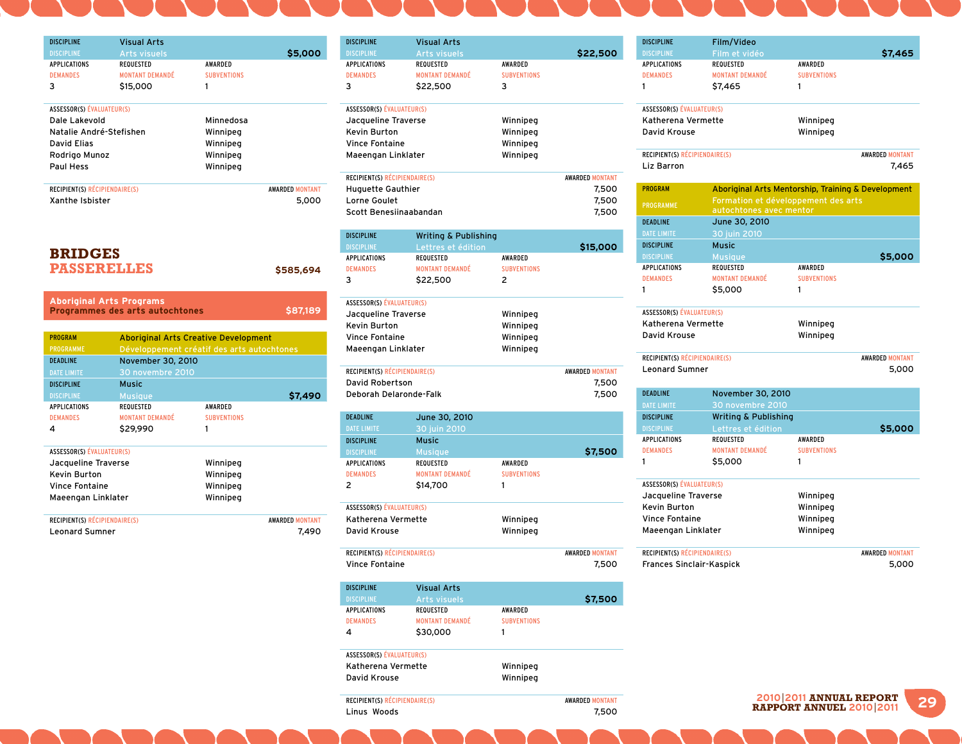| <b>DISCIPLINE</b>                    | <b>Visual Arts</b>                          |                    |                        |
|--------------------------------------|---------------------------------------------|--------------------|------------------------|
| <b>DISCIPLINE</b>                    | <b>Arts visuels</b>                         |                    | \$5,000                |
| <b>APPLICATIONS</b>                  | <b>REQUESTED</b>                            | AWARDED            |                        |
| <b>DEMANDES</b>                      | <b>MONTANT DEMANDÉ</b>                      | <b>SUBVENTIONS</b> |                        |
| 3                                    | \$15,000                                    | 1                  |                        |
|                                      |                                             |                    |                        |
| <b>ASSESSOR(S) ÉVALUATEUR(S)</b>     |                                             |                    |                        |
| Dale Lakevold                        |                                             | Minnedosa          |                        |
| Natalie André-Stefishen              |                                             | Winnipeg           |                        |
| <b>David Elias</b>                   |                                             | Winnipeg           |                        |
| Rodriao Munoz                        |                                             | Winnipeg           |                        |
| Paul Hess                            |                                             | Winnipeg           |                        |
| <b>RECIPIENT(S) RÉCIPIENDAIRE(S)</b> |                                             |                    | <b>AWARDED MONTANT</b> |
| Xanthe Ishister                      |                                             |                    | 5.000                  |
|                                      |                                             |                    |                        |
|                                      |                                             |                    |                        |
|                                      |                                             |                    |                        |
|                                      |                                             |                    |                        |
|                                      |                                             |                    |                        |
| <b>BRIDGES</b>                       |                                             |                    |                        |
|                                      |                                             |                    |                        |
| <b>PASSERELLES</b>                   |                                             |                    | \$585,694              |
|                                      |                                             |                    |                        |
|                                      | <b>Aboriginal Arts Programs</b>             |                    |                        |
|                                      | Programmes des arts autochtones             |                    | \$87,189               |
|                                      |                                             |                    |                        |
| <b>PROGRAM</b>                       | <b>Aboriginal Arts Creative Development</b> |                    |                        |
| <b>PROGRAMME</b>                     | Développement créatif des arts autochtones  |                    |                        |
| <b>DEADLINE</b>                      | November 30, 2010                           |                    |                        |
| <b>DATE LIMITE</b>                   | 30 novembre 2010                            |                    |                        |
| <b>DISCIPLINE</b>                    | <b>Music</b>                                |                    |                        |
| <b>DISCIPLINE</b>                    | <b>Musique</b>                              |                    | \$7,490                |
| <b>APPLICATIONS</b>                  | <b>REQUESTED</b>                            | <b>AWARDED</b>     |                        |
| <b>DEMANDES</b>                      | <b>MONTANT DEMANDÉ</b>                      | <b>SUBVENTIONS</b> |                        |
| 4                                    | \$29,990                                    | 1                  |                        |
|                                      |                                             |                    |                        |
| <b>ASSESSOR(S) ÉVALUATEUR(S)</b>     |                                             |                    |                        |
| Jacqueline Traverse                  |                                             | Winnipeg           |                        |
| Kevin Burton                         |                                             | Winnipeg           |                        |
| <b>Vince Fontaine</b>                |                                             | Winnipeg           |                        |
| Maeengan Linklater                   |                                             | Winnipeg           |                        |
|                                      |                                             |                    |                        |
| <b>RECIPIENT(S) RÉCIPIENDAIRE(S)</b> |                                             |                    | <b>AWARDED MONTANT</b> |
| <b>Leonard Sumner</b>                |                                             |                    | 7.490                  |

| <b>DISCIPLINE</b>                          | <b>Visual Arts</b>                         |                               |                        |
|--------------------------------------------|--------------------------------------------|-------------------------------|------------------------|
| <b>DISCIPLINE</b><br><b>APPLICATIONS</b>   | Arts visuels<br>REQUESTED                  | AWARDED                       | \$22,500               |
| <b>DEMANDES</b>                            | <b>MONTANT DEMANDÉ</b>                     | <b>SUBVENTIONS</b>            |                        |
| з                                          | \$22,500                                   | 3                             |                        |
|                                            |                                            |                               |                        |
| ASSESSOR(S) ÉVALUATEUR(S)                  |                                            |                               |                        |
| Jacqueline Traverse<br><b>Kevin Burton</b> |                                            | Winnipeg<br>Winnipeg          |                        |
| <b>Vince Fontaine</b>                      |                                            |                               |                        |
| Maeengan Linklater                         |                                            | Winnipeg<br>Winnipeg          |                        |
|                                            |                                            |                               |                        |
| RECIPIENT(S) RÉCIPIENDAIRE(S)              |                                            |                               | <b>AWARDED MONTANT</b> |
| <b>Huguette Gauthier</b>                   |                                            |                               | 7,500                  |
| Lorne Goulet                               |                                            |                               | 7,500                  |
| Scott Benesiinaabandan                     |                                            |                               | 7,500                  |
| <b>DISCIPLINE</b>                          | <b>Writing &amp; Publishing</b>            |                               |                        |
| <b>DISCIPLINE</b>                          | Lettres et édition                         |                               | \$15,000               |
| <b>APPLICATIONS</b><br><b>DEMANDES</b>     | <b>REQUESTED</b><br><b>MONTANT DEMANDÉ</b> | AWARDED<br><b>SUBVENTIONS</b> |                        |
| 3                                          | \$22,500                                   | 2                             |                        |
|                                            |                                            |                               |                        |
| <b>ASSESSOR(S) ÉVALUATEUR(S)</b>           |                                            |                               |                        |
| Jacqueline Traverse                        |                                            | Winnipeg                      |                        |
| Kevin Burton                               |                                            | Winnipeg                      |                        |
| <b>Vince Fontaine</b>                      |                                            | Winnipeg                      |                        |
|                                            |                                            |                               |                        |
| Maeengan Linklater                         |                                            | Winnipeg                      |                        |
| RECIPIENT(S) RÉCIPIENDAIRE(S)              |                                            |                               | <b>AWARDED MONTANT</b> |
| <b>David Robertson</b>                     |                                            |                               | 7,500                  |
| Deborah Delaronde-Falk                     |                                            |                               | 7,500                  |
| <b>DEADLINE</b>                            | June 30, 2010                              |                               |                        |
| <b>DATE LIMITE</b>                         | 30 juin 2010                               |                               |                        |
| <b>DISCIPLINE</b>                          | <b>Music</b>                               |                               |                        |
| <b>DISCIPLINE</b>                          | <b>Musique</b>                             |                               | \$7,500                |
| <b>APPLICATIONS</b><br><b>DEMANDES</b>     | <b>REQUESTED</b><br><b>MONTANT DEMANDÉ</b> | AWARDED<br><b>SUBVENTIONS</b> |                        |
| 2                                          | \$14,700                                   | 1                             |                        |
|                                            |                                            |                               |                        |
| ASSESSOR(S) ÉVALUATEUR(S)                  |                                            |                               |                        |
| Katherena Vermette                         |                                            | Winnipeg                      |                        |
| David Krouse                               |                                            | Winnipeg                      |                        |
| RECIPIENT(S) RÉCIPIENDAIRE(S)              |                                            |                               | <b>AWARDED MONTANT</b> |
| <b>Vince Fontaine</b>                      |                                            |                               | 7,500                  |
| <b>DISCIPLINE</b>                          | <b>Visual Arts</b>                         |                               |                        |
| <b>DISCIPLINE</b>                          | Arts visuels                               |                               | \$7,500                |
| APPLICATIONS                               | <b>REQUESTED</b>                           | AWARDED                       |                        |
| <b>DEMANDES</b>                            | <b>MONTANT DEMANDÉ</b>                     | <b>SUBVENTIONS</b>            |                        |
| 4                                          | \$30,000                                   | 1                             |                        |
| ASSESSOR(S) ÉVALUATEUR(S)                  |                                            |                               |                        |
| Katherena Vermette                         |                                            | Winnipeg                      |                        |

RECIPIENT(S) RÉCIPIENDAIRE(S) <br>
Linus Woods 7,500

Linus Woods

| <b>DISCIPLINE</b>                      | Film/Video                                         |                               |                        |
|----------------------------------------|----------------------------------------------------|-------------------------------|------------------------|
| <b>DISCIPLINE</b>                      | Film et vidéo                                      |                               | \$7,465                |
| <b>APPLICATIONS</b>                    | REQUESTED                                          | AWARDED                       |                        |
| <b>DEMANDES</b>                        | <b>MONTANT DEMANDÉ</b>                             | <b>SUBVENTIONS</b>            |                        |
| 1                                      | \$7,465                                            | 1                             |                        |
|                                        |                                                    |                               |                        |
| ASSESSOR(S) ÉVALUATEUR(S)              |                                                    |                               |                        |
| Katherena Vermette                     |                                                    | Winnipeg                      |                        |
| David Krouse                           |                                                    | Winnipeg                      |                        |
| RECIPIENT(S) RÉCIPIENDAIRE(S)          |                                                    |                               | <b>AWARDED MONTANT</b> |
| Liz Barron                             |                                                    |                               | 7.465                  |
|                                        |                                                    |                               |                        |
| <b>PROGRAM</b>                         | Aboriginal Arts Mentorship, Training & Development |                               |                        |
| <b>PROGRAMME</b>                       | Formation et développement des arts                |                               |                        |
|                                        | autochtones avec mentor                            |                               |                        |
| <b>DEADLINE</b>                        | June 30, 2010                                      |                               |                        |
| <b>DATE LIMITE</b>                     | 30 juin 2010                                       |                               |                        |
| <b>DISCIPLINE</b>                      | <b>Music</b>                                       |                               |                        |
| <b>DISCIPLINE</b>                      | <b>Musique</b>                                     |                               | \$5,000                |
| <b>APPLICATIONS</b>                    | <b>REQUESTED</b>                                   | <b>AWARDED</b>                |                        |
| <b>DEMANDES</b>                        | <b>MONTANT DEMANDÉ</b>                             | <b>SUBVENTIONS</b>            |                        |
| 1                                      | \$5,000                                            | 1                             |                        |
| <b>ASSESSOR(S) ÉVALUATEUR(S)</b>       |                                                    |                               |                        |
| Katherena Vermette                     |                                                    | Winnipeg                      |                        |
| David Krouse                           |                                                    | Winnipeg                      |                        |
|                                        |                                                    |                               |                        |
| RECIPIENT(S) RÉCIPIENDAIRE(S)          |                                                    |                               | <b>AWARDED MONTANT</b> |
| <b>Leonard Sumner</b>                  |                                                    |                               | 5,000                  |
|                                        |                                                    |                               |                        |
| <b>DEADLINE</b>                        | November 30, 2010                                  |                               |                        |
| <b>DATE LIMITE</b>                     | 30 novembre 2010                                   |                               |                        |
| <b>DISCIPLINE</b>                      | <b>Writing &amp; Publishing</b>                    |                               |                        |
| <b>DISCIPLINE</b>                      | Lettres et édition<br><b>REQUESTED</b>             |                               | \$5,000                |
| <b>APPLICATIONS</b><br><b>DEMANDES</b> | <b>MONTANT DEMANDÉ</b>                             | AWARDED<br><b>SUBVENTIONS</b> |                        |
| 1                                      |                                                    | 1                             |                        |
|                                        | \$5,000                                            |                               |                        |
| <b>ASSESSOR(S) ÉVALUATEUR(S)</b>       |                                                    |                               |                        |
| Jacqueline Traverse                    |                                                    | Winnipeg                      |                        |
| <b>Kevin Burton</b>                    |                                                    | Winnipeg                      |                        |
| <b>Vince Fontaine</b>                  |                                                    | Winnipeg                      |                        |
| Maeengan Linklater                     |                                                    | Winnipeg                      |                        |
|                                        |                                                    |                               |                        |
| <b>RECIPIENT(S) RÉCIPIENDAIRE(S)</b>   |                                                    |                               | <b>AWARDED MONTANT</b> |
| <b>Frances Sinclair-Kaspick</b>        |                                                    |                               | 5,000                  |
|                                        |                                                    |                               |                        |

**29 <sup>2010</sup>**|**2011 ANNUaL REPORT RAPPORT ANNUEL 2010**|**2011**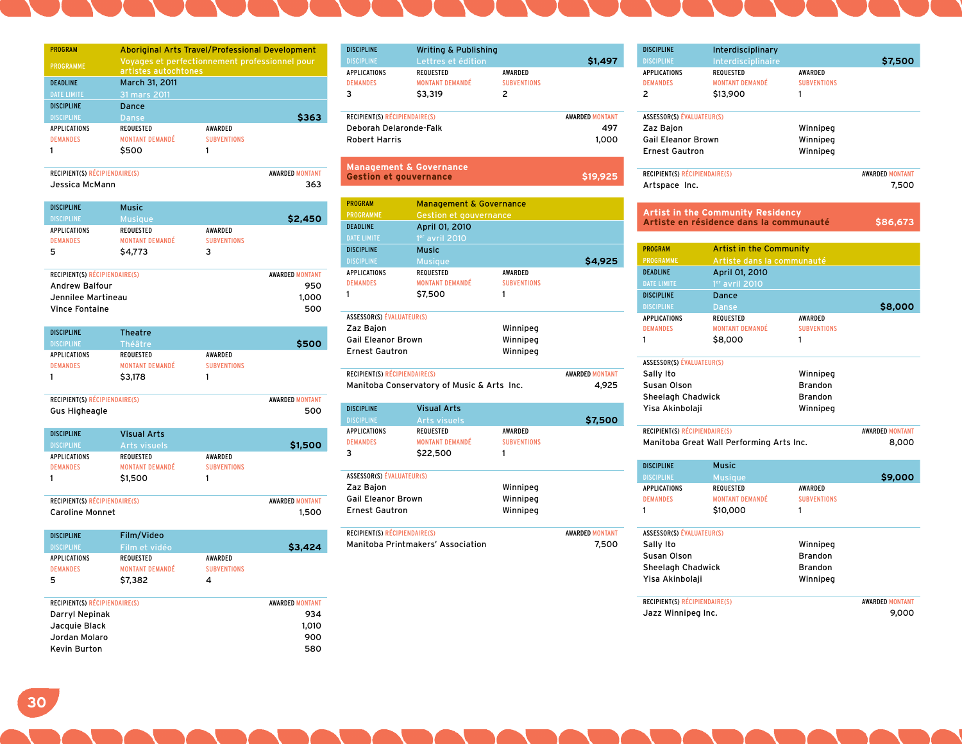| <b>PROGRAM</b>      |                        | Aboriginal Arts Travel/Professional Development                        |       |  |
|---------------------|------------------------|------------------------------------------------------------------------|-------|--|
| PROGRAMME           |                        | Voyages et perfectionnement professionnel pour<br>artistes autochtones |       |  |
| <b>DEADLINE</b>     | March 31, 2011         |                                                                        |       |  |
| <b>DATE LIMITE</b>  | 31 mars 2011           |                                                                        |       |  |
| <b>DISCIPLINE</b>   | Dance                  |                                                                        |       |  |
| <b>DISCIPLINE</b>   | <b>Danse</b>           |                                                                        | \$363 |  |
| <b>APPLICATIONS</b> | <b>REQUESTED</b>       | <b>AWARDED</b>                                                         |       |  |
| <b>DEMANDES</b>     | <b>MONTANT DEMANDÉ</b> | <b>SUBVENTIONS</b>                                                     |       |  |
|                     | \$500                  |                                                                        |       |  |

| <b>RECIPIENT(S) RÉCIPIENDAIRE(S)</b> | <b>AWARDED MONTANT</b> |
|--------------------------------------|------------------------|
| Jessica McMann                       | 363                    |

| <b>Music</b>           |                    |         |
|------------------------|--------------------|---------|
| <b>Musique</b>         |                    | \$2,450 |
| <b>REQUESTED</b>       | AWARDED            |         |
| <b>MONTANT DEMANDÉ</b> | <b>SUBVENTIONS</b> |         |
| \$4,773                | 3                  |         |
|                        |                    |         |

| <b>RECIPIENT(S) RÉCIPIENDAIRE(S)</b> | <b>AWARDED MONTANT</b> |
|--------------------------------------|------------------------|
| <b>Andrew Balfour</b>                | 950                    |
| Jennilee Martineau                   | 1.000                  |
| Vince Fontaine                       | 500                    |

| <b>DISCIPLINE</b>   | <b>Theatre</b>         |                    |       |
|---------------------|------------------------|--------------------|-------|
| <b>DISCIPLINE</b>   | <b>Théâtre</b>         |                    | \$500 |
| <b>APPLICATIONS</b> | <b>REQUESTED</b>       | <b>AWARDED</b>     |       |
| <b>DEMANDES</b>     | <b>MONTANT DEMANDÉ</b> | <b>SUBVENTIONS</b> |       |
|                     | \$3,178                |                    |       |
|                     |                        |                    |       |

| RECIPIENT(S) RÉCIPIENDAIRE(S) |                        |                    | <b>AWARDED MONTANT</b> |
|-------------------------------|------------------------|--------------------|------------------------|
| <b>Gus Higheagle</b>          |                        |                    | 500                    |
|                               |                        |                    |                        |
| <b>DISCIPLINE</b>             | <b>Visual Arts</b>     |                    |                        |
| <b>DISCIPLINE</b>             | <b>Arts visuels</b>    |                    | \$1,500                |
| <b>APPLICATIONS</b>           | <b>REQUESTED</b>       | <b>AWARDED</b>     |                        |
| <b>DEMANDES</b>               | <b>MONTANT DEMANDÉ</b> | <b>SUBVENTIONS</b> |                        |
|                               | \$1,500                |                    |                        |

| <b>RECIPIENT(S) RÉCIPIENDAIRE(S)</b> | <b>AWARDED MONTANT</b> |
|--------------------------------------|------------------------|
| <b>Caroline Monnet</b>               | 1,500                  |

| <b>DISCIPLINE</b>   | Film/Video             |                    |         |
|---------------------|------------------------|--------------------|---------|
| <b>DISCIPLINE</b>   | Film et vidéo          |                    | \$3,424 |
| <b>APPLICATIONS</b> | REQUESTED              | AWARDED            |         |
| <b>DEMANDES</b>     | <b>MONTANT DEMANDÉ</b> | <b>SUBVENTIONS</b> |         |
| -5                  | \$7,382                | 4                  |         |

| <b>RECIPIENT(S) RÉCIPIENDAIRE(S)</b> | <b>AWARDED MONTANT</b> |
|--------------------------------------|------------------------|
| Darryl Nepinak                       | 934                    |
| Jacquie Black                        | 1.010                  |
| Jordan Molaro                        | 900                    |
| Kevin Burton                         | 580                    |
|                                      |                        |

| <b>DISCIPLINE</b>                                                        | <b>Writing &amp; Publishing</b>                       |                                           |                                        |
|--------------------------------------------------------------------------|-------------------------------------------------------|-------------------------------------------|----------------------------------------|
| <b>DISCIPLINE</b>                                                        | Lettres et édition                                    |                                           | \$1,497                                |
| <b>APPLICATIONS</b><br><b>DEMANDES</b><br>3                              | <b>REQUESTED</b><br><b>MONTANT DEMANDÉ</b><br>\$3,319 | <b>AWARDED</b><br><b>SUBVENTIONS</b><br>2 |                                        |
| RECIPIENT(S) RÉCIPIENDAIRE(S)<br>Deborah Delaronde-Falk<br>Robert Harris |                                                       |                                           | <b>AWARDED MONTANT</b><br>497<br>1.000 |
|                                                                          |                                                       |                                           |                                        |

| <b>Management &amp; Governance</b> |          |
|------------------------------------|----------|
| <b>Gestion et gouvernance</b>      | \$19,925 |

| <b>PROGRAM</b>                                                                                                                          | <b>Management &amp; Governance</b> |                    |         |
|-----------------------------------------------------------------------------------------------------------------------------------------|------------------------------------|--------------------|---------|
| <b>PROGRAMME</b>                                                                                                                        | <b>Gestion et gouvernance</b>      |                    |         |
| <b>DEADLINE</b>                                                                                                                         | April 01, 2010                     |                    |         |
| <b>DATE LIMITE</b>                                                                                                                      | 1er avril 2010                     |                    |         |
| <b>DISCIPLINE</b>                                                                                                                       | Music                              |                    |         |
| <b>DISCIPLINE</b>                                                                                                                       | <b>Musique</b>                     |                    | \$4,925 |
| <b>APPLICATIONS</b>                                                                                                                     | <b>REQUESTED</b>                   | <b>AWARDED</b>     |         |
| <b>DEMANDES</b>                                                                                                                         | <b>MONTANT DEMANDÉ</b>             | <b>SUBVENTIONS</b> |         |
|                                                                                                                                         | \$7,500                            | 1                  |         |
| <b>ASSESSOR(S) ÉVALUATEUR(S)</b><br>Winnipeg<br>Zaz Bajon<br><b>Gail Eleanor Brown</b><br>Winnipeg<br><b>Frnest Gautron</b><br>Winnipeg |                                    |                    |         |

| RECIPIENT(S) RÉCIPIENDAIRE(S).             | <b>AWARDED MONTANT</b> |
|--------------------------------------------|------------------------|
| Manitoba Conservatory of Music & Arts Inc. | 4.925                  |
|                                            |                        |

| <b>DISCIPLINE</b><br><b>DISCIPLINE</b>      | <b>Visual Arts</b><br><b>Arts visuels</b>              |                                      | \$7,500 |
|---------------------------------------------|--------------------------------------------------------|--------------------------------------|---------|
| <b>APPLICATIONS</b><br><b>DEMANDES</b><br>3 | <b>REQUESTED</b><br><b>MONTANT DEMANDÉ</b><br>\$22,500 | <b>AWARDED</b><br><b>SUBVENTIONS</b> |         |
| <b>ASSESSOR(S) ÉVALUATEUR(S)</b>            |                                                        |                                      |         |
| Zaz Bajon                                   |                                                        | Winnipeg                             |         |
| <b>Gail Eleanor Brown</b>                   |                                                        | Winnipeg                             |         |
| <b>Ernest Gautron</b>                       |                                                        | Winnipeg                             |         |

| RECIPIENT(S) RÉCIPIENDAIRE(S).    | <b>AWARDED MONTANT</b> |
|-----------------------------------|------------------------|
| Manitoba Printmakers' Association | 7,500                  |

| <b>DISCIPLINE</b>                      | Interdisciplinary                          |                                      |                        |
|----------------------------------------|--------------------------------------------|--------------------------------------|------------------------|
| <b>DISCIPLINE</b>                      | Interdisciplinaire                         |                                      | \$7,500                |
| <b>APPLICATIONS</b><br><b>DEMANDES</b> | <b>REQUESTED</b><br><b>MONTANT DEMANDÉ</b> | <b>AWARDED</b><br><b>SUBVENTIONS</b> |                        |
| 2                                      | \$13,900                                   |                                      |                        |
| ASSESSOR(S) ÉVALUATEUR(S)              |                                            |                                      |                        |
| Zaz Bajon                              |                                            | Winnipeg                             |                        |
| <b>Gail Eleanor Brown</b>              |                                            | Winnipeg                             |                        |
| <b>Frnest Gautron</b>                  |                                            | Winnipeg                             |                        |
| <b>RECIPIENT(S) RÉCIPIENDAIRE(S)</b>   |                                            |                                      | <b>AWARDED MONTANT</b> |
| Artspace Inc.                          |                                            |                                      | 7,500                  |
|                                        |                                            |                                      |                        |

|                                  | <b>Artist in the Community Residency</b><br>Artiste en résidence dans la communauté |                    | \$86,673               |
|----------------------------------|-------------------------------------------------------------------------------------|--------------------|------------------------|
| <b>PROGRAM</b>                   | <b>Artist in the Community</b>                                                      |                    |                        |
| <b>PROGRAMME</b>                 | Artiste dans la communauté                                                          |                    |                        |
| <b>DEADLINE</b>                  | April 01, 2010                                                                      |                    |                        |
| <b>DATE LIMITE</b>               | 1 <sup>er</sup> avril 2010                                                          |                    |                        |
| <b>DISCIPLINE</b>                | Dance                                                                               |                    |                        |
| <b>DISCIPLINE</b>                | <b>Danse</b>                                                                        |                    | \$8,000                |
| <b>APPLICATIONS</b>              | <b>REQUESTED</b>                                                                    | <b>AWARDED</b>     |                        |
| <b>DEMANDES</b>                  | <b>MONTANT DEMANDÉ</b>                                                              | <b>SUBVENTIONS</b> |                        |
| 1                                | \$8,000                                                                             | 1                  |                        |
| <b>ASSESSOR(S) ÉVALUATEUR(S)</b> |                                                                                     |                    |                        |
| Sally Ito                        |                                                                                     | Winnipeg           |                        |
| Susan Olson                      |                                                                                     | <b>Brandon</b>     |                        |
| Sheelagh Chadwick                |                                                                                     | <b>Brandon</b>     |                        |
| Yisa Akinbolaji                  |                                                                                     | Winnipeg           |                        |
| RECIPIENT(S) RÉCIPIENDAIRE(S)    |                                                                                     |                    | <b>AWARDED MONTANT</b> |
|                                  | Manitoba Great Wall Performing Arts Inc.                                            |                    | 8,000                  |
| <b>DISCIPLINE</b>                | <b>Music</b>                                                                        |                    |                        |
| <b>DISCIPLINE</b>                | <b>Musique</b>                                                                      |                    | \$9,000                |
| <b>APPLICATIONS</b>              | <b>REQUESTED</b>                                                                    | <b>AWARDED</b>     |                        |
| <b>DEMANDES</b>                  | <b>MONTANT DEMANDÉ</b>                                                              | <b>SUBVENTIONS</b> |                        |
| 1                                | \$10,000                                                                            | 1                  |                        |
| <b>ASSESSOR(S) ÉVALUATEUR(S)</b> |                                                                                     |                    |                        |
| Sally Ito                        |                                                                                     | Winnipeg           |                        |
| Susan Olson                      |                                                                                     | <b>Brandon</b>     |                        |

RECIPIENT(S) RÉCIPIENDAIRE(S) AWARDED MONTANT Jazz Winnipeg Inc. 9,000

Sheelagh Chadwick **Brandon** Yisa Akinbolaji Winnipeg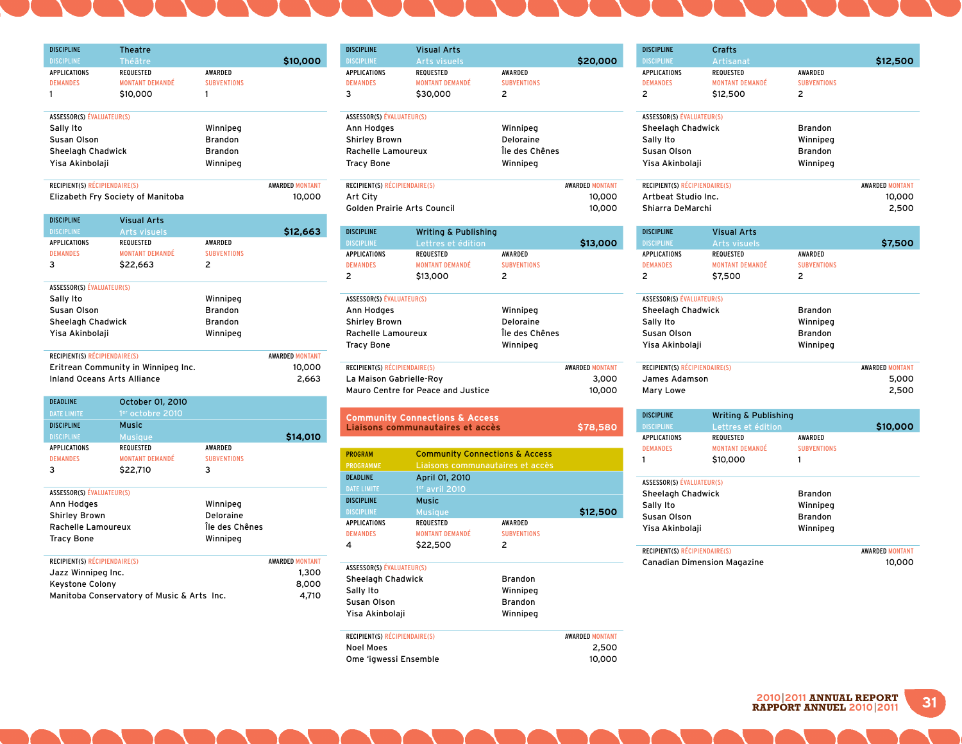| <b>DISCIPLINE</b>             | <b>Theatre</b>                    |                    |                        |
|-------------------------------|-----------------------------------|--------------------|------------------------|
| <b>DISCIPLINE</b>             | Théâtre                           |                    | \$10,000               |
| <b>APPLICATIONS</b>           | <b>REQUESTED</b>                  | <b>AWARDED</b>     |                        |
| <b>DEMANDES</b>               | <b>MONTANT DEMANDÉ</b>            | <b>SUBVENTIONS</b> |                        |
| 1                             | \$10,000                          |                    |                        |
| ASSESSOR(S) ÉVALUATEUR(S)     |                                   |                    |                        |
| Sally Ito                     |                                   | Winnipeg           |                        |
| Susan Olson                   |                                   | <b>Brandon</b>     |                        |
| Sheelagh Chadwick             |                                   | <b>Brandon</b>     |                        |
| Yisa Akinbolaji               |                                   | Winnipeg           |                        |
| RECIPIENT(S) RÉCIPIENDAIRE(S) |                                   |                    | <b>AWARDED MONTANT</b> |
|                               | Elizabeth Fry Society of Manitoba |                    | 10,000                 |
|                               |                                   |                    |                        |

Discipline Visual Arts

| шэчгчне                          | VISUAL ALLS                         |                    |                        |
|----------------------------------|-------------------------------------|--------------------|------------------------|
| <b>DISCIPLINE</b>                | <b>Arts visuels</b>                 |                    | \$12,663               |
| <b>APPLICATIONS</b>              | <b>REQUESTED</b>                    | <b>AWARDED</b>     |                        |
| <b>DEMANDES</b>                  | <b>MONTANT DEMANDÉ</b>              | <b>SUBVENTIONS</b> |                        |
| 3                                | \$22,663                            | 2                  |                        |
|                                  |                                     |                    |                        |
| <b>ASSESSOR(S) ÉVALUATEUR(S)</b> |                                     |                    |                        |
| Sally Ito                        |                                     | Winnipeg           |                        |
| Susan Olson                      |                                     | <b>Brandon</b>     |                        |
| Sheelagh Chadwick                |                                     | <b>Brandon</b>     |                        |
| Yisa Akinbolaji                  |                                     | Winnipeg           |                        |
|                                  |                                     |                    |                        |
| RECIPIENT(S) RÉCIPIENDAIRE(S)    |                                     |                    | <b>AWARDED MONTANT</b> |
|                                  | Eritrean Community in Winnipeg Inc. |                    | 10,000                 |
| Inland Oceans Arts Alliance      |                                     |                    | 2.663                  |
|                                  |                                     |                    |                        |

| <b>DEADLINE</b>                  | October 01, 2010       |                    |                        |
|----------------------------------|------------------------|--------------------|------------------------|
| <b>DATE LIMITE</b>               | 1er octobre 2010       |                    |                        |
| <b>DISCIPLINE</b>                | Music                  |                    |                        |
| <b>DISCIPLINE</b>                | <b>Musique</b>         |                    | \$14,010               |
| <b>APPLICATIONS</b>              | <b>REQUESTED</b>       | <b>AWARDED</b>     |                        |
| <b>DEMANDES</b>                  | <b>MONTANT DEMANDÉ</b> | <b>SUBVENTIONS</b> |                        |
| 3                                | \$22,710               | 3                  |                        |
|                                  |                        |                    |                        |
| <b>ASSESSOR(S) ÉVALUATEUR(S)</b> |                        |                    |                        |
| Ann Hodges                       |                        | Winnipeg           |                        |
| <b>Shirley Brown</b>             |                        | Deloraine          |                        |
| Rachelle Lamoureux               |                        | Île des Chênes     |                        |
| <b>Tracy Bone</b>                |                        | Winnipeg           |                        |
|                                  |                        |                    |                        |
| RECIPIENT(S) RÉCIPIENDAIRE(S)    |                        |                    | <b>AWARDED MONTANT</b> |
| Jazz Winnipeg Inc.               |                        |                    | 1,300                  |
| Keystone Colony                  |                        |                    | 8,000                  |

| <b>ILLANDRE COINTIN</b>                    | -9,99 |
|--------------------------------------------|-------|
| Manitoba Conservatory of Music & Arts Inc. | 4.710 |

| <b>DISCIPLINE</b>                | <b>Visual Arts</b>              |                    |                        |
|----------------------------------|---------------------------------|--------------------|------------------------|
| <b>DISCIPLINE</b>                | <b>Arts visuels</b>             |                    | \$20,000               |
| <b>APPLICATIONS</b>              | REQUESTED                       | <b>AWARDED</b>     |                        |
| <b>DEMANDES</b>                  | <b>MONTANT DEMANDÉ</b>          | <b>SUBVENTIONS</b> |                        |
| 3                                | \$30,000                        | 2                  |                        |
|                                  |                                 |                    |                        |
| ASSESSOR(S) ÉVALUATEUR(S)        |                                 |                    |                        |
| Ann Hodges                       |                                 | Winnipeg           |                        |
| <b>Shirley Brown</b>             |                                 | Deloraine          |                        |
| Rachelle Lamoureux               |                                 | Île des Chênes     |                        |
| <b>Tracy Bone</b>                |                                 | Winnipeg           |                        |
|                                  |                                 |                    |                        |
| RECIPIENT(S) RÉCIPIENDAIRE(S)    |                                 |                    | <b>AWARDED MONTANT</b> |
| Art City                         |                                 |                    | 10,000                 |
| Golden Prairie Arts Council      |                                 |                    | 10,000                 |
|                                  |                                 |                    |                        |
| <b>DISCIPLINE</b>                | <b>Writing &amp; Publishing</b> |                    |                        |
| <b>DISCIPLINE</b>                | Lettres et édition              |                    | \$13,000               |
| <b>APPLICATIONS</b>              | REQUESTED                       | <b>AWARDED</b>     |                        |
| <b>DEMANDES</b>                  | <b>MONTANT DEMANDÉ</b>          | <b>SUBVENTIONS</b> |                        |
| 2                                | \$13,000                        | 2                  |                        |
|                                  |                                 |                    |                        |
| <b>ASSESSOR(S) ÉVALUATEUR(S)</b> |                                 |                    |                        |

| <b>ASSESSOR(S) EVALUATEUR(S)</b>   |                |                        |
|------------------------------------|----------------|------------------------|
| Ann Hodges                         | Winnipeg       |                        |
| <b>Shirley Brown</b>               | Deloraine      |                        |
| Rachelle Lamoureux                 | Île des Chênes |                        |
| <b>Tracy Bone</b>                  | Winnipeg       |                        |
|                                    |                |                        |
| RECIPIENT(S) RÉCIPIENDAIRE(S)      |                | <b>AWARDED MONTANT</b> |
| La Maison Gabrielle-Roy            |                | 3,000                  |
| Mauro Centre for Peace and Justice |                | 10,000                 |
|                                    |                |                        |

**Community Connections & Access Liaisons communautaires et accès \$78,580**

| <b>PROGRAM</b>      | <b>Community Connections &amp; Access</b>    |                |          |
|---------------------|----------------------------------------------|----------------|----------|
| <b>PROGRAMME</b>    | Liaisons communautaires et accès             |                |          |
| <b>DEADLINE</b>     | April 01, 2010                               |                |          |
| <b>DATE LIMITE</b>  | $1er$ avril 2010                             |                |          |
| <b>DISCIPLINE</b>   | <b>Music</b>                                 |                |          |
| <b>DISCIPLINE</b>   | <b>Musique</b>                               |                | \$12,500 |
| <b>APPLICATIONS</b> | <b>REQUESTED</b>                             | <b>AWARDED</b> |          |
| <b>DEMANDES</b>     | <b>MONTANT DEMANDÉ</b><br><b>SUBVENTIONS</b> |                |          |
| 4                   | \$22,500                                     | 2              |          |
|                     |                                              |                |          |

| <b>ASSESSOR(S) ÉVALUATEUR(S)</b>     |                |                        |
|--------------------------------------|----------------|------------------------|
| Sheelagh Chadwick                    | <b>Brandon</b> |                        |
| Sally Ito                            | Winnipeg       |                        |
| Susan Olson                          | <b>Brandon</b> |                        |
| Yisa Akinbolaji                      | Winnipeg       |                        |
| <b>RECIPIENT(S) RÉCIPIENDAIRE(S)</b> |                | <b>AWARDED MONTANT</b> |
| Noel Moes                            |                | 2.500                  |

Ome 'igwessi Ensemble 10,000

| <b>DISCIPLINE</b>                    | Crafts                          |                          |                        |
|--------------------------------------|---------------------------------|--------------------------|------------------------|
| <b>DISCIPLINE</b>                    | Artisanat                       |                          | \$12,500               |
| <b>APPLICATIONS</b>                  | <b>REQUESTED</b>                | <b>AWARDED</b>           |                        |
| <b>DEMANDES</b>                      | <b>MONTANT DEMANDÉ</b>          | <b>SUBVENTIONS</b>       |                        |
| 2                                    | \$12,500                        | 2                        |                        |
|                                      |                                 |                          |                        |
| <b>ASSESSOR(S) ÉVALUATEUR(S)</b>     |                                 |                          |                        |
| Sheelagh Chadwick                    |                                 | <b>Brandon</b>           |                        |
| Sally Ito                            |                                 | Winnipeg                 |                        |
| Susan Olson                          |                                 | <b>Brandon</b>           |                        |
| Yisa Akinbolaji                      |                                 | Winnipeg                 |                        |
| <b>RECIPIENT(S) RÉCIPIENDAIRE(S)</b> |                                 |                          | <b>AWARDED MONTANT</b> |
| Artheat Studio Inc.                  |                                 |                          | 10,000                 |
| Shiarra DeMarchi                     |                                 |                          | 2,500                  |
|                                      |                                 |                          |                        |
| <b>DISCIPLINE</b>                    | <b>Visual Arts</b>              |                          |                        |
| <b>DISCIPLINE</b>                    | <b>Arts visuels</b>             |                          | \$7,500                |
| <b>APPLICATIONS</b>                  | <b>REQUESTED</b>                | <b>AWARDED</b>           |                        |
| <b>DEMANDES</b>                      | <b>MONTANT DEMANDÉ</b>          | <b>SUBVENTIONS</b>       |                        |
| 2                                    | \$7,500                         | $\overline{\phantom{a}}$ |                        |
| <b>ASSESSOR(S) ÉVALUATEUR(S)</b>     |                                 |                          |                        |
| Sheelagh Chadwick                    |                                 | <b>Brandon</b>           |                        |
| Sally Ito                            |                                 | Winnipea                 |                        |
| Susan Olson                          |                                 | <b>Brandon</b>           |                        |
| Yisa Akinbolaji                      |                                 | Winnipeg                 |                        |
| <b>RECIPIENT(S) RÉCIPIENDAIRE(S)</b> |                                 |                          | <b>AWARDED MONTANT</b> |
| James Adamson                        |                                 |                          | 5,000                  |
| Mary Lowe                            |                                 |                          | 2,500                  |
|                                      |                                 |                          |                        |
| <b>DISCIPLINE</b>                    | <b>Writing &amp; Publishing</b> |                          |                        |
| <b>DISCIPLINE</b>                    | Lettres et édition              |                          | \$10,000               |
| <b>APPLICATIONS</b>                  | <b>REQUESTED</b>                | <b>AWARDED</b>           |                        |
| <b>DEMANDES</b>                      | <b>MONTANT DEMANDÉ</b>          | <b>SUBVENTIONS</b>       |                        |
| 1                                    | \$10,000                        | 1                        |                        |
|                                      |                                 |                          |                        |

| ASSESSOR(S) ÉVALUATEUR(S)     |                |                        |
|-------------------------------|----------------|------------------------|
| Sheelagh Chadwick             | <b>Brandon</b> |                        |
| Sally Ito                     | Winnipeg       |                        |
| Susan Olson                   | <b>Brandon</b> |                        |
| Yisa Akinbolaji               | Winnipeg       |                        |
|                               |                |                        |
| RECIPIENT(S) RÉCIPIENDAIRE(S) |                | <b>AWARDED MONTANT</b> |

Canadian Dimension Magazine 10,000